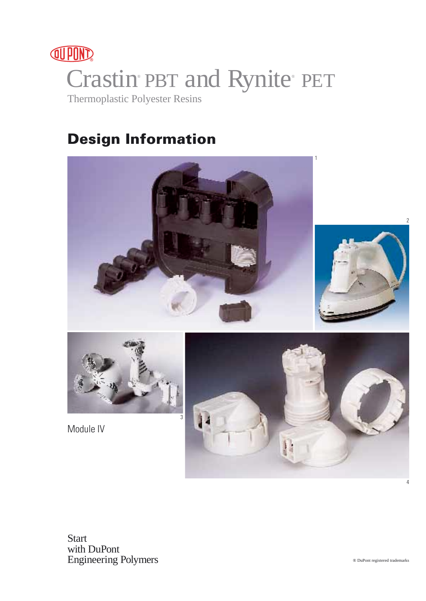

# **Design Information**





Module IV



**Start** with DuPont Engineering Polymers 4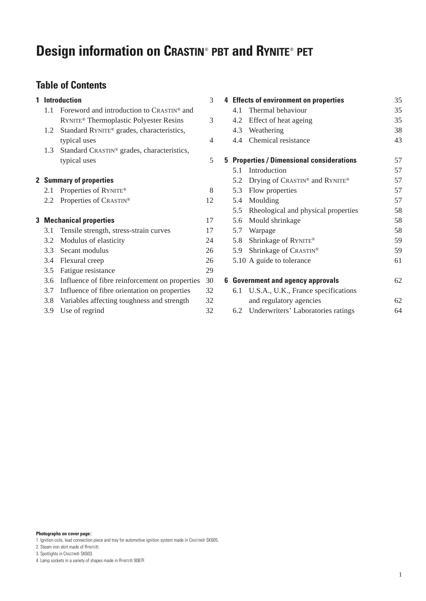# **Design information on CRASTIN**® **PBT and RYNITE**® **PET**

# **Table of Contents**

| 1 |     | <b>Introduction</b>                                    | 3  |
|---|-----|--------------------------------------------------------|----|
|   | 1.1 | Foreword and introduction to CRASTIN® and              |    |
|   |     | RYNITE <sup>®</sup> Thermoplastic Polyester Resins     | 3  |
|   | 1.2 | Standard RYNITE <sup>®</sup> grades, characteristics,  |    |
|   |     | typical uses                                           | 4  |
|   | 1.3 | Standard CRASTIN <sup>®</sup> grades, characteristics, |    |
|   |     | typical uses                                           | 5  |
|   |     | 2 Summary of properties                                |    |
|   | 2.1 | Properties of RYNITE®                                  | 8  |
|   | 2.2 | Properties of CRASTIN®                                 | 12 |
| 3 |     | <b>Mechanical properties</b>                           | 17 |
|   | 3.1 | Tensile strength, stress-strain curves                 | 17 |
|   | 3.2 | Modulus of elasticity                                  | 24 |
|   |     | 3.3 Secant modulus                                     | 26 |
|   | 3.4 | Flexural creep                                         | 26 |
|   | 3.5 | Fatigue resistance                                     | 29 |
|   | 3.6 | Influence of fibre reinforcement on properties         | 30 |
|   | 3.7 | Influence of fibre orientation on properties           | 32 |
|   | 3.8 | Variables affecting toughness and strength             | 32 |
|   | 3.9 | Use of regrind                                         | 32 |
|   |     |                                                        |    |

**4 Effects of environment on properties** 35 4.1 Thermal behaviour 35 4.2 Effect of heat ageing 35 4.3 Weathering 38 4.4 Chemical resistance 43 **5 Properties / Dimensional considerations** 57 5.1 Introduction 57 5.2 Drying of CRASTIN® and RYNITE® 57 5.3 Flow properties 57 5.4 Moulding 57 5.5 Rheological and physical properties 58 5.6 Mould shrinkage 58 5.7 Warpage 58 5.8 Shrinkage of RYNITE® 59 5.9 Shrinkage of CRASTIN® 59 5.10 A guide to tolerance 61 **6 Government and agency approvals** 62 6.1 U.S.A., U.K., France specifications and regulatory agencies 62

6.2 Underwriters' Laboratories ratings 64

**Photographs on cover page:**

1. Ignition coils, lead connection piece and tray for automotive ignition system made in CRASTIN® SK605.

- 2. Steam iron skirt made of RYNITE®.
- 3. Spotlights in CRASTIN® SK603.
- 4. Lamp sockets in a variety of shapes made in RYNITE® 9087F.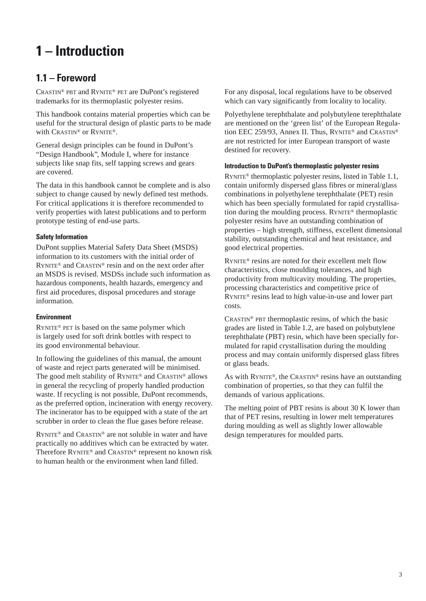# **1 – Introduction**

# **1.1 – Foreword**

CRASTIN® PBT and RYNITE® PET are DuPont's registered trademarks for its thermoplastic polyester resins.

This handbook contains material properties which can be useful for the structural design of plastic parts to be made with CRASTIN® or RYNITE®.

General design principles can be found in DuPont's "Design Handbook", Module I, where for instance subjects like snap fits, self tapping screws and gears are covered.

The data in this handbook cannot be complete and is also subject to change caused by newly defined test methods. For critical applications it is therefore recommended to verify properties with latest publications and to perform prototype testing of end-use parts.

### **Safety Information**

DuPont supplies Material Safety Data Sheet (MSDS) information to its customers with the initial order of RYNITE® and CRASTIN® resin and on the next order after an MSDS is revised. MSDSs include such information as hazardous components, health hazards, emergency and first aid procedures, disposal procedures and storage information.

### **Environment**

RYNITE® PET is based on the same polymer which is largely used for soft drink bottles with respect to its good environmental behaviour.

In following the guidelines of this manual, the amount of waste and reject parts generated will be minimised. The good melt stability of RYNITE® and CRASTIN® allows in general the recycling of properly handled production waste. If recycling is not possible, DuPont recommends, as the preferred option, incineration with energy recovery. The incinerator has to be equipped with a state of the art scrubber in order to clean the flue gases before release.

RYNITE® and CRASTIN® are not soluble in water and have practically no additives which can be extracted by water. Therefore RYNITE® and CRASTIN® represent no known risk to human health or the environment when land filled.

For any disposal, local regulations have to be observed which can vary significantly from locality to locality.

Polyethylene terephthalate and polybutylene terephthalate are mentioned on the 'green list' of the European Regulation EEC 259/93, Annex II. Thus, RYNITE® and CRASTIN® are not restricted for inter European transport of waste destined for recovery.

### **Introduction to DuPont's thermoplastic polyester resins**

RYNITE® thermoplastic polyester resins, listed in Table 1.1, contain uniformly dispersed glass fibres or mineral/glass combinations in polyethylene terephthalate (PET) resin which has been specially formulated for rapid crystallisation during the moulding process. RYNITE® thermoplastic polyester resins have an outstanding combination of properties – high strength, stiffness, excellent dimensional stability, outstanding chemical and heat resistance, and good electrical properties.

RYNITE® resins are noted for their excellent melt flow characteristics, close moulding tolerances, and high productivity from multicavity moulding. The properties, processing characteristics and competitive price of RYNITE® resins lead to high value-in-use and lower part costs.

CRASTIN® PBT thermoplastic resins, of which the basic grades are listed in Table 1.2, are based on polybutylene terephthalate (PBT) resin, which have been specially formulated for rapid crystallisation during the moulding process and may contain uniformly dispersed glass fibres or glass beads.

As with RYNITE®, the CRASTIN® resins have an outstanding combination of properties, so that they can fulfil the demands of various applications.

The melting point of PBT resins is about 30 K lower than that of PET resins, resulting in lower melt temperatures during moulding as well as slightly lower allowable design temperatures for moulded parts.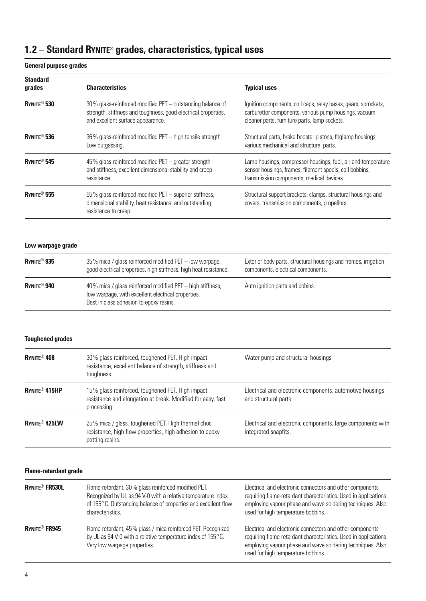# **1.2 – Standard RYNITE**® **grades, characteristics, typical uses**

### **General purpose grades**

| <b>Standard</b><br>grades  | <b>Characteristics</b>                                                                                                                                            | <b>Typical uses</b>                                                                                                                                                      |
|----------------------------|-------------------------------------------------------------------------------------------------------------------------------------------------------------------|--------------------------------------------------------------------------------------------------------------------------------------------------------------------------|
| $R$ YNITE <sup>®</sup> 530 | 30% glass-reinforced modified PET – outstanding balance of<br>strength, stiffness and toughness, good electrical properties,<br>and excellent surface appearance. | Ignition components, coil caps, relay bases, gears, sprockets,<br>carburettor components, various pump housings, vacuum<br>cleaner parts, furniture parts, lamp sockets. |
| $R$ VNITE <sup>®</sup> 536 | 36% glass-reinforced modified PET - high tensile strength.<br>Low outgassing.                                                                                     | Structural parts, brake booster pistons, foglamp housings,<br>various mechanical and structural parts.                                                                   |
| RYNITE <sup>®</sup> 545    | $45\%$ glass-reinforced modified PET $-$ greater strength<br>and stiffness, excellent dimensional stability and creep<br>resistance.                              | Lamp housings, compressor housings, fuel, air and temperature<br>sensor housings, frames, filament spools, coil bobbins,<br>transmission components, medical devices.    |
| $R$ YNITE <sup>®</sup> 555 | 55% glass-reinforced modified PET – superior stiffness,<br>dimensional stability, heat resistance, and outstanding<br>resistance to creep.                        | Structural support brackets, clamps, structural housings and<br>covers, transmission components, propellors.                                                             |

### **Low warpage grade**

| <b>RYNITE<sup>®</sup> 935</b> | 35% mica / glass reinforced modified PET – low warpage,<br>good electrical properties, high stiffness, high heat resistance.                                | Exterior body parts, structural housings and frames, irrigation<br>components, electrical components. |
|-------------------------------|-------------------------------------------------------------------------------------------------------------------------------------------------------------|-------------------------------------------------------------------------------------------------------|
| $R$ Ynite® 940                | 40% mica / glass reinforced modified PET – high stiffness,<br>low warpage, with excellent electrical properties.<br>Best in class adhesion to epoxy resins. | Auto ignition parts and bobins.                                                                       |

### **Toughened grades**

| RYNITE <sup>®</sup> 408         | 30% glass-reinforced, toughened PET. High impact<br>resistance, excellent balance of strength, stiffness and<br>toughness         | Water pump and structural housings                                                  |
|---------------------------------|-----------------------------------------------------------------------------------------------------------------------------------|-------------------------------------------------------------------------------------|
| <b>RYNITE® 415HP</b>            | 15% glass-reinforced, toughened PET. High impact<br>resistance and elongation at break. Modified for easy, fast<br>processing     | Electrical and electronic components, automotive housings<br>and structural parts   |
| <b>RYNITE<sup>®</sup> 425LW</b> | 25% mica / glass, toughened PET. High thermal choc<br>resistance, high flow properties, high adhesion to epoxy<br>potting resins. | Electrical and electronic components, large components with<br>integrated snapfits. |

### **Flame-retardant grade**

| <b>RYNITE<sup>®</sup> FR530L</b> | Flame-retardant, 30% glass reinforced modified PET.<br>Recognized by UL as 94 V-0 with a relative temperature index<br>of 155°C. Outstanding balance of properties and excellent flow<br>characteristics. | Electrical and electronic connectors and other components<br>requiring flame-retardant characteristics. Used in applications<br>employing vapour phase and wave soldering techniques. Also<br>used for high temperature bobbins. |
|----------------------------------|-----------------------------------------------------------------------------------------------------------------------------------------------------------------------------------------------------------|----------------------------------------------------------------------------------------------------------------------------------------------------------------------------------------------------------------------------------|
| <b>RYNITE<sup>®</sup></b> FR945  | Flame-retardant, 45% glass / mica reinforced PET. Recognized<br>by UL as 94 V-0 with a relative temperature index of 155°C.<br>Very low warpage properties.                                               | Electrical and electronic connectors and other components<br>requiring flame-retardant characteristics. Used in applications<br>employing vapour phase and wave soldering techniques. Also<br>used for high temperature bobbins. |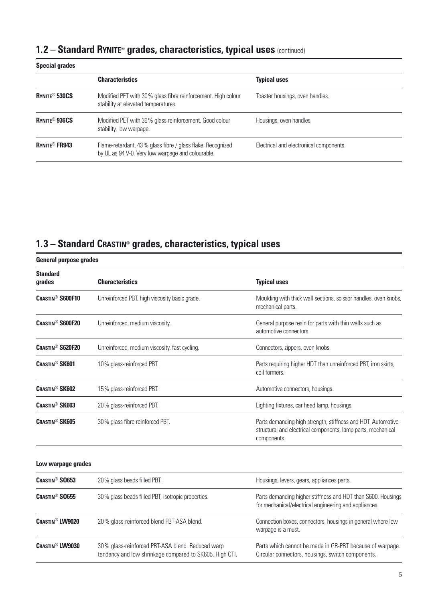# **1.2 – Standard RYNITE**® **grades, characteristics, typical uses** (continued)

| <b>Special grades</b>           |                                                                                                                 |                                         |
|---------------------------------|-----------------------------------------------------------------------------------------------------------------|-----------------------------------------|
|                                 | <b>Characteristics</b>                                                                                          | <b>Typical uses</b>                     |
| RYNITE <sup>®</sup> 530CS       | Modified PET with 30% glass fibre reinforcement. High colour<br>stability at elevated temperatures.             | Toaster housings, oven handles.         |
| RYNITE <sup>®</sup> 936CS       | Modified PET with 36% glass reinforcement. Good colour<br>stability, low warpage.                               | Housings, oven handles.                 |
| <b>RYNITE<sup>®</sup> FR943</b> | Flame-retardant, 43% glass fibre / glass flake. Recognized<br>by UL as 94 V-0. Very low warpage and colourable. | Electrical and electronical components. |

# **1.3 – Standard CRASTIN**® **grades, characteristics, typical uses**

|                                    | <b>General purpose grades</b>                                                                               |                                                                                                                                             |  |  |  |  |
|------------------------------------|-------------------------------------------------------------------------------------------------------------|---------------------------------------------------------------------------------------------------------------------------------------------|--|--|--|--|
| <b>Standard</b><br>grades          | <b>Characteristics</b>                                                                                      | <b>Typical uses</b>                                                                                                                         |  |  |  |  |
| <b>CRASTIN<sup>®</sup> S600F10</b> | Unreinforced PBT, high viscosity basic grade.                                                               | Moulding with thick wall sections, scissor handles, oven knobs,<br>mechanical parts.                                                        |  |  |  |  |
| <b>CRASTIN<sup>®</sup> S600F20</b> | Unreinforced, medium viscosity.                                                                             | General purpose resin for parts with thin walls such as<br>automotive connectors.                                                           |  |  |  |  |
| <b>CRASTIN<sup>®</sup> S620F20</b> | Unreinforced, medium viscosity, fast cycling.                                                               | Connectors, zippers, oven knobs.                                                                                                            |  |  |  |  |
| <b>CRASTIN<sup>®</sup> SK601</b>   | 10% glass-reinforced PBT.                                                                                   | Parts requiring higher HDT than unreinforced PBT, iron skirts,<br>coil formers.                                                             |  |  |  |  |
| <b>CRASTIN<sup>®</sup> SK602</b>   | 15% glass-reinforced PBT.                                                                                   | Automotive connectors, housings.                                                                                                            |  |  |  |  |
| <b>CRASTIN<sup>®</sup> SK603</b>   | 20% glass-reinforced PBT.                                                                                   | Lighting fixtures, car head lamp, housings.                                                                                                 |  |  |  |  |
| <b>CRASTIN<sup>®</sup> SK605</b>   | 30% glass fibre reinforced PBT.                                                                             | Parts demanding high strength, stiffness and HDT. Automotive<br>structural and electrical components, lamp parts, mechanical<br>components. |  |  |  |  |
| Low warpage grades                 |                                                                                                             |                                                                                                                                             |  |  |  |  |
| <b>CRASTIN<sup>®</sup> SO653</b>   | 20% glass beads filled PBT.                                                                                 | Housings, levers, gears, appliances parts.                                                                                                  |  |  |  |  |
| <b>CRASTIN<sup>®</sup> SO655</b>   | 30% glass beads filled PBT, isotropic properties.                                                           | Parts demanding higher stiffness and HDT than S600. Housings<br>for mechanical/electrical engineering and appliances.                       |  |  |  |  |
| <b>CRASTIN<sup>®</sup> LW9020</b>  | 20% glass-reinforced blend PBT-ASA blend.                                                                   | Connection boxes, connectors, housings in general where low<br>warpage is a must.                                                           |  |  |  |  |
| <b>CRASTIN<sup>®</sup> LW9030</b>  | 30% glass-reinforced PBT-ASA blend. Reduced warp<br>tendancy and low shrinkage compared to SK605. High CTI. | Parts which cannot be made in GR-PBT because of warpage.<br>Circular connectors, housings, switch components.                               |  |  |  |  |
|                                    |                                                                                                             |                                                                                                                                             |  |  |  |  |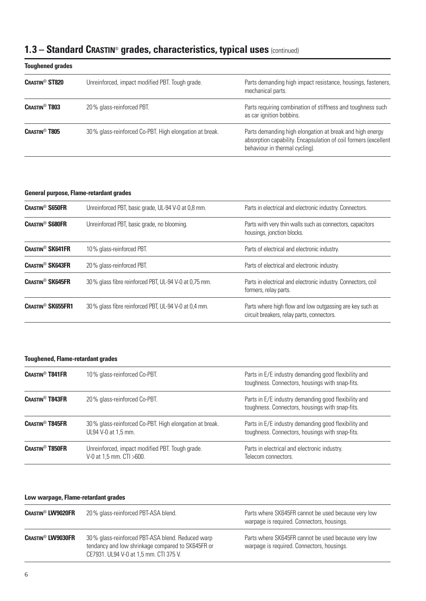# **1.3 – Standard CRASTIN**® **grades, characteristics, typical uses** (continued)

| <b>Toughened grades</b>          |                                                        |                                                                                                                                                               |
|----------------------------------|--------------------------------------------------------|---------------------------------------------------------------------------------------------------------------------------------------------------------------|
| <b>CRASTIN<sup>®</sup> ST820</b> | Unreinforced, impact modified PBT. Tough grade.        | Parts demanding high impact resistance, housings, fasteners,<br>mechanical parts.                                                                             |
| <b>CRASTIN<sup>®</sup> T803</b>  | 20% glass-reinforced PBT.                              | Parts requiring combination of stiffness and toughness such<br>as car ignition bobbins.                                                                       |
| <b>CRASTIN<sup>®</sup> T805</b>  | 30% glass-reinforced Co-PBT. High elongation at break. | Parts demanding high elongation at break and high energy<br>absorption capability. Encapsulation of coil formers (excellent<br>behaviour in thermal cycling). |

### **General purpose, Flame-retardant grades**

| <b>CRASTIN<sup>®</sup> S650FR</b>   | Unreinforced PBT, basic grade, UL-94 V-0 at 0,8 mm.   | Parts in electrical and electronic industry. Connectors.                                               |
|-------------------------------------|-------------------------------------------------------|--------------------------------------------------------------------------------------------------------|
| <b>CRASTIN<sup>®</sup> S680FR</b>   | Unreinforced PBT, basic grade, no blooming.           | Parts with very thin walls such as connectors, capacitors<br>housings, jonction blocks.                |
| <b>CRASTIN<sup>®</sup> SK641FR</b>  | 10% glass-reinforced PBT.                             | Parts of electrical and electronic industry.                                                           |
| <b>CRASTIN<sup>®</sup> SK643FR</b>  | 20% glass-reinforced PBT.                             | Parts of electrical and electronic industry.                                                           |
| <b>CRASTIN<sup>®</sup> SK645FR</b>  | 30% glass fibre reinforced PBT, UL-94 V-0 at 0,75 mm. | Parts in electrical and electronic industry. Connectors, coil<br>formers, relay parts.                 |
| <b>CRASTIN<sup>®</sup> SK655FR1</b> | 30% glass fibre reinforced PBT, UL-94 V-0 at 0,4 mm.  | Parts where high flow and low outgassing are key such as<br>circuit breakers, relay parts, connectors. |

### **Toughened, Flame-retardant grades**

| <b>CRASTIN<sup>®</sup> T841FR</b> | 10% glass-reinforced Co-PBT.                                                  | Parts in E/E industry demanding good flexibility and<br>toughness. Connectors, housings with snap-fits. |
|-----------------------------------|-------------------------------------------------------------------------------|---------------------------------------------------------------------------------------------------------|
| <b>CRASTIN<sup>®</sup> T843FR</b> | 20% glass-reinforced Co-PBT.                                                  | Parts in E/E industry demanding good flexibility and<br>toughness. Connectors, housings with snap-fits. |
| <b>CRASTIN<sup>®</sup> T845FR</b> | 30% glass-reinforced Co-PBT. High elongation at break.<br>UL94 V-0 at 1,5 mm. | Parts in E/E industry demanding good flexibility and<br>toughness. Connectors, housings with snap-fits. |
| <b>CRASTIN<sup>®</sup> T850FR</b> | Unreinforced, impact modified PBT. Tough grade.<br>V-0 at 1,5 mm. CTI >600.   | Parts in electrical and electronic industry.<br>Telecom connectors.                                     |

### **Low warpage, Flame-retardant grades**

| <b>CRASTIN<sup>®</sup> LW9020FR</b> | 20% glass-reinforced PBT-ASA blend.                                                                                                             | Parts where SK645FR cannot be used because very low<br>warpage is required. Connectors, housings. |
|-------------------------------------|-------------------------------------------------------------------------------------------------------------------------------------------------|---------------------------------------------------------------------------------------------------|
| <b>CRASTIN<sup>®</sup> LW9030FR</b> | 30% glass-reinforced PBT-ASA blend. Reduced warp<br>tendancy and low shrinkage compared to SK645FR or<br>CE7931. UL94 V-0 at 1,5 mm. CTI 375 V. | Parts where SK645FR cannot be used because very low<br>warpage is required. Connectors, housings. |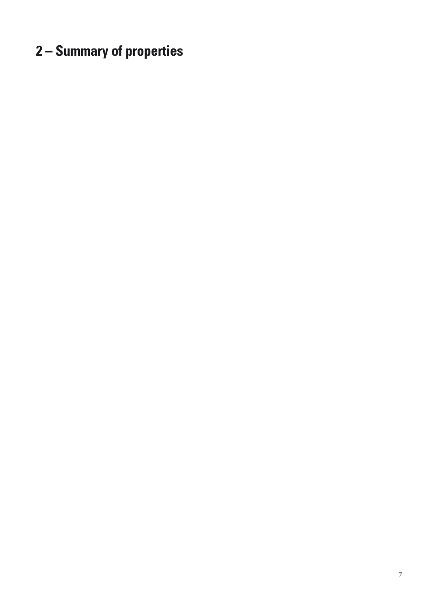# **2 – Summary of properties**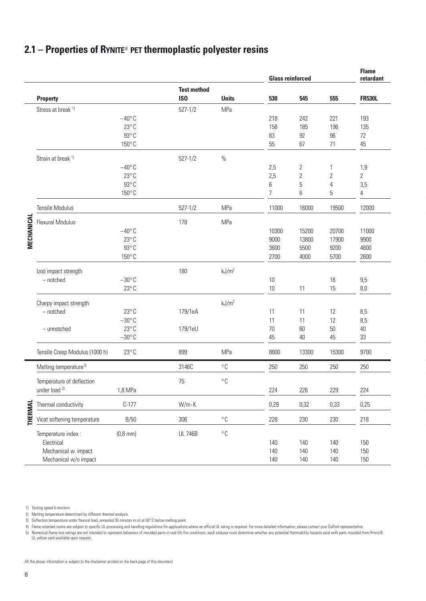# **2.1 – Properties of RYNITE**® **PET thermoplastic polyester resins**

|            |                                   |                 |                    |                   | <b>Glass reinforced</b> |       |       | <b>Flame</b><br>retardant |
|------------|-----------------------------------|-----------------|--------------------|-------------------|-------------------------|-------|-------|---------------------------|
|            |                                   |                 | <b>Test method</b> |                   |                         |       |       |                           |
|            | <b>Property</b>                   |                 | IS <sub>0</sub>    | <b>Units</b>      | 530                     | 545   | 555   | <b>FR530L</b>             |
|            | Stress at break <sup>1)</sup>     |                 | $527 - 1/2$        | MPa               |                         |       |       |                           |
|            |                                   | $-40^{\circ}$ C |                    |                   | 218                     | 242   | 221   | 193                       |
|            |                                   | $23^{\circ}$ C  |                    |                   | 158                     | 185   | 196   | 135                       |
|            |                                   | $93^{\circ}$ C  |                    |                   | 83                      | 92    | 96    | 72                        |
|            |                                   | $150^{\circ}$ C |                    |                   | 55                      | 67    | 71    | 45                        |
|            | Strain at break <sup>1)</sup>     |                 | $527 - 1/2$        | $\%$              |                         |       |       |                           |
|            |                                   | $-40^{\circ}$ C |                    |                   | 2,5                     | 2     | 1     | 1,9                       |
|            |                                   | $23^{\circ}$ C  |                    |                   | 2,5                     | 2     | 2     | 2                         |
|            |                                   | $93^{\circ}$ C  |                    |                   | 6                       | 5     | 4     | 3,5                       |
|            |                                   | $150^{\circ}$ C |                    |                   | $\overline{7}$          | 6     | 5     | $\overline{4}$            |
|            |                                   |                 |                    |                   |                         |       |       |                           |
|            | Tensile Modulus                   |                 | $527 - 1/2$        | <b>MPa</b>        | 11000                   | 16000 | 19500 | 12000                     |
| MECHANICAL | <b>Flexural Modulus</b>           |                 | 178                | MPa               |                         |       |       |                           |
|            |                                   | $-40^{\circ}$ C |                    |                   | 10300                   | 15200 | 20700 | 11000                     |
|            |                                   | $23^{\circ}$ C  |                    |                   | 9000                    | 13800 | 17900 | 9900                      |
|            |                                   | $93^{\circ}$ C  |                    |                   | 3600                    | 5500  | 9200  | 4600                      |
|            |                                   | $150^{\circ}$ C |                    |                   | 2700                    | 4000  | 5700  | 2600                      |
|            | Izod impact strength              |                 | 180                | kJ/m <sup>2</sup> |                         |       |       |                           |
|            | $-$ notched                       | $-30^{\circ}$ C |                    |                   | 10                      |       | 16    | 9,5                       |
|            |                                   | $23^{\circ}$ C  |                    |                   | 10                      | 11    | 15    | 8,0                       |
|            |                                   |                 |                    |                   |                         |       |       |                           |
|            | Charpy impact strength            |                 |                    | kJ/m <sup>2</sup> |                         |       |       |                           |
|            | $-$ notched                       | $23^{\circ}$ C  | 179/1eA            |                   | 11                      | 11    | 12    | 8,5                       |
|            |                                   | $-30^{\circ}$ C |                    |                   | 11                      | 11    | 12    | 8,5                       |
|            | - unnotched                       | $23^{\circ}$ C  | 179/1eU            |                   | 70                      | 60    | 50    | 40                        |
|            |                                   | $-30^{\circ}$ C |                    |                   | 45                      | 40    | 45    | 33                        |
|            | Tensile Creep Modulus (1000 h)    | $23^{\circ}$ C  | 899                | MPa               | 8800                    | 13300 | 15300 | 9700                      |
|            | Melting temperature <sup>2)</sup> |                 | 3146C              | $^{\circ}$ C      | 250                     | 250   | 250   | 250                       |
|            | Temperature of deflection         |                 | 75                 | $^{\circ}$ C      |                         |       |       |                           |
|            | under load 3)                     | 1,8 MPa         |                    |                   | 224                     | 226   | 229   | 224                       |
|            |                                   |                 |                    |                   |                         |       |       |                           |
|            | Thermal conductivity              | $C-177$         | $W/m \cdot K$      |                   | 0,29                    | 0,32  | 0,33  | 0,25                      |
| THERMAI    | Vicat softening temperature       | B/50            | 306                | $^{\circ}$ C      | 228                     | 230   | 230   | 218                       |
|            | Temperature index :               | $(0, 8$ mm $)$  | <b>UL 746B</b>     | $^{\circ}$ C      |                         |       |       |                           |
|            | Electrical                        |                 |                    |                   | 140                     | 140   | 140   | 150                       |
|            | Mechanical w. impact              |                 |                    |                   | 140                     | 140   | 140   | 150                       |
|            |                                   |                 |                    |                   | 140                     | 140   | 140   | 150                       |

5) Numerical flame test ratings are not intended to represent behaviour of moulded parts in real life fire conditions; each enduser must determine whether any potential flammability hazards exist with parts moulded from Ry

All the above information is subject to the disclaimer printed on the back page of this document.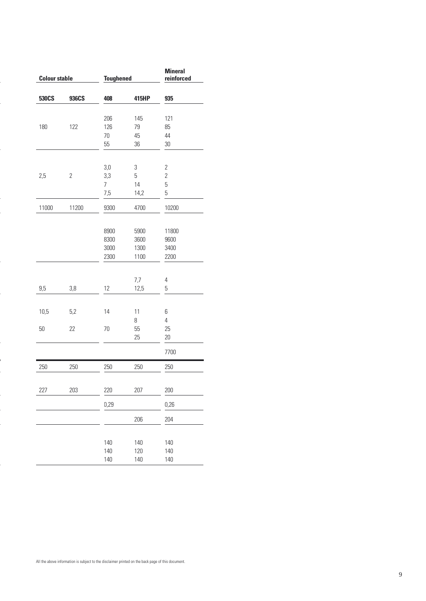| <b>Colour stable</b> |                | <b>Toughened</b> |       | <b>Mineral</b><br>reinforced |
|----------------------|----------------|------------------|-------|------------------------------|
| 530CS                | 936CS          | 408              | 415HP | 935                          |
|                      |                |                  |       |                              |
|                      |                | 206              | 145   | 121                          |
| 180                  | 122            | 126              | 79    | 85                           |
|                      |                | 70               | 45    | 44                           |
|                      |                | 55               | 36    | $30\,$                       |
|                      |                | 3,0              | 3     | $\overline{2}$               |
| 2,5                  | $\overline{2}$ | 3,3              | 5     | $\overline{2}$               |
|                      |                | 7                | 14    | 5                            |
|                      |                | 7,5              | 14,2  | 5                            |
| 11000                | 11200          | 9300             | 4700  | 10200                        |
|                      |                | 8900             | 5900  | 11800                        |
|                      |                | 8300             | 3600  | 9600                         |
|                      |                | 3000             | 1300  | 3400                         |
|                      |                | 2300             | 1100  | 2200                         |
|                      |                |                  | 7,7   | 4                            |
| 9,5                  | 3,8            | 12               | 12,5  | 5                            |
| 10,5                 | 5,2            | 14               | 11    | 6                            |
|                      |                |                  | 8     | $\overline{4}$               |
| $50\,$               | 22             | 70               | 55    | 25                           |
|                      |                |                  | 25    | 20                           |
|                      |                |                  |       | 7700                         |
| 250                  | 250            | 250              | 250   | 250                          |
| 227                  | 203            | 220              | 207   | 200                          |
|                      |                | 0,29             |       | 0,26                         |
|                      |                |                  | 206   | 204                          |
|                      |                |                  |       |                              |
|                      |                | 140              | 140   | 140                          |
|                      |                | 140              | 120   | 140                          |
|                      |                | 140              | 140   | 140                          |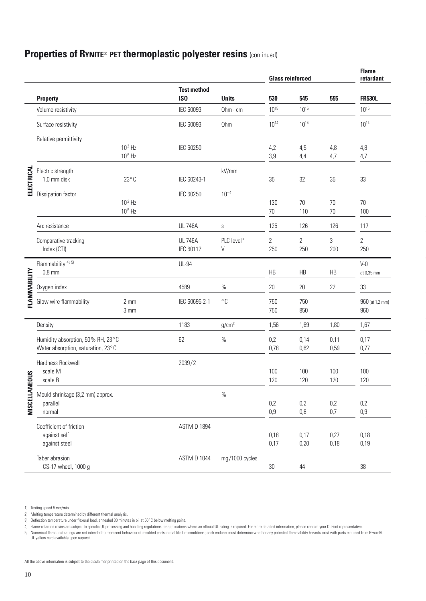# **Properties of RYNITE**® **PET thermoplastic polyester resins** (continued)

|                 |                                            |                        |                                     |                        |                  | <b>Glass reinforced</b> |              | <b>Flame</b><br>retardant  |
|-----------------|--------------------------------------------|------------------------|-------------------------------------|------------------------|------------------|-------------------------|--------------|----------------------------|
|                 |                                            |                        | <b>Test method</b>                  |                        |                  |                         |              |                            |
|                 | <b>Property</b><br>Volume resistivity      |                        | IS <sub>0</sub><br><b>IEC 60093</b> | <b>Units</b><br>Ohm·cm | 530<br>$10^{15}$ | 545<br>$10^{15}$        | 555          | <b>FR530L</b><br>$10^{15}$ |
|                 |                                            |                        |                                     |                        |                  |                         |              |                            |
|                 | Surface resistivity                        |                        | <b>IEC 60093</b>                    | Ohm                    | $10^{14}$        | $10^{14}$               |              | $10^{14}$                  |
|                 | Relative permittivity                      |                        |                                     |                        |                  |                         |              |                            |
|                 |                                            | $10^2$ Hz<br>$10^6$ Hz | <b>IEC 60250</b>                    |                        | 4,2<br>3,9       | 4,5<br>4,4              | 4,8<br>4,7   | 4,8<br>4,7                 |
|                 | Electric strength                          |                        |                                     | kV/mm                  |                  |                         |              |                            |
| ELECTRICAL      | 1,0 mm disk                                | $23^{\circ}$ C         | IEC 60243-1                         |                        | 35               | 32                      | 35           | 33                         |
|                 | Dissipation factor                         |                        | IEC 60250                           | $10^{-4}$              |                  |                         |              |                            |
|                 |                                            | $102$ Hz               |                                     |                        | 130              | 70                      | 70           | 70                         |
|                 |                                            | $10^6$ Hz              |                                     |                        | 70               | 110                     | 70           | 100                        |
|                 | Arc resistance                             |                        | <b>UL 746A</b>                      | S                      | 125              | 126                     | 126          | 117                        |
|                 | Comparative tracking                       |                        | <b>UL 746A</b>                      | PLC level*             | $\overline{2}$   | $\overline{2}$          | 3            | $\overline{2}$             |
|                 | Index (CTI)                                |                        | IEC 60112                           | V                      | 250              | 250                     | 200          | 250                        |
|                 | Flammability <sup>4), 5)</sup><br>$0,8$ mm |                        | <b>UL-94</b>                        |                        |                  |                         |              | $V-0$                      |
| FLAMMABILITY    |                                            |                        |                                     |                        | <b>HB</b>        | <b>HB</b>               | HB           | at 0,35 mm                 |
|                 | Oxygen index                               |                        | 4589                                | $\%$                   | 20               | 20                      | 22           | 33                         |
|                 | Glow wire flammability                     | $2 \text{ mm}$         | IEC 60695-2-1                       | $^{\circ}$ C           | 750              | 750                     |              | 960 (at 1,2 mm)            |
|                 |                                            | 3 mm                   |                                     |                        | 750              | 850                     |              | 960                        |
|                 | Density                                    |                        | 1183                                | g/cm <sup>3</sup>      | 1,56             | 1,69                    | 1,80         | 1,67                       |
|                 | Humidity absorption, 50% RH, 23°C          |                        | 62                                  | $\%$                   | 0,2              | 0,14                    | 0,11         | 0,17                       |
|                 | Water absorption, saturation, 23°C         |                        |                                     |                        | 0,78             | 0,62                    | 0,59         | 0,77                       |
|                 | Hardness Rockwell                          |                        | 2039/2                              |                        |                  |                         |              |                            |
| <b>IEDUS</b>    | scale M<br>scale R                         |                        |                                     |                        | 100<br>120       | 100<br>120              | 100<br>120   | 100<br>120                 |
|                 | Mould shrinkage (3,2 mm) approx.           |                        |                                     | $\%$                   |                  |                         |              |                            |
| <b>MISCELLA</b> | parallel                                   |                        |                                     |                        | 0,2              | 0,2                     | 0,2          | 0,2                        |
|                 | normal                                     |                        |                                     |                        | 0,9              | 0,8                     | 0,7          | 0,9                        |
|                 | Coefficient of friction                    |                        | ASTM D 1894                         |                        |                  |                         |              |                            |
|                 | against self<br>against steel              |                        |                                     |                        | 0,18<br>0,17     | 0,17<br>0,20            | 0,27<br>0,18 | 0,18<br>0,19               |
|                 |                                            |                        |                                     |                        |                  |                         |              |                            |
|                 | Taber abrasion<br>CS-17 wheel, 1000 g      |                        | ASTM D 1044                         | mg/1000 cycles         | 30               | 44                      |              | 38                         |

5) Numerical flame test ratings are not intended to represent behaviour of moulded parts in real life fire conditions; each enduser must determine whether any potential flammability hazards exist with parts moulded from Ry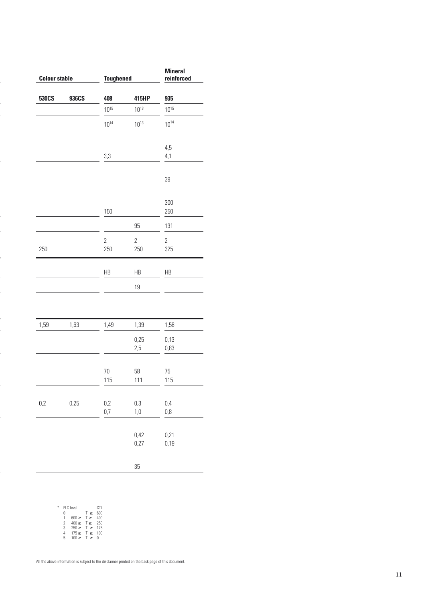| <b>Colour stable</b> |       | <b>Toughened</b> |                | <b>Mineral</b><br>reinforced |  |
|----------------------|-------|------------------|----------------|------------------------------|--|
| 530CS                | 936CS | 408              | 415HP          | 935                          |  |
|                      |       | $10^{15}$        | $10^{13}$      | $10^{15}$                    |  |
|                      |       | $10^{14}$        | $10^{13}$      | $10^{14}$                    |  |
|                      |       | 3,3              |                | 4,5<br>4,1                   |  |
|                      |       |                  |                |                              |  |
|                      |       |                  |                | 39                           |  |
|                      |       | 150              |                | 300<br>250                   |  |
|                      |       |                  | 95             | 131                          |  |
|                      |       | $\overline{2}$   | $\overline{2}$ | $\overline{2}$               |  |
| 250                  |       | 250              | 250            | 325                          |  |
|                      |       | HB               | HB             | HB                           |  |
|                      |       |                  | 19             |                              |  |
|                      |       |                  |                |                              |  |
| 1,59                 | 1,63  | 1,49             | 1,39           | 1,58                         |  |
|                      |       |                  | 0,25<br>2,5    | 0,13<br>0,83                 |  |
|                      |       | 70<br>115        | 58<br>111      | 75<br>115                    |  |
| 0,2                  | 0,25  | 0,2              | 0,3            | 0,4                          |  |
|                      |       | 0,7              | 1,0            | 0,8                          |  |
|                      |       |                  | 0,42<br>0,27   | 0,21<br>0,19                 |  |
|                      |       |                  |                |                              |  |
|                      |       |                  | 35             |                              |  |

| ⋇ |   | PLC leveL  |         | CTI |
|---|---|------------|---------|-----|
|   | Λ |            | T >     | 600 |
|   | 1 | 600 >      | $T$ $>$ | 400 |
|   | 2 | 400 >      | T       | 250 |
|   | 3 | $250 \geq$ | T >     | 175 |
|   | 4 | 175 >      | T >     | 100 |
|   | 5 | 100 >      | T1      | Π   |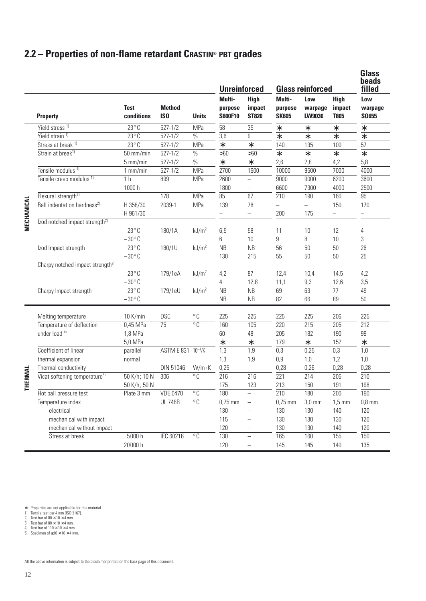# **2.2 – Properties of non-flame retardant CRASTIN**® **PBT grades**

|                   |                                              |                           |                                  |                   | <b>Unreinforced</b>          |                                       |                                   | <b>Glass reinforced</b>  |                                      | <b>Glass</b><br><b>beads</b><br>filled |
|-------------------|----------------------------------------------|---------------------------|----------------------------------|-------------------|------------------------------|---------------------------------------|-----------------------------------|--------------------------|--------------------------------------|----------------------------------------|
|                   | <b>Property</b>                              | <b>Test</b><br>conditions | <b>Method</b><br>IS <sub>0</sub> | <b>Units</b>      | Multi-<br>purpose<br>S600F10 | <b>High</b><br>impact<br><b>ST820</b> | Multi-<br>purpose<br><b>SK605</b> | Low<br>warpage<br>LW9030 | <b>High</b><br>impact<br><b>T805</b> | Low<br>warpage<br>S0655                |
|                   | Yield stress <sup>1)</sup>                   | $23^{\circ}$ C            | $527 - 1/2$                      | MPa               | 58                           | 35                                    | *                                 | *                        | *                                    | *                                      |
|                   | Yield strain <sup>1)</sup>                   | $23^{\circ}$ C            | $527 - 1/2$                      | $\%$              | 3,6                          | 9                                     | *                                 | $\ast$                   | $\ast$                               | $\ast$                                 |
|                   | Stress at break <sup>1)</sup>                | $23^{\circ}$ C            | $527 - 1/2$                      | MPa               | $\ast$                       | $\ast$                                | 140                               | 135                      | 100                                  | 57                                     |
|                   | Strain at break <sup>1)</sup>                | 50 mm/min                 | $527 - 1/2$                      | $\%$              | >50                          | $>50$                                 | $\ast$                            | $\ast$                   | *                                    | $\ast$                                 |
|                   |                                              | 5 mm/min                  | $527 - 1/2$                      | $\%$              | $\ast$                       | $\ast$                                | 2,6                               | 2,8                      | 4,2                                  | 5,8                                    |
|                   | Tensile modulus <sup>1)</sup>                | $1$ mm/min                | $527 - 1/2$                      | MPa               | 2700                         | 1600                                  | 10000                             | 9500                     | 7000                                 | 4000                                   |
|                   | Tensile creep modulus <sup>1)</sup>          | 1 <sub>h</sub>            | 899                              | MPa               | 2600                         | $\qquad \qquad -$                     | 9000                              | 9000                     | 6200                                 | 3600                                   |
|                   |                                              | 1000 h                    |                                  |                   | 1800                         | $\overline{\phantom{0}}$              | 6600                              | 7300                     | 4000                                 | 2500                                   |
|                   | Flexural strength <sup>2)</sup>              |                           | 178                              | MPa               | 85                           | 67                                    | 210                               | 190                      | 160                                  | 95                                     |
|                   | Ball indentation hardness <sup>2)</sup>      | H 358/30                  | 2039-1                           | MPa               | 139                          | 78                                    |                                   | $\equiv$                 | 150                                  | 170                                    |
|                   |                                              | H 961/30                  |                                  |                   |                              | $\overline{\phantom{0}}$              | 200                               | 175                      | $\overline{\phantom{0}}$             |                                        |
| <b>MECHANICAL</b> | Izod notched impact strength <sup>2)</sup>   |                           |                                  |                   |                              |                                       |                                   |                          |                                      |                                        |
|                   |                                              | $23^{\circ}$ C            | 180/1A                           | kJ/m <sup>2</sup> | 6,5                          | 58                                    | 11                                | 10                       | 12                                   | 4                                      |
|                   |                                              | $-30^{\circ}$ C           |                                  |                   | 6                            | 10                                    | 9                                 | 8                        | 10                                   | $\sqrt{3}$                             |
|                   | Izod Impact strength                         | $23^{\circ}$ C            | 180/1U                           | kJ/m <sup>2</sup> | <b>NB</b>                    | <b>NB</b>                             | 56                                | 50                       | 50                                   | 26                                     |
|                   |                                              | $-30^{\circ}$ C           |                                  |                   | 130                          | 215                                   | 55                                | 50                       | 50                                   | 25                                     |
|                   | Charpy notched impact strength <sup>3)</sup> |                           |                                  |                   |                              |                                       |                                   |                          |                                      |                                        |
|                   |                                              | $23^{\circ}$ C            | 179/1eA                          | kJ/m <sup>2</sup> | 4,2                          | 87                                    | 12,4                              | 10,4                     | 14,5                                 | 4,2                                    |
|                   |                                              | $-30^{\circ}$ C           |                                  |                   | 4                            | 12,8                                  | 11,1                              | 9,3                      | 12,6                                 | 3,5                                    |
|                   | Charpy Impact strength                       | $23^{\circ}$ C            | 179/1eU                          | kJ/m <sup>2</sup> | <b>NB</b>                    | <b>NB</b>                             | 69                                | 63                       | 77                                   | 49                                     |
|                   |                                              | $-30^{\circ}$ C           |                                  |                   | <b>NB</b>                    | <b>NB</b>                             | 82                                | 66                       | 89                                   | 50                                     |
|                   |                                              |                           |                                  |                   |                              |                                       |                                   |                          |                                      |                                        |
|                   | Melting temperature                          | 10 K/min                  | <b>DSC</b>                       | $^{\circ}$ C      | 225                          | 225                                   | 225                               | 225                      | 206                                  | 225                                    |
|                   | Temperature of deflection                    | 0,45 MPa                  | 75                               | $^{\circ}$ C      | 160                          | 105                                   | 220                               | 215                      | 205                                  | $\overline{212}$                       |
|                   | under load 4)                                | 1,8 MPa                   |                                  |                   | 60                           | 48                                    | 205                               | 182                      | 190                                  | 99                                     |
|                   |                                              | 5,0 MPa                   |                                  |                   | ∗                            | ∗                                     | 179                               | *                        | 152                                  | $\ast$                                 |
|                   | Coefficient of linear                        | parallel                  | ASTM E 831 10 <sup>-4</sup> /K   |                   | 1,3                          | 1,9                                   | 0,3                               | 0,25                     | 0,3                                  | 1,0                                    |
|                   | thermal expansion                            | normal                    |                                  |                   | 1,3                          | 1,9                                   | 0,9                               | 1,0                      | 1,2                                  | 1,0                                    |
|                   | Thermal conductivity                         |                           | DIN 51046                        | $W/m \cdot K$     | 0,25                         |                                       | 0,28                              | 0,26                     | 0,28                                 | 0,28                                   |
| <b>THERMAL</b>    | Vicat softening temperature <sup>5)</sup>    | 50 K/h; 10 N              | 306                              | $\overline{C}$    | $\overline{216}$             | 216                                   | 221                               | 214                      | 205                                  | 210                                    |
|                   |                                              | 50 K/h; 50 N              |                                  |                   | 175                          | 123                                   | 213                               | 150                      | 191                                  | 198                                    |
|                   | Hot ball pressure test                       | Plate 3 mm                | <b>VDE 0470</b>                  | $^{\circ}$ C      | 180                          | $\overline{\phantom{0}}$              | 210                               | 180                      | 200                                  | 190                                    |
|                   | Temperature index                            |                           | <b>UL 746B</b>                   | $\overline{C}$    | $0,75$ mm                    | $\equiv$                              | $0,75$ mm                         | $\overline{3,0}$ mm      | $1,5$ mm                             | $0,8$ mm                               |
|                   | electrical                                   |                           |                                  |                   | 130                          |                                       | 130                               | 130                      | 140                                  | 120                                    |
|                   | mechanical with impact                       |                           |                                  |                   | 115                          |                                       | 130                               | 130                      | 130                                  | 120                                    |
|                   | mechanical without impact                    |                           |                                  |                   | 120                          |                                       | 130                               | 130                      | 140                                  | 120                                    |
|                   | Stress at break                              | 5000h                     | IEC 60216                        | $\overline{C}$    | 130                          | $\equiv$                              | 165                               | 160                      | 155                                  | 150                                    |
|                   |                                              | 20000 h                   |                                  |                   | 120                          | $\overline{\phantom{0}}$              | 145                               | 145                      | 140                                  | 135                                    |

∗ Properties are not applicable for this material. 1) Tensile test bar 4 mm (ISO 3167). 2) Test bar of 80 × 10 × 4 mm. 3) Test bar of 80 × 10 × 4 mm. 4) Test bar of 110 × 10 × 4 mm. 5) Specimen of ≥10 × 10 × 4 mm.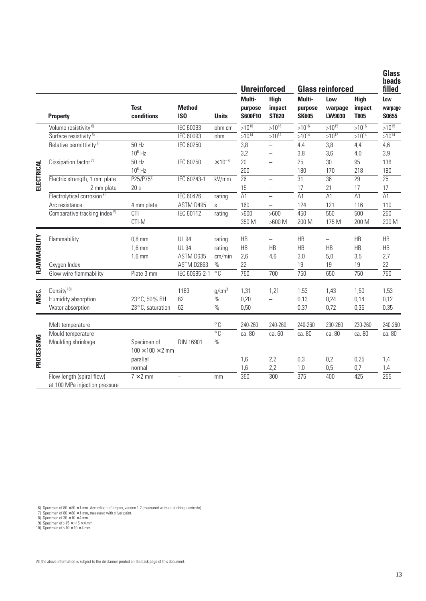|              |                                          |                              |                                  |                           | <b>Unreinforced</b>          |                                       |                                   | <b>Glass reinforced</b>  |                                      | <b>Glass</b><br>beads<br>filled |
|--------------|------------------------------------------|------------------------------|----------------------------------|---------------------------|------------------------------|---------------------------------------|-----------------------------------|--------------------------|--------------------------------------|---------------------------------|
|              | <b>Property</b>                          | <b>Test</b><br>conditions    | <b>Method</b><br>IS <sub>0</sub> | <b>Units</b>              | Multi-<br>purpose<br>S600F10 | <b>High</b><br>impact<br><b>ST820</b> | Multi-<br>purpose<br><b>SK605</b> | Low<br>warpage<br>LW9030 | <b>High</b><br>impact<br><b>T805</b> | Low<br>warpage<br>S0655         |
|              | Volume resistivity <sup>6)</sup>         |                              | <b>IEC 60093</b>                 | ohm cm                    | $>10^{16}$                   | $>10^{16}$                            | $>10^{16}$                        | $>10^{15}$               | $>10^{16}$                           | $>10^{15}$                      |
|              | Surface resistivity <sup>6)</sup>        |                              | <b>IEC 60093</b>                 | ohm                       | $>10^{14}$                   | $>10^{14}$                            | $>10^{14}$                        | $>10^{13}$               | $>10^{14}$                           | $>10^{14}$                      |
|              | Relative permittivity <sup>7)</sup>      | 50 Hz                        | <b>IEC 60250</b>                 |                           | 3,8                          |                                       | 4,4                               | 3,8                      | 4,4                                  | 4,6                             |
|              |                                          | $10^6$ Hz                    |                                  |                           | 3,2                          | -                                     | 3,8                               | 3,6                      | 4,0                                  | 3,9                             |
|              | Dissipation factor <sup>7)</sup>         | 50 Hz                        | <b>IEC 60250</b>                 | $\times$ 10 <sup>-4</sup> | 20                           | $\overline{\phantom{0}}$              | 25                                | 30                       | 95                                   | 136                             |
|              |                                          | $10^6$ Hz                    |                                  |                           | 200                          | -                                     | 180                               | 170                      | 218                                  | 190                             |
| ELECTRICAL   | Electric strength, 1 mm plate            | P25/P757                     | IEC 60243-1                      | kV/mm                     | 26                           | $\overline{\phantom{0}}$              | 31                                | 36                       | 29                                   | 25                              |
|              | 2 mm plate                               | 20 s                         |                                  |                           | 15                           |                                       | 17                                | 21                       | 17                                   | 17                              |
|              | Electrolytical corrosion <sup>8)</sup>   |                              | <b>IEC 60426</b>                 | rating                    | A1                           | $\overline{\phantom{0}}$              | A1                                | A1                       | A1                                   | A1                              |
|              | Arc resistance                           | 4 mm plate                   | ASTM D495                        | $\mathsf S$               | 160                          | -                                     | 124                               | 121                      | 116                                  | 110                             |
|              | Comparative tracking index <sup>9)</sup> | CTI                          | IEC 60112                        | rating                    | >600                         | >600                                  | 450                               | 550                      | 500                                  | 250                             |
|              |                                          | CTI-M                        |                                  |                           | 350 M                        | $>600$ M                              | 200 M                             | 175 M                    | 200 M                                | 200 M                           |
|              | Flammability                             | $0,8$ mm                     | <b>UL 94</b>                     | rating                    | HB                           | $\overline{\phantom{0}}$              | HB                                |                          | HB                                   | HB                              |
|              |                                          | $1,6$ mm                     | <b>UL 94</b>                     | rating                    | HB                           | HB                                    | HB                                | HB                       | HB                                   | HB                              |
|              |                                          | $1,6$ mm                     | ASTM D635                        | cm/min                    | 2,6                          | 4,6                                   | 3,0                               | 5,0                      | 3,5                                  | 2,7                             |
| FLAMMABILITY | Oxygen Index                             |                              | ASTM D2863                       | $\%$                      | $\overline{22}$              | $\overline{\phantom{0}}$              | 19                                | 19                       | 19                                   | $\overline{22}$                 |
|              | Glow wire flammability                   | Plate 3 mm                   | IEC 60695-2-1                    | $\overline{C}$            | 750                          | 700                                   | 750                               | 650                      | 750                                  | 750                             |
|              | Density <sup>10)</sup>                   |                              | 1183                             | g/cm <sup>3</sup>         | 1,31                         | 1,21                                  | 1,53                              | 1,43                     | 1,50                                 | 1,53                            |
| MISC.        | Humidity absorption                      | 23°C, 50% RH                 | 62                               | $\%$                      | 0,20                         | $\overline{\phantom{0}}$              | 0,13                              | 0,24                     | 0,14                                 | 0,12                            |
|              | Water absorption                         | 23°C, saturation             | 62                               | $\frac{0}{0}$             | 0,50                         | $\overline{\phantom{0}}$              | 0,37                              | 0,72                     | 0,35                                 | 0,35                            |
|              | Melt temperature                         |                              |                                  | $^{\circ}$ C              | 240-260                      | 240-260                               | 240-260                           | 230-260                  | 230-260                              | 240-260                         |
|              | Mould temperature                        |                              |                                  | $\overline{\circ}$ C      | ca. 80                       | ca. 60                                | ca. 80                            | ca. 80                   | ca. 80                               | ca. 80                          |
|              | Moulding shrinkage                       | Specimen of                  | DIN 16901                        | $\%$                      |                              |                                       |                                   |                          |                                      |                                 |
|              |                                          | $100 \times 100 \times 2$ mm |                                  |                           |                              |                                       |                                   |                          |                                      |                                 |
|              |                                          | parallel                     |                                  |                           | 1,6                          | 2,2                                   | 0,3                               | 0,2                      | 0,25                                 | 1,4                             |
| PROCESSING   |                                          | normal                       |                                  |                           | 1,6                          | 2,2                                   | 1,0                               | 0,5                      | 0,7                                  | 1,4                             |
|              | Flow length (spiral flow)                | $7 \times 2$ mm              |                                  | mm                        | 350                          | 300                                   | 375                               | 400                      | 425                                  | 255                             |
|              | at 100 MPa injection pressure            |                              |                                  |                           |                              |                                       |                                   |                          |                                      |                                 |
|              |                                          |                              |                                  |                           |                              |                                       |                                   |                          |                                      |                                 |

6) Specimen of 80  $\times$  80  $\times$  1 mm. According to Campus, version 1.2 (measured without sticking electrode).<br>7) Specimen of 80  $\times$  80  $\times$  1 mm, measured with silver paint.<br>8) Specimen of 30  $\times$  10  $\times$  4 mm.<br>9) Specime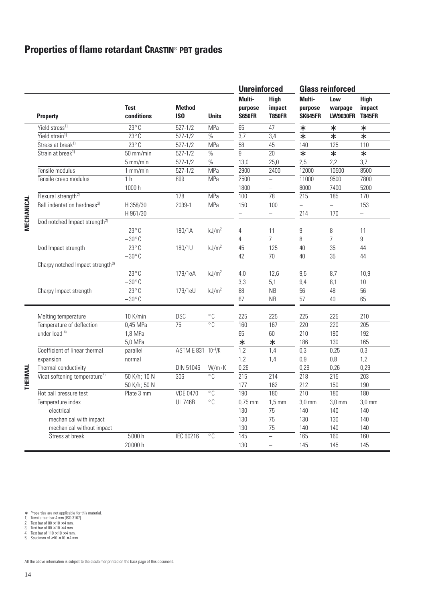# **Properties of flame retardant CRASTIN**® **PBT grades**

|                    |                                              |                           |                                  |                      | <b>Unreinforced</b>                |                                        |                              | <b>Glass reinforced</b>           |                                        |  |  |
|--------------------|----------------------------------------------|---------------------------|----------------------------------|----------------------|------------------------------------|----------------------------------------|------------------------------|-----------------------------------|----------------------------------------|--|--|
|                    | <b>Property</b>                              | <b>Test</b><br>conditions | <b>Method</b><br>IS <sub>0</sub> | <b>Units</b>         | Multi-<br>purpose<br><b>S650FR</b> | <b>High</b><br>impact<br><b>T850FR</b> | Multi-<br>purpose<br>SK645FR | Low<br>warpage<br><b>LW9030FR</b> | <b>High</b><br>impact<br><b>T845FR</b> |  |  |
|                    | Yield stress <sup>1)</sup>                   | $23^{\circ}$ C            | $527 - 1/2$                      | MPa                  | 65                                 | 47                                     | $\ast$                       | $\ast$                            | $\ast$                                 |  |  |
|                    | Yield strain <sup>1)</sup>                   | $23^{\circ}$ C            | $527 - 1/2$                      | $\%$                 | 3,7                                | 3,4                                    | $\ast$                       | $\ast$                            | $\ast$                                 |  |  |
|                    | Stress at break <sup>1)</sup>                | $23^{\circ}$ C            | $527 - 1/2$                      | MPa                  | 58                                 | 45                                     | 140                          | 125                               | 110                                    |  |  |
|                    | Strain at break <sup>1)</sup>                | 50 mm/min                 | $527 - 1/2$                      | $\%$                 | 9                                  | 20                                     | $\ast$                       | $\ast$                            | $\ast$                                 |  |  |
|                    |                                              | 5 mm/min                  | $527 - 1/2$                      | $\%$                 | 13,0                               | 25,0                                   | 2,5                          | 2,2                               | 3,7                                    |  |  |
|                    | Tensile modulus                              | $1$ mm/min                | $527 - 1/2$                      | MPa                  | 2900                               | 2400                                   | 12000                        | 10500                             | 8500                                   |  |  |
|                    | Tensile creep modulus                        | 1 <sub>h</sub>            | 899                              | MPa                  | 2500                               | $\overline{\phantom{0}}$               | 11000                        | 9500                              | 7800                                   |  |  |
|                    |                                              | 1000 h                    |                                  |                      | 1800                               |                                        | 8000                         | 7400                              | 5200                                   |  |  |
|                    | Flexural strength <sup>2)</sup>              |                           | 178                              | MPa                  | 100                                | 78                                     | 215                          | 185                               | 170                                    |  |  |
| <b>VIECHANICAL</b> | Ball indentation hardness <sup>2)</sup>      | H 358/30<br>H 961/30      | 2039-1                           | MPa                  | 150                                | 100<br>$\qquad \qquad -$               | $\overline{a}$<br>214        | $\equiv$<br>170                   | 153<br>-                               |  |  |
|                    | Izod notched Impact strength <sup>2)</sup>   | $23^{\circ}$ C            | 180/1A                           | kJ/m <sup>2</sup>    | 4                                  | 11                                     | 9                            | 8                                 | 11                                     |  |  |
|                    |                                              | $-30^{\circ}$ C           |                                  |                      | 4                                  | $\overline{7}$                         | 8                            | $\overline{7}$                    | 9                                      |  |  |
|                    | Izod Impact strength                         | $23^{\circ}$ C            | 180/1U                           | kJ/m <sup>2</sup>    | 45                                 | 125                                    | 40                           | 35                                | 44                                     |  |  |
|                    |                                              | $-30^{\circ}$ C           |                                  |                      | 42                                 | 70                                     | 40                           | 35                                | 44                                     |  |  |
|                    | Charpy notched Impact strength <sup>3)</sup> |                           |                                  |                      |                                    |                                        |                              |                                   |                                        |  |  |
|                    |                                              | $23^{\circ}$ C            | 179/1eA                          | kJ/m <sup>2</sup>    | 4,0                                | 12,6                                   | 9,5                          | 8,7                               | 10,9                                   |  |  |
|                    |                                              | $-30^{\circ}$ C           |                                  |                      | 3,3                                | 5,1                                    | 9,4                          | 8,1                               | 10                                     |  |  |
|                    | Charpy Impact strength                       | $23^{\circ}$ C            | 179/1eU                          | kJ/m <sup>2</sup>    | 88                                 | <b>NB</b>                              | 56                           | 48                                | 56                                     |  |  |
|                    |                                              | $-30^{\circ}$ C           |                                  |                      | 67                                 | <b>NB</b>                              | 57                           | 40                                | 65                                     |  |  |
|                    | Melting temperature                          | 10 K/min                  | <b>DSC</b>                       | $^{\circ}$ C         | 225                                | 225                                    | 225                          | 225                               | 210                                    |  |  |
|                    | Temperature of deflection                    | $0,45$ MPa                | 75                               | $^{\circ}$ C         | 160                                | 167                                    | 220                          | 220                               | 205                                    |  |  |
|                    | under load 4)                                | 1,8 MPa                   |                                  |                      | 65                                 | 60                                     | 210                          | 190                               | 192                                    |  |  |
|                    |                                              | 5,0 MPa                   |                                  |                      | $\ast$                             | $\ast$                                 | 186                          | 130                               | 165                                    |  |  |
|                    | Coefficient of linear thermal                | parallel                  | ASTM E 831 10-4/K                |                      | $\overline{1,2}$                   | 1,4                                    | 0,3                          | 0,25                              | $\overline{0,3}$                       |  |  |
|                    | expansion                                    | normal                    |                                  |                      | 1,2                                | 1,4                                    | 0,9                          | 0,8                               | 1,2                                    |  |  |
|                    | Thermal conductivity                         |                           | <b>DIN 51046</b>                 | $W/m \cdot K$        | 0,26                               |                                        | 0,29                         | 0,26                              | 0,29                                   |  |  |
| THERMAL            | Vicat softening temperature <sup>5)</sup>    | 50 K/h; 10 N              | 306                              | $^{\circ}$ C         | $\overline{215}$                   | 214                                    | $\overline{218}$             | $\overline{215}$                  | $\overline{203}$                       |  |  |
|                    |                                              | 50 K/h; 50 N              |                                  |                      | 177                                | 162                                    | 212                          | 150                               | 190                                    |  |  |
|                    | Hot ball pressure test                       | Plate 3 mm                | <b>VDE 0470</b>                  | $\overline{\circ}$ C | 190                                | 180                                    | $\overline{210}$             | 180                               | 180                                    |  |  |
|                    | Temperature index                            |                           | <b>UL 746B</b>                   | $\overline{\circ}$ C | $0,75$ mm                          | $1,5$ mm                               | $3,0$ mm                     | $3,0$ mm                          | $3,0$ mm                               |  |  |
|                    | electrical                                   |                           |                                  |                      | 130                                | 75                                     | 140                          | 140                               | 140                                    |  |  |
|                    | mechanical with impact                       |                           |                                  |                      | 130                                | 75                                     | 130                          | 130                               | 140                                    |  |  |
|                    | mechanical without impact                    |                           |                                  |                      | 130                                | 75                                     | 140                          | 140                               | 140                                    |  |  |
|                    | Stress at break                              | 5000 h                    | IEC 60216                        | $\overline{\circ}$ C | 145                                | $\equiv$                               | 165                          | 160                               | 160                                    |  |  |
|                    |                                              | 20000 h                   |                                  |                      | 130                                |                                        | 145                          | 145                               | 145                                    |  |  |

∗ Properties are not applicable for this material. 1) Tensile test bar 4 mm (ISO 3167). 2) Test bar of 80 × 10 × 4 mm. 3) Test bar of 80 × 10 × 4 mm. 4) Test bar of 110 × 10 × 4 mm. 5) Specimen of ≥10 × 10 × 4 mm.

- 
- 
- 
-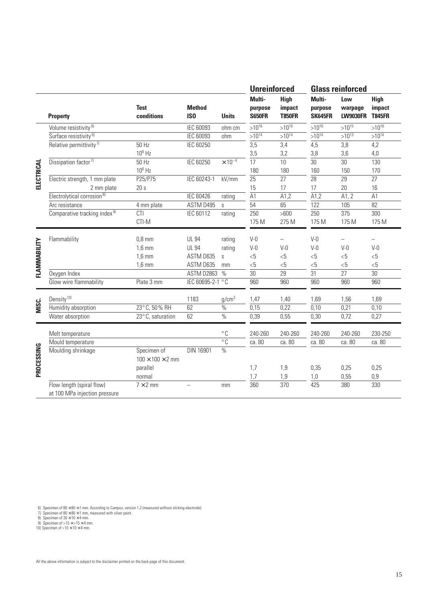|              |                                          |                                             |                                  |                   | <b>Unreinforced</b>                |                                        |                                     | <b>Glass reinforced</b>           |                                        |
|--------------|------------------------------------------|---------------------------------------------|----------------------------------|-------------------|------------------------------------|----------------------------------------|-------------------------------------|-----------------------------------|----------------------------------------|
|              | <b>Property</b>                          | <b>Test</b><br>conditions                   | <b>Method</b><br>IS <sub>0</sub> | <b>Units</b>      | Multi-<br>purpose<br><b>S650FR</b> | <b>High</b><br>impact<br><b>T850FR</b> | Multi-<br>purpose<br><b>SK645FR</b> | Low<br>warpage<br><b>LW9030FR</b> | <b>High</b><br>impact<br><b>T845FR</b> |
|              | Volume resistivity <sup>6)</sup>         |                                             | IEC 60093                        | ohm cm            | $>10^{16}$                         | $>10^{16}$                             | $>10^{16}$                          | $>10^{15}$                        | $>10^{16}$                             |
|              | Surface resistivity <sup>6)</sup>        |                                             | <b>IEC 60093</b>                 | ohm               | $>10^{14}$                         | $>10^{14}$                             | $>10^{14}$                          | $>10^{13}$                        | $>10^{14}$                             |
|              | Relative permittivity <sup>7)</sup>      | 50 Hz                                       | IEC 60250                        |                   | $\overline{3,5}$                   | 3,4                                    | $\overline{4,5}$                    | 3,8                               | 4,2                                    |
|              |                                          | $10^6$ Hz                                   |                                  |                   | 3,5                                | 3,2                                    | 3,8                                 | 3,6                               | 4,0                                    |
|              | Dissipation factor <sup>7)</sup>         | $50$ Hz                                     | <b>IEC 60250</b>                 | $\times 10^{-4}$  | 17                                 | 10                                     | $\overline{30}$                     | $\overline{30}$                   | 130                                    |
|              |                                          | $10^6$ Hz                                   |                                  |                   | 180                                | 180                                    | 160                                 | 150                               | 170                                    |
| ELECTRICAL   | Electric strength, 1 mm plate            | P25/P75                                     | IEC 60243-1                      | kV/mm             | $\overline{25}$                    | $\overline{27}$                        | $\overline{28}$                     | $\overline{29}$                   | 27                                     |
|              | 2 mm plate                               | 20s                                         |                                  |                   | 15                                 | 17                                     | 17                                  | 20                                | 16                                     |
|              | Electrolytical corrosion <sup>8)</sup>   |                                             | <b>IEC 60426</b>                 | rating            | A1                                 | A1,2                                   | A1,2                                | A1, 2                             | A1                                     |
|              | Arc resistance                           | 4 mm plate                                  | ASTM D495                        | <sub>S</sub>      | 54                                 | 65                                     | 122                                 | 105                               | 82                                     |
|              | Comparative tracking index <sup>9)</sup> | CTI                                         | IEC 60112                        | rating            | 250                                | $>600$                                 | 250                                 | $\overline{375}$                  | 300                                    |
|              |                                          | CTI-M                                       |                                  |                   | 175 M                              | 275 M                                  | 175 M                               | 175 M                             | 175 M                                  |
|              | Flammability                             | $0.8$ mm                                    | <b>UL 94</b>                     | rating            | $V-0$                              |                                        | $V-0$                               |                                   |                                        |
|              |                                          | $1,6$ mm                                    | <b>UL 94</b>                     | rating            | $V-0$                              | $V-0$                                  | $V-0$                               | $V-0$                             | $V-0$                                  |
|              |                                          | $1,6$ mm                                    | ASTM D635                        | S                 | <5                                 | <5                                     | $<$ 5                               | <5                                | <5                                     |
|              |                                          | $1,6$ mm                                    | ASTM D635                        | mm                | <5                                 | <5                                     | <5                                  | <5                                | <5                                     |
| FLAMMABILITY | Oxygen Index                             |                                             | ASTM D2863                       | $\%$              | $\overline{30}$                    | 29                                     | $\overline{31}$                     | 27                                | 30                                     |
|              | Glow wire flammability                   | Plate 3 mm                                  | IEC 60695-2-1 °C                 |                   | 960                                | 960                                    | 960                                 | 960                               | 960                                    |
|              | Density <sup>10)</sup>                   |                                             | 1183                             | g/cm <sup>3</sup> | 1,47                               | 1,40                                   | 1,69                                | 1,56                              | 1,69                                   |
| ນ<br>MISC.   | Humidity absorption                      | 23°C, 50% RH                                | 62                               | $\%$              | 0,15                               | 0,22                                   | 0,10                                | 0,21                              | 0,10                                   |
|              | Water absorption                         | 23°C, saturation                            | 62                               | $\frac{0}{0}$     | 0,39                               | 0,55                                   | 0,30                                | 0,72                              | 0,27                                   |
|              | Melt temperature                         |                                             |                                  | $^{\circ}$ C      | 240-260                            | 240-260                                | 240-260                             | 240-260                           | 230-250                                |
|              | Mould temperature                        |                                             |                                  | $\overline{C}$    | ca. 80                             | ca. 80                                 | ca. 80                              | ca. 80                            | ca. 80                                 |
| PROCESSING   | Moulding shrinkage                       | Specimen of<br>$100 \times 100 \times 2$ mm | DIN 16901                        | $\frac{0}{0}$     |                                    |                                        |                                     |                                   |                                        |
|              |                                          | parallel                                    |                                  |                   | 1,7                                | 1,9                                    | 0,35                                | 0,25                              | 0,25                                   |
|              |                                          | normal                                      |                                  |                   | 1,7                                | 1,9                                    | 1,0                                 | 0,55                              | $0,9$                                  |
|              | Flow length (spiral flow)                | $7 \times 2$ mm                             | $\overline{\phantom{0}}$         | mm                | 360                                | 370                                    | 425                                 | 380                               | 330                                    |
|              | at 100 MPa injection pressure            |                                             |                                  |                   |                                    |                                        |                                     |                                   |                                        |

6) Specimen of 80  $\times$  80  $\times$  1 mm. According to Campus, version 1.2 (measured without sticking electrode).<br>7) Specimen of 80  $\times$  80  $\times$  1 mm, measured with silver paint.<br>8) Specimen of 30  $\times$  10  $\times$  4 mm.<br>9) Specime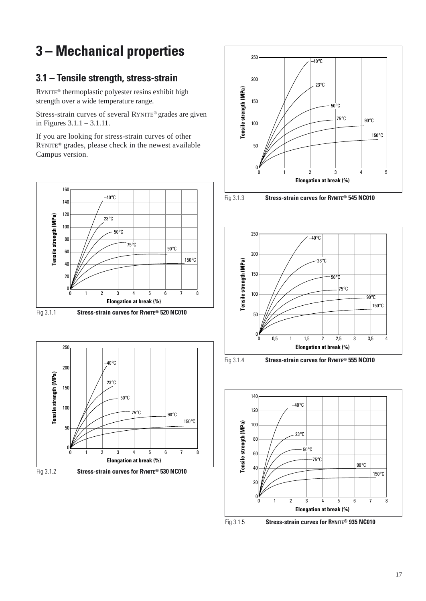# **3 – Mechanical properties**

# **3.1 – Tensile strength, stress-strain**

RYNITE® thermoplastic polyester resins exhibit high strength over a wide temperature range.

Stress-strain curves of several RYNITE® grades are given in Figures 3.1.1 – 3.1.11.

If you are looking for stress-strain curves of other RYNITE® grades, please check in the newest available Campus version.















Fig 3.1.4 **Stress-strain curves for RYNITE® 555 NC010**





Fig 3.1.5 **Stress-strain curves for RYNITE® 935 NC010**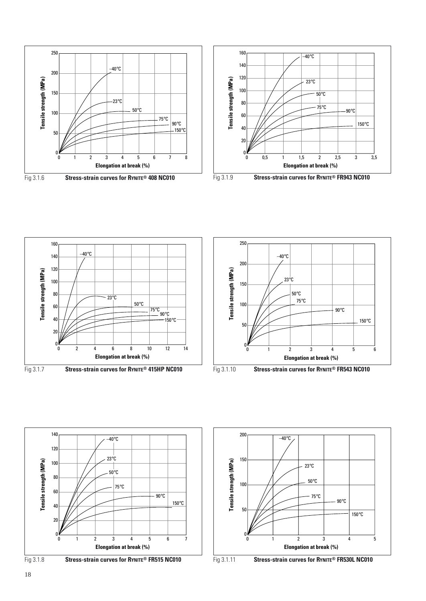











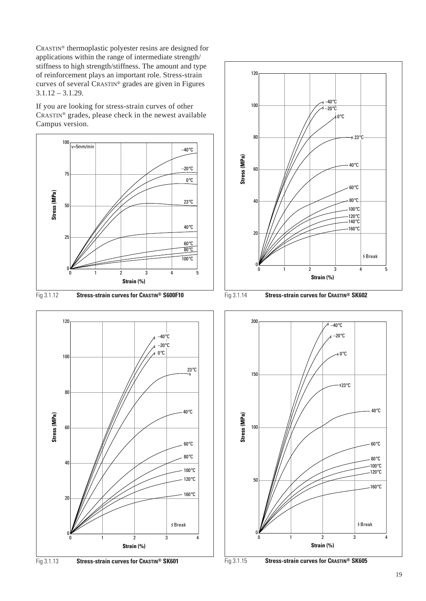CRASTIN® thermoplastic polyester resins are designed for applications within the range of intermediate strength/ stiffness to high strength/stiffness. The amount and type of reinforcement plays an important role. Stress-strain curves of several CRASTIN® grades are given in Figures 3.1.12 – 3.1.29.

If you are looking for stress-strain curves of other CRASTIN® grades, please check in the newest available Campus version.



Fig 3.1.12 **Stress-strain curves for CRASTIN® S600F10** Fig 3.1.14 **Stress-strain curves for CRASTIN® SK602**









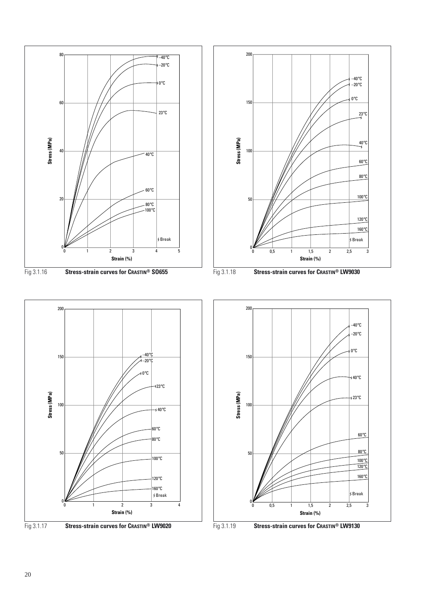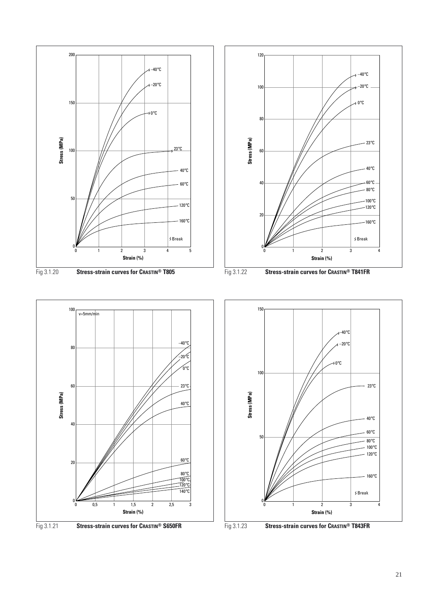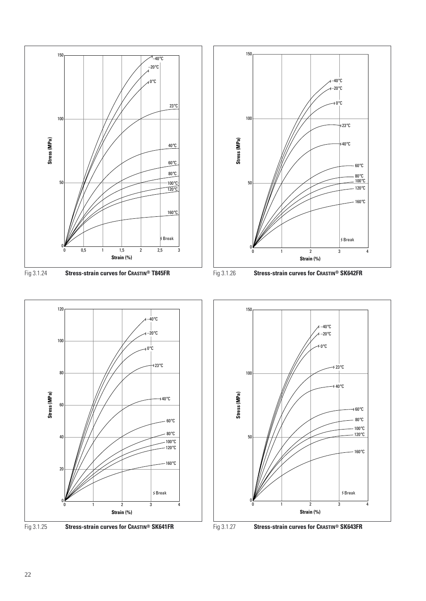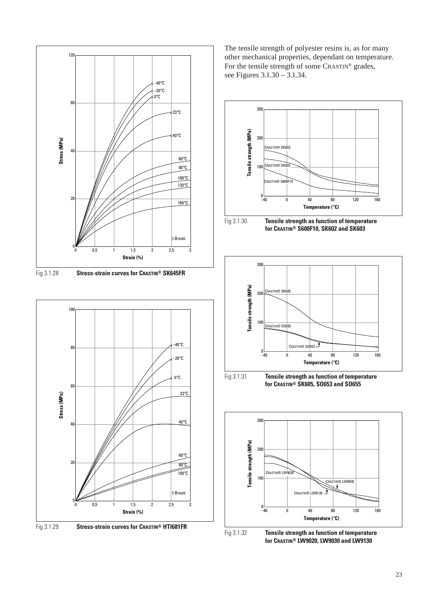



The tensile strength of polyester resins is, as for many other mechanical properties, dependant on temperature. For the tensile strength of some CRASTIN® grades, see Figures 3.1.30 – 3.1.34.





Fig 3.1.32 **Tensile strength as function of temperature for CRASTIN® LW9020, LW9030 and LW9130**

**Temperature (**°**C)**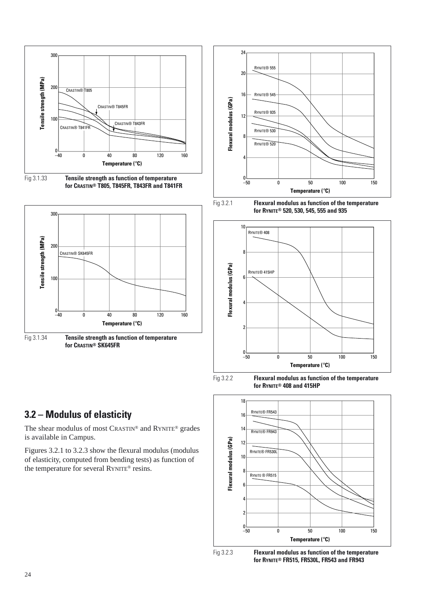

Fig 3.1.33 **Tensile strength as function of temperature for CRASTIN® T805, T845FR, T843FR and T841FR**







Fig 3.2.1 **Flexural modulus as function of the temperature for RYNITE® 520, 530, 545, 555 and 935**



Fig 3.2.2 **Flexural modulus as function of the temperature for RYNITE® 408 and 415HP**



# **3.2 – Modulus of elasticity**

The shear modulus of most CRASTIN® and RYNITE® grades is available in Campus.

Figures 3.2.1 to 3.2.3 show the flexural modulus (modulus of elasticity, computed from bending tests) as function of the temperature for several RYNITE® resins.



Fig 3.2.3 **Flexural modulus as function of the temperature for RYNITE® FR515, FR530L, FR543 and FR943**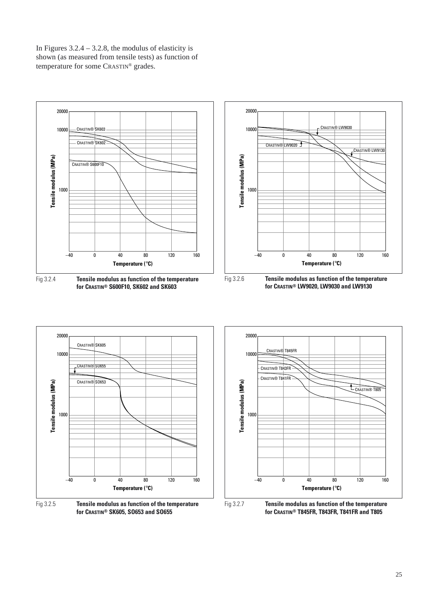In Figures  $3.2.4 - 3.2.8$ , the modulus of elasticity is shown (as measured from tensile tests) as function of temperature for some CRASTIN® grades.



**for CRASTIN® S600F10, SK602 and SK603**



**for CRASTIN® LW9020, LW9030 and LW9130**

Fig 3.2.7 **Tensile modulus as function of the temperature for CRASTIN® T845FR, T843FR, T841FR and T805**

Fig 3.2.5 **Tensile modulus as function of the temperature for CRASTIN® SK605, SO653 and SO655**

**Temperature (**°**C)**

40 80 120 160

 $-40$   $\hskip 40pt 0$ 

**Tensile modulus (MPa)** 1000

10000

20000

CRASTIN® SO655

CRASTIN® SK605

CRASTIN® SO653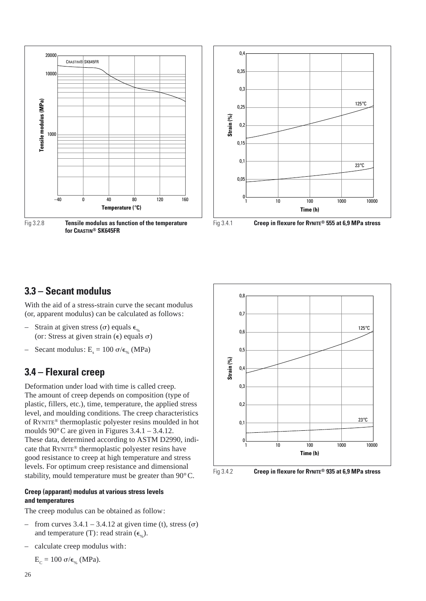

Fig 3.2.8 **Tensile modulus as function of the temperature for CRASTIN® SK645FR**





Fig 3.4.1 **Creep in flexure for RYNITE® 555 at 6,9 MPa stress**

### **3.3 – Secant modulus**

With the aid of a stress-strain curve the secant modulus (or, apparent modulus) can be calculated as follows:

- Strain at given stress ( $\sigma$ ) equals  $\epsilon_{\%}$ (or: Stress at given strain  $(\epsilon)$  equals  $\sigma$ )
- Secant modulus:  $E_s = 100 \sigma/\epsilon_{\gamma}$  (MPa)

### **3.4 – Flexural creep**

Deformation under load with time is called creep. The amount of creep depends on composition (type of plastic, fillers, etc.), time, temperature, the applied stress level, and moulding conditions. The creep characteristics of RYNITE® thermoplastic polyester resins moulded in hot moulds 90°C are given in Figures 3.4.1 – 3.4.12. These data, determined according to ASTM D2990, indicate that RYNITE® thermoplastic polyester resins have good resistance to creep at high temperature and stress levels. For optimum creep resistance and dimensional stability, mould temperature must be greater than 90°C.

### **Creep (apparant) modulus at various stress levels and temperatures**

The creep modulus can be obtained as follow:

- from curves  $3.4.1 3.4.12$  at given time (t), stress ( $\sigma$ ) and temperature (T): read strain  $(\epsilon_{\alpha})$ .
- calculate creep modulus with:

$$
E_{C} = 100 \text{ }\sigma/\varepsilon_{\%} \text{ (MPa)}.
$$



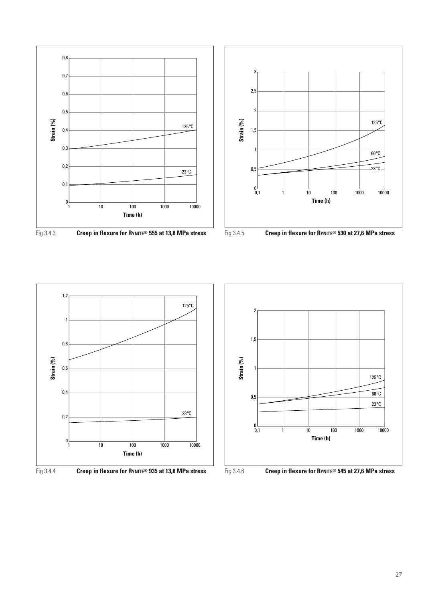











Fig 3.4.6 **Creep in flexure for RYNITE® 545 at 27,6 MPa stress**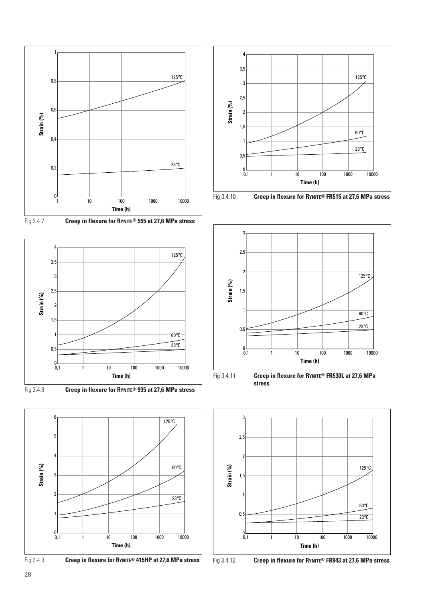





Fig 3.4.8 **Creep in flexure for RYNITE® 935 at 27,6 MPa stress**











Fig 3.4.11 **Creep in flexure for RYNITE® FR530L at 27,6 MPa**

**stress**



Fig 3.4.12 **Creep in flexure for RYNITE® FR943 at 27,6 MPa stress**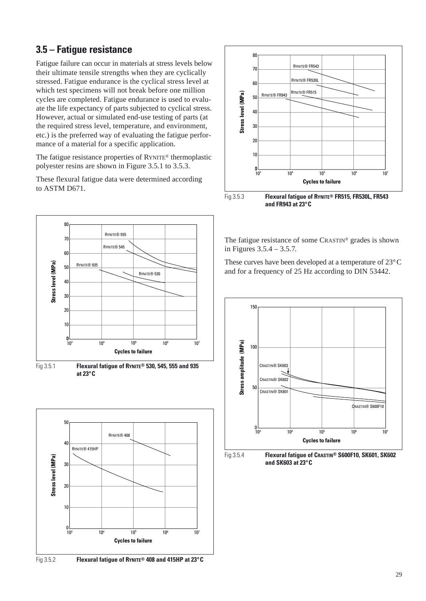# **3.5 – Fatigue resistance**

Fatigue failure can occur in materials at stress levels below their ultimate tensile strengths when they are cyclically stressed. Fatigue endurance is the cyclical stress level at which test specimens will not break before one million cycles are completed. Fatigue endurance is used to evaluate the life expectancy of parts subjected to cyclical stress. However, actual or simulated end-use testing of parts (at the required stress level, temperature, and environment, etc.) is the preferred way of evaluating the fatigue performance of a material for a specific application.

The fatigue resistance properties of RYNITE® thermoplastic polyester resins are shown in Figure 3.5.1 to 3.5.3.

These flexural fatigue data were determined according to ASTM D671.



Fig 3.5.1 **Flexural fatigue of RYNITE® 530, 545, 555 and 935 at 23°C**







The fatigue resistance of some CRASTIN® grades is shown in Figures 3.5.4 – 3.5.7.

These curves have been developed at a temperature of 23°C and for a frequency of 25 Hz according to DIN 53442.

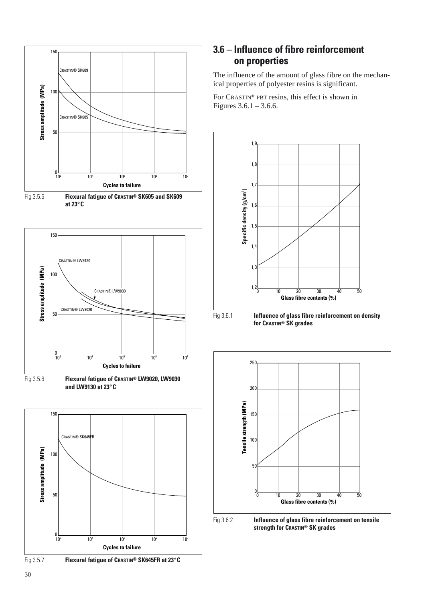

### Fig 3.5.7 **Flexural fatigue of CRASTIN® SK645FR at 23°C**

### **3.6 – Influence of fibre reinforcement on properties**

The influence of the amount of glass fibre on the mechanical properties of polyester resins is significant.

For CRASTIN® PBT resins, this effect is shown in Figures 3.6.1 – 3.6.6.



Fig 3.6.2 **Influence of glass fibre reinforcement on tensile strength for CRASTIN® SK grades**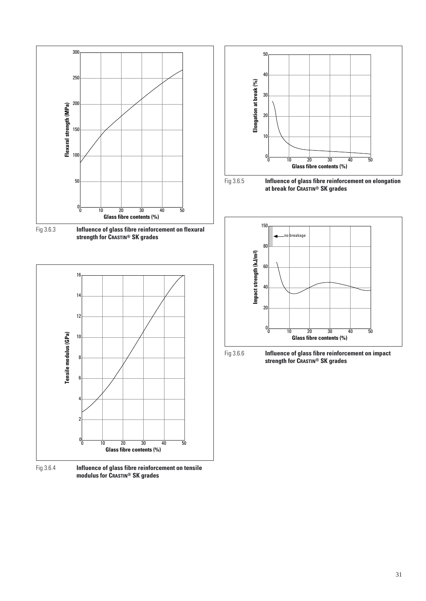

Fig 3.6.3 **Influence of glass fibre reinforcement on flexural strength for CRASTIN® SK grades**



Fig 3.6.4 **Influence of glass fibre reinforcement on tensile modulus for CRASTIN® SK grades**









**strength for CRASTIN® SK grades**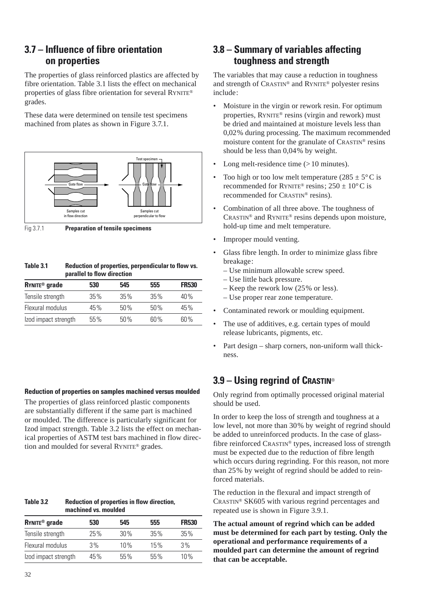## **3.7 – Influence of fibre orientation on properties**

The properties of glass reinforced plastics are affected by fibre orientation. Table 3.1 lists the effect on mechanical properties of glass fibre orientation for several RYNITE® grades.

These data were determined on tensile test specimens machined from plates as shown in Figure 3.7.1.



Fig 3.7.1 **Preparation of tensile specimens**

#### **Table 3.1 Reduction of properties, perpendicular to flow vs. parallel to flow direction**

| <b>RYNITE<sup>®</sup></b> grade | 530 | 545    | 555 | <b>FR530</b> |
|---------------------------------|-----|--------|-----|--------------|
| Tensile strength                | 35% | $35\%$ | 35% | 40%          |
| Flexural modulus                | 45% | 50%    | 50% | 45%          |
| Izod impact strength            | 55% | 50%    | 60% | 60 %         |

### **Reduction of properties on samples machined versus moulded**

The properties of glass reinforced plastic components are substantially different if the same part is machined or moulded. The difference is particularly significant for Izod impact strength. Table 3.2 lists the effect on mechanical properties of ASTM test bars machined in flow direction and moulded for several RYNITE® grades.

**Table 3.2 Reduction of properties in flow direction, machined vs. moulded**

| <b>RYNITE<sup>®</sup></b> grade | 530 | 545 | 555 | <b>FR530</b> |
|---------------------------------|-----|-----|-----|--------------|
| Tensile strength                | 25% | 30% | 35% | $35\%$       |
| Flexural modulus                | 3%  | 10% | 15% | 3%           |
| Izod impact strength            | 45% | 55% | 55% | 10%          |

## **3.8 – Summary of variables affecting toughness and strength**

The variables that may cause a reduction in toughness and strength of CRASTIN® and RYNITE® polyester resins include:

- Moisture in the virgin or rework resin. For optimum properties, RYNITE® resins (virgin and rework) must be dried and maintained at moisture levels less than 0,02% during processing. The maximum recommended moisture content for the granulate of CRASTIN® resins should be less than 0,04% by weight.
- Long melt-residence time (> 10 minutes).
- Too high or too low melt temperature  $(285 \pm 5^{\circ} \text{C})$  is recommended for RYNITE<sup>®</sup> resins;  $250 \pm 10^{\circ}$ C is recommended for CRASTIN® resins).
- Combination of all three above. The toughness of CRASTIN® and RYNITE® resins depends upon moisture, hold-up time and melt temperature.
- Improper mould venting.
- Glass fibre length. In order to minimize glass fibre breakage:
	- Use minimum allowable screw speed.
	- Use little back pressure.
	- Keep the rework low (25% or less).
	- Use proper rear zone temperature.
- Contaminated rework or moulding equipment.
- The use of additives, e.g. certain types of mould release lubricants, pigments, etc.
- Part design sharp corners, non-uniform wall thickness.

# **3.9 – Using regrind of CRASTIN**®

Only regrind from optimally processed original material should be used.

In order to keep the loss of strength and toughness at a low level, not more than 30% by weight of regrind should be added to unreinforced products. In the case of glassfibre reinforced CRASTIN® types, increased loss of strength must be expected due to the reduction of fibre length which occurs during regrinding. For this reason, not more than 25% by weight of regrind should be added to reinforced materials.

The reduction in the flexural and impact strength of CRASTIN® SK605 with various regrind percentages and repeated use is shown in Figure 3.9.1.

**The actual amount of regrind which can be added must be determined for each part by testing. Only the operational and performance requirements of a moulded part can determine the amount of regrind that can be acceptable.**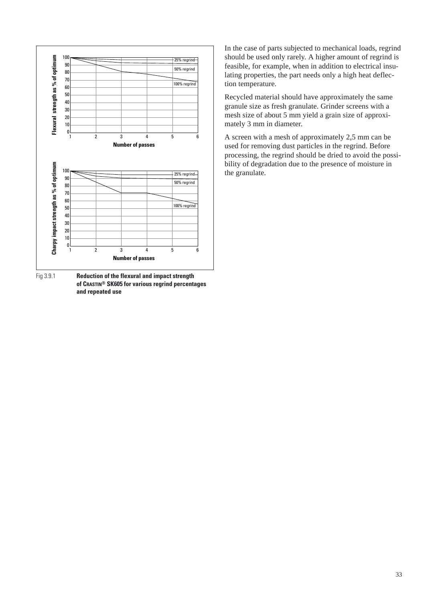

Fig 3.9.1 **Reduction of the flexural and impact strength of CRASTIN® SK605 for various regrind percentages and repeated use**

In the case of parts subjected to mechanical loads, regrind should be used only rarely. A higher amount of regrind is feasible, for example, when in addition to electrical insulating properties, the part needs only a high heat deflection temperature.

Recycled material should have approximately the same granule size as fresh granulate. Grinder screens with a mesh size of about 5 mm yield a grain size of approximately 3 mm in diameter.

A screen with a mesh of approximately 2,5 mm can be used for removing dust particles in the regrind. Before processing, the regrind should be dried to avoid the possibility of degradation due to the presence of moisture in the granulate.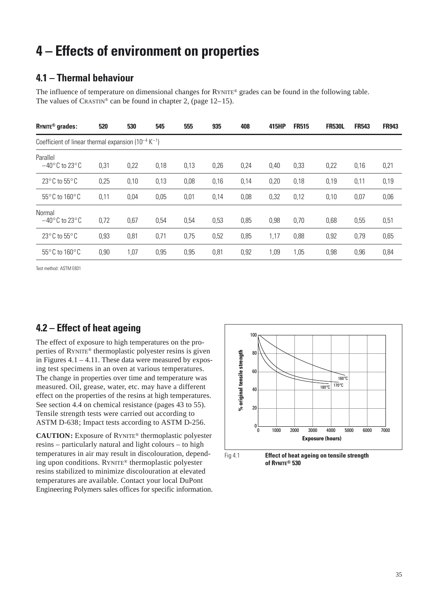# **4 – Effects of environment on properties**

## **4.1 – Thermal behaviour**

The influence of temperature on dimensional changes for RYNITE® grades can be found in the following table. The values of  $C$ RASTIN<sup>®</sup> can be found in chapter 2, (page 12–15).

| RYNITE <sup>®</sup> grades:                                           | 520  | 530  | 545  | 555  | 935  | 408  | 415HP | <b>FR515</b> | <b>FR530L</b> | <b>FR543</b> | <b>FR943</b> |
|-----------------------------------------------------------------------|------|------|------|------|------|------|-------|--------------|---------------|--------------|--------------|
| Coefficient of linear thermal expansion ( $10^{-4}$ K <sup>-1</sup> ) |      |      |      |      |      |      |       |              |               |              |              |
| Parallel<br>$-40^{\circ}$ C to 23 $^{\circ}$ C                        | 0,31 | 0,22 | 0,18 | 0,13 | 0,26 | 0,24 | 0,40  | 0,33         | 0,22          | 0,16         | 0,21         |
| $23^{\circ}$ C to 55 $^{\circ}$ C                                     | 0,25 | 0,10 | 0,13 | 0,08 | 0,16 | 0,14 | 0,20  | 0,18         | 0,19          | 0,11         | 0,19         |
| $55^{\circ}$ C to $160^{\circ}$ C                                     | 0,11 | 0,04 | 0,05 | 0,01 | 0,14 | 0,08 | 0,32  | 0,12         | 0,10          | 0,07         | 0,06         |
| Normal<br>$-40^{\circ}$ C to 23 $^{\circ}$ C                          | 0,72 | 0,67 | 0,54 | 0,54 | 0,53 | 0,85 | 0,98  | 0,70         | 0,68          | 0,55         | 0,51         |
| 23 $\degree$ C to 55 $\degree$ C                                      | 0,93 | 0,81 | 0,71 | 0,75 | 0,52 | 0,85 | 1,17  | 0,88         | 0,92          | 0,79         | 0,65         |
| 55°C to 160°C                                                         | 0,90 | 1,07 | 0,95 | 0,95 | 0,81 | 0,92 | 1,09  | 1,05         | 0,98          | 0,96         | 0,84         |

Test method: ASTM E831

# **4.2 – Effect of heat ageing**

The effect of exposure to high temperatures on the properties of RYNITE® thermoplastic polyester resins is given in Figures  $4.1 - 4.11$ . These data were measured by exposing test specimens in an oven at various temperatures. The change in properties over time and temperature was measured. Oil, grease, water, etc. may have a different effect on the properties of the resins at high temperatures. See section 4.4 on chemical resistance (pages 43 to 55). Tensile strength tests were carried out according to ASTM D-638; Impact tests according to ASTM D-256.

**CAUTION:** Exposure of RYNITE® thermoplastic polyester resins – particularly natural and light colours – to high temperatures in air may result in discolouration, depending upon conditions. RYNITE® thermoplastic polyester resins stabilized to minimize discolouration at elevated temperatures are available. Contact your local DuPont Engineering Polymers sales offices for specific information.



Fig 4.1 **Effect of heat ageing on tensile strength of RYNITE® 530**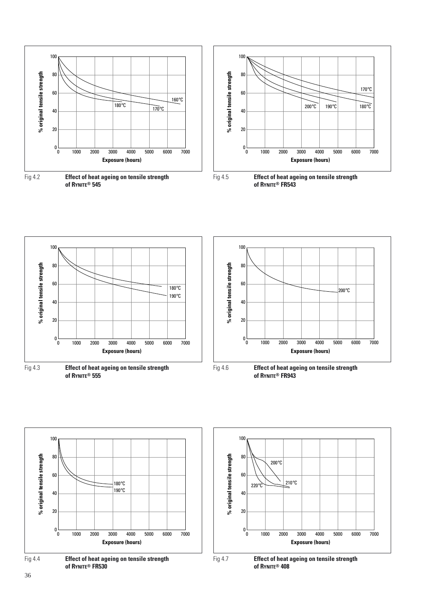













Fig 4.7 **Effect of heat ageing on tensile strength of RYNITE® 408**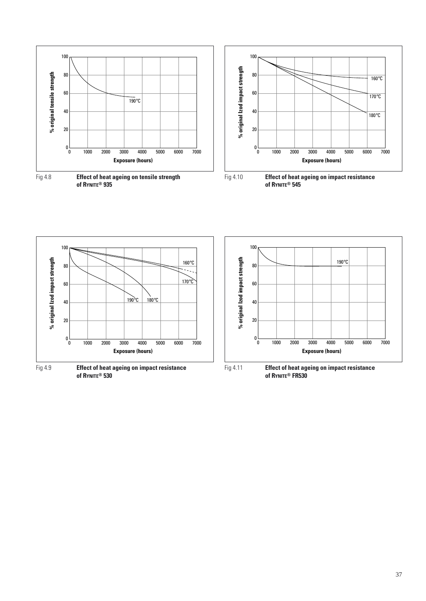

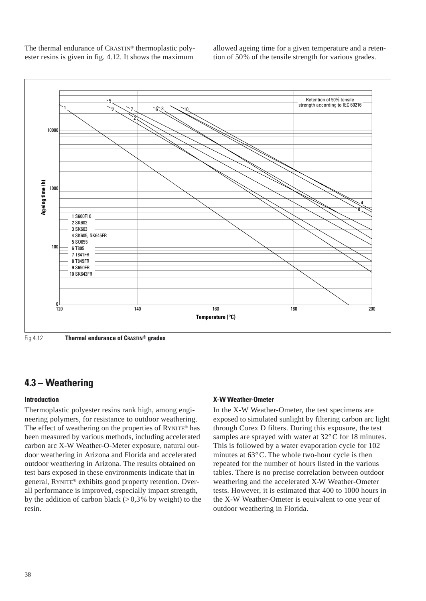The thermal endurance of CRASTIN® thermoplastic polyester resins is given in fig. 4.12. It shows the maximum

allowed ageing time for a given temperature and a retention of 50% of the tensile strength for various grades.



Fig 4.12 **Thermal endurance of CRASTIN® grades**

### **4.3 – Weathering**

### **Introduction**

Thermoplastic polyester resins rank high, among engineering polymers, for resistance to outdoor weathering. The effect of weathering on the properties of RYNITE® has been measured by various methods, including accelerated carbon arc X-W Weather-O-Meter exposure, natural outdoor weathering in Arizona and Florida and accelerated outdoor weathering in Arizona. The results obtained on test bars exposed in these environments indicate that in general, RYNITE® exhibits good property retention. Overall performance is improved, especially impact strength, by the addition of carbon black  $(> 0.3\%$  by weight) to the resin.

### **X-W Weather-Ometer**

In the X-W Weather-Ometer, the test specimens are exposed to simulated sunlight by filtering carbon arc light through Corex D filters. During this exposure, the test samples are sprayed with water at  $32^{\circ}$ C for 18 minutes. This is followed by a water evaporation cycle for 102 minutes at 63°C. The whole two-hour cycle is then repeated for the number of hours listed in the various tables. There is no precise correlation between outdoor weathering and the accelerated X-W Weather-Ometer tests. However, it is estimated that 400 to 1000 hours in the X-W Weather-Ometer is equivalent to one year of outdoor weathering in Florida.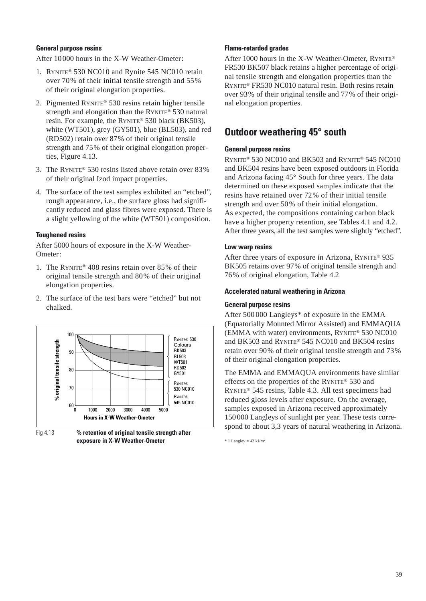### **General purpose resins**

After 10 000 hours in the X-W Weather-Ometer:

- 1. RYNITE® 530 NC010 and Rynite 545 NC010 retain over 70% of their initial tensile strength and 55% of their original elongation properties.
- 2. Pigmented RYNITE® 530 resins retain higher tensile strength and elongation than the RYNITE® 530 natural resin. For example, the RYNITE® 530 black (BK503), white (WT501), grey (GY501), blue (BL503), and red (RD502) retain over 87% of their original tensile strength and 75% of their original elongation properties, Figure 4.13.
- 3. The RYNITE® 530 resins listed above retain over 83% of their original Izod impact properties.
- 4. The surface of the test samples exhibited an "etched", rough appearance, i.e., the surface gloss had significantly reduced and glass fibres were exposed. There is a slight yellowing of the white (WT501) composition.

### **Toughened resins**

After 5000 hours of exposure in the X-W Weather-Ometer:

- 1. The RYNITE® 408 resins retain over 85% of their original tensile strength and 80% of their original elongation properties.
- 2. The surface of the test bars were "etched" but not chalked.





### **Flame-retarded grades**

After 1000 hours in the X-W Weather-Ometer, RYNITE® FR530 BK507 black retains a higher percentage of original tensile strength and elongation properties than the RYNITE® FR530 NC010 natural resin. Both resins retain over 93% of their original tensile and 77% of their original elongation properties.

### **Outdoor weathering 45° south**

### **General purpose resins**

RYNITE® 530 NC010 and BK503 and RYNITE® 545 NC010 and BK504 resins have been exposed outdoors in Florida and Arizona facing 45° South for three years. The data determined on these exposed samples indicate that the resins have retained over 72% of their initial tensile strength and over 50% of their initial elongation. As expected, the compositions containing carbon black have a higher property retention, see Tables 4.1 and 4.2. After three years, all the test samples were slightly "etched".

### **Low warp resins**

After three years of exposure in Arizona, RYNITE® 935 BK505 retains over 97% of original tensile strength and 76% of original elongation, Table 4.2

### **Accelerated natural weathering in Arizona**

### **General purpose resins**

After 500 000 Langleys\* of exposure in the EMMA (Equatorially Mounted Mirror Assisted) and EMMAQUA (EMMA with water) environments, RYNITE® 530 NC010 and BK503 and RYNITE® 545 NC010 and BK504 resins retain over 90% of their original tensile strength and 73% of their original elongation properties.

The EMMA and EMMAQUA environments have similar effects on the properties of the RYNITE® 530 and RYNITE® 545 resins, Table 4.3. All test specimens had reduced gloss levels after exposure. On the average, samples exposed in Arizona received approximately 150 000 Langleys of sunlight per year. These tests correspond to about 3,3 years of natural weathering in Arizona.

 $*$  1 Langley = 42 kJ/m<sup>2</sup>.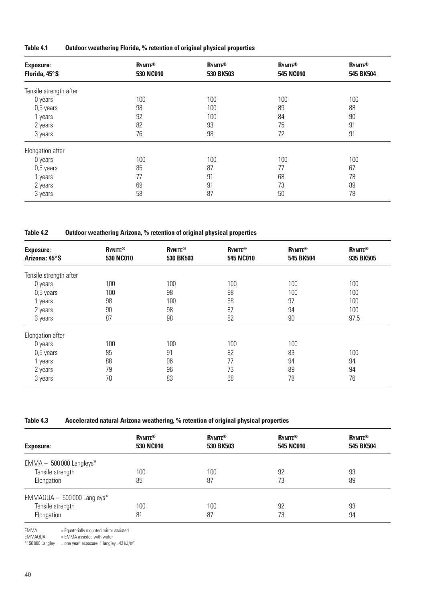| Table 4.1 | Outdoor weathering Florida, % retention of original physical properties |  |  |
|-----------|-------------------------------------------------------------------------|--|--|
|-----------|-------------------------------------------------------------------------|--|--|

| <b>Exposure:</b><br>Florida, 45°S | <b>RYNITE®</b><br>530 NC010 | <b>RYNITE®</b><br>530 BK503 | <b>RYNITE®</b><br>545 NC010 | <b>RYNITE®</b><br>545 BK504 |
|-----------------------------------|-----------------------------|-----------------------------|-----------------------------|-----------------------------|
|                                   |                             |                             |                             |                             |
| Tensile strength after            |                             |                             |                             |                             |
| 0 years                           | 100                         | 100                         | 100                         | 100                         |
| 0,5 years                         | 98                          | 100                         | 89                          | 88                          |
| 1 years                           | 92                          | 100                         | 84                          | 90                          |
| 2 years                           | 82                          | 93                          | 75                          | 91                          |
| 3 years                           | 76                          | 98                          | 72                          | 91                          |
| Elongation after                  |                             |                             |                             |                             |
| 0 years                           | 100                         | 100                         | 100                         | 100                         |
| 0,5 years                         | 85                          | 87                          | 77                          | 67                          |
| 1 years                           | 77                          | 91                          | 68                          | 78                          |
| 2 years                           | 69                          | 91                          | 73                          | 89                          |
| 3 years                           | 58                          | 87                          | 50                          | 78                          |

**Table 4.2 Outdoor weathering Arizona, % retention of original physical properties**

| <b>Exposure:</b><br>Arizona: 45°S | <b>RYNITE®</b><br>530 NC010 | <b>RYNITE®</b><br>530 BK503 | <b>RYNITE®</b><br>545 NC010 | <b>RYNITE®</b><br>545 BK504 | <b>RYNITE®</b><br>935 BK505 |
|-----------------------------------|-----------------------------|-----------------------------|-----------------------------|-----------------------------|-----------------------------|
| Tensile strength after            |                             |                             |                             |                             |                             |
| 0 years                           | 100                         | 100                         | 100                         | 100                         | 100                         |
| $0,5$ years                       | 100                         | 98                          | 98                          | 100                         | 100                         |
| years                             | 98                          | 100                         | 88                          | 97                          | 100                         |
| 2 years                           | 90                          | 98                          | 87                          | 94                          | 100                         |
| 3 years                           | 87                          | 98                          | 82                          | 90                          | 97,5                        |
| Elongation after                  |                             |                             |                             |                             |                             |
| 0 years                           | 100                         | 100                         | 100                         | 100                         |                             |
| $0,5$ years                       | 85                          | 91                          | 82                          | 83                          | 100                         |
| years                             | 88                          | 96                          | 77                          | 94                          | 94                          |
| 2 years                           | 79                          | 96                          | 73                          | 89                          | 94                          |
| 3 years                           | 78                          | 83                          | 68                          | 78                          | 76                          |

**Table 4.3 Accelerated natural Arizona weathering, % retention of original physical properties**

| <b>Exposure:</b>             | <b>RYNITE®</b><br>530 NC010 | <b>RYNITE®</b><br>530 BK503 | <b>RYNITE®</b><br>545 NC010 | <b>RYNITE®</b><br>545 BK504 |
|------------------------------|-----------------------------|-----------------------------|-----------------------------|-----------------------------|
| $EMMA - 500000$ Langleys*    |                             |                             |                             |                             |
| Tensile strength             | 100                         | 100                         | 92                          | 93                          |
| Elongation                   | 85                          | 87                          | 73                          | 89                          |
| $EMMAQUA - 500000$ Langleys* |                             |                             |                             |                             |
| Tensile strength             | 100                         | 100                         | 92                          | 93                          |
| Elongation                   | 81                          | 87                          | 73                          | 94                          |

EMMA = Equatorially mounted mirror assisted

EMMAQUA = EMMA assisted with water

 $*150000$  Langley = one year' exposure, 1 langley= 42 kJ/m<sup>2</sup>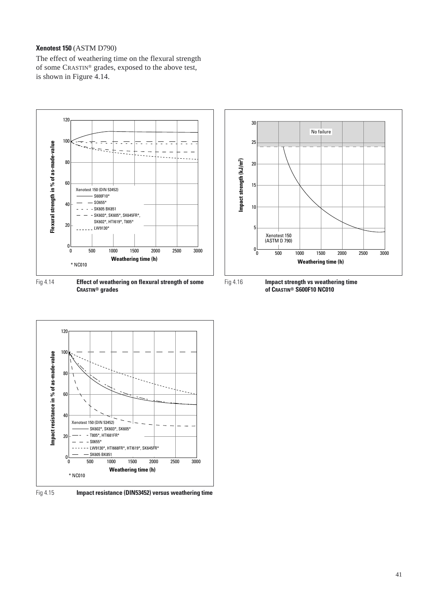### **Xenotest 150** (ASTM D790)

The effect of weathering time on the flexural strength of some CRASTIN® grades, exposed to the above test, is shown in Figure 4.14.



**CRASTIN® grades**







Fig 4.15 **Impact resistance (DIN53452) versus weathering time**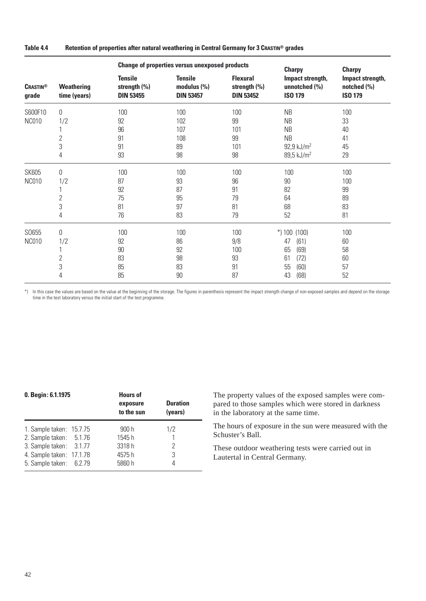**Table 4.4 Retention of properties after natural weathering in Central Germany for 3 CRASTIN® grades**

|                          |                            |                                                    | <b>Change of properties versus unexposed products</b> | <b>Charpy</b>                                       | <b>Charpy</b>                                       |                                                       |
|--------------------------|----------------------------|----------------------------------------------------|-------------------------------------------------------|-----------------------------------------------------|-----------------------------------------------------|-------------------------------------------------------|
| <b>CRASTIN®</b><br>grade | Weathering<br>time (years) | <b>Tensile</b><br>strength (%)<br><b>DIN 53455</b> | <b>Tensile</b><br>modulus $(\%)$<br><b>DIN 53457</b>  | <b>Flexural</b><br>strength (%)<br><b>DIN 53452</b> | Impact strength,<br>unnotched (%)<br><b>ISO 179</b> | Impact strength,<br>notched $(\% )$<br><b>ISO 179</b> |
| S600F10                  | 0                          | 100                                                | 100                                                   | 100                                                 | NB                                                  | 100                                                   |
| <b>NC010</b>             | 1/2                        | 92                                                 | 102                                                   | 99                                                  | NB                                                  | 33                                                    |
|                          |                            | 96                                                 | 107                                                   | 101                                                 | NB                                                  | 40                                                    |
|                          | $\overline{2}$             | 91                                                 | 108                                                   | 99                                                  | NB                                                  | 41                                                    |
|                          | 3                          | 91                                                 | 89                                                    | 101                                                 | $92,9$ kJ/m <sup>2</sup>                            | 45                                                    |
|                          | 4                          | 93                                                 | 98                                                    | 98                                                  | 89,5 kJ/m <sup>2</sup>                              | 29                                                    |
| <b>SK605</b>             | 0                          | 100                                                | 100                                                   | 100                                                 | 100                                                 | 100                                                   |
| <b>NC010</b>             | 1/2                        | 87                                                 | 93                                                    | 96                                                  | 90                                                  | 100                                                   |
|                          |                            | 92                                                 | 87                                                    | 91                                                  | 82                                                  | 99                                                    |
|                          | 2                          | 75                                                 | 95                                                    | 79                                                  | 64                                                  | 89                                                    |
|                          | 3                          | 81                                                 | 97                                                    | 81                                                  | 68                                                  | 83                                                    |
|                          | 4                          | 76                                                 | 83                                                    | 79                                                  | 52                                                  | 81                                                    |
| S0655                    | 0                          | 100                                                | 100                                                   | 100                                                 | $*$ ) 100 (100)                                     | 100                                                   |
| <b>NC010</b>             | 1/2                        | 92                                                 | 86                                                    | 9/8                                                 | (61)<br>47                                          | 60                                                    |
|                          |                            | 90                                                 | 92                                                    | 100                                                 | 65<br>(69)                                          | 58                                                    |
|                          | $\overline{2}$             | 83                                                 | 98                                                    | 93                                                  | 61<br>(72)                                          | 60                                                    |
|                          | 3                          | 85                                                 | 83                                                    | 91                                                  | 55<br>(60)                                          | 57                                                    |
|                          | 4                          | 85                                                 | 90                                                    | 87                                                  | (68)<br>43                                          | 52                                                    |

\*) In this case the values are based on the value at the beginning of the storage. The figures in parenthesis represent the impact strength change of non-exposed samples and depend on the storage time in the test laboratory versus the initial start of the test programme.

| 0. Begin: 6.1.1975                                                                                                                    |  | <b>Hours of</b><br>exposure<br>to the sun | <b>Duration</b><br>(years) |  |
|---------------------------------------------------------------------------------------------------------------------------------------|--|-------------------------------------------|----------------------------|--|
| 1. Sample taken: 15.7.75<br>2. Sample taken: 5.1.76<br>3. Sample taken: 3.1.77<br>4. Sample taken: 17.1.78<br>5. Sample taken: 6.2.79 |  | 900h<br>1545h<br>3318h<br>4575h<br>5860 h | 1/2<br>2<br>3<br>4         |  |

The property values of the exposed samples were compared to those samples which were stored in darkness in the laboratory at the same time.

The hours of exposure in the sun were measured with the Schuster's Ball.

These outdoor weathering tests were carried out in Lautertal in Central Germany.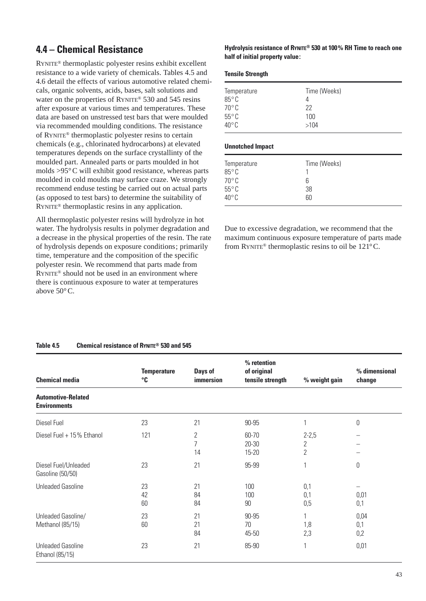# **4.4 – Chemical Resistance**

RYNITE® thermoplastic polyester resins exhibit excellent resistance to a wide variety of chemicals. Tables 4.5 and 4.6 detail the effects of various automotive related chemicals, organic solvents, acids, bases, salt solutions and water on the properties of RYNITE® 530 and 545 resins after exposure at various times and temperatures. These data are based on unstressed test bars that were moulded via recommended moulding conditions. The resistance of RYNITE® thermoplastic polyester resins to certain chemicals (e.g., chlorinated hydrocarbons) at elevated temperatures depends on the surface crystallinty of the moulded part. Annealed parts or parts moulded in hot molds >95°C will exhibit good resistance, whereas parts moulded in cold moulds may surface craze. We strongly recommend enduse testing be carried out on actual parts (as opposed to test bars) to determine the suitability of RYNITE® thermoplastic resins in any application.

All thermoplastic polyester resins will hydrolyze in hot water. The hydrolysis results in polymer degradation and a decrease in the physical properties of the resin. The rate of hydrolysis depends on exposure conditions; primarily time, temperature and the composition of the specific polyester resin. We recommend that parts made from RYNITE® should not be used in an environment where there is continuous exposure to water at temperatures above 50°C.

### **Hydrolysis resistance of RYNITE® 530 at 100% RH Time to reach one half of initial property value:**

|  | <b>Tensile Strength</b> |
|--|-------------------------|
|--|-------------------------|

| Temperature     | Time (Weeks) |
|-----------------|--------------|
| $85^{\circ}$ C  |              |
| $70^{\circ}$ C  | 22           |
| $55^{\circ}$ C  | 100          |
| $40^{\circ}$ C. | >104         |

#### **Unnotched Impact**

| Temperature<br>$85^{\circ}$ C | Time (Weeks) |  |
|-------------------------------|--------------|--|
| $70^{\circ}$ C                | 6            |  |
| $55^{\circ}$ C                | 38           |  |
| $40^{\circ}$ C                | 60           |  |

Due to excessive degradation, we recommend that the maximum continuous exposure temperature of parts made from RYNITE® thermoplastic resins to oil be 121°C.

### **Table 4.5 Chemical resistance of RYNITE® 530 and 545**

| <b>Chemical media</b>                            | <b>Temperature</b><br>°C | Days of<br>immersion                | % retention<br>of original<br>tensile strength | % weight gain                  | % dimensional<br>change |
|--------------------------------------------------|--------------------------|-------------------------------------|------------------------------------------------|--------------------------------|-------------------------|
| <b>Automotive-Related</b><br><b>Environments</b> |                          |                                     |                                                |                                |                         |
| Diesel Fuel                                      | 23                       | 21                                  | 90-95                                          |                                | $\mathbf 0$             |
| Diesel Fuel + 15% Ethanol                        | 121                      | $\mathbf 2$<br>$\overline{7}$<br>14 | 60-70<br>$20 - 30$<br>15-20                    | $2 - 2,5$<br>$\mathbf{2}$<br>2 |                         |
| Diesel Fuel/Unleaded<br>Gasoline (50/50)         | 23                       | 21                                  | 95-99                                          |                                | $\mathbf 0$             |
| <b>Unleaded Gasoline</b>                         | 23<br>42<br>60           | 21<br>84<br>84                      | 100<br>100<br>90                               | 0,1<br>0,1<br>0,5              | 0,01<br>0,1             |
| Unleaded Gasoline/<br>Methanol (85/15)           | 23<br>60                 | 21<br>21<br>84                      | 90-95<br>70<br>45-50                           | 1,8<br>2,3                     | 0,04<br>0,1<br>0,2      |
| <b>Unleaded Gasoline</b><br>Ethanol (85/15)      | 23                       | 21                                  | 85-90                                          | 1                              | 0,01                    |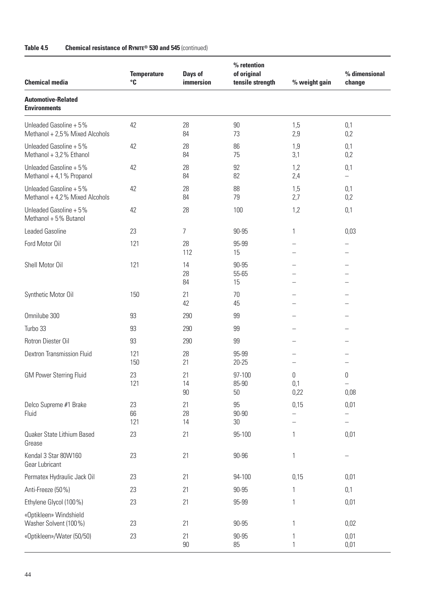| <b>Chemical media</b>                                    | <b>Temperature</b><br>°C | Days of<br>immersion | % retention<br>of original<br>tensile strength | % weight gain    | % dimensional<br>change               |
|----------------------------------------------------------|--------------------------|----------------------|------------------------------------------------|------------------|---------------------------------------|
| <b>Automotive-Related</b><br><b>Environments</b>         |                          |                      |                                                |                  |                                       |
| Unleaded Gasoline + 5%<br>Methanol + 2,5% Mixed Alcohols | 42                       | 28<br>84             | 90<br>73                                       | 1,5<br>2,9       | 0,1<br>0,2                            |
| Unleaded Gasoline + 5%<br>Methanol + 3,2% Ethanol        | 42                       | 28<br>84             | 86<br>75                                       | 1,9<br>3,1       | 0,1<br>0,2                            |
| Unleaded Gasoline + 5%<br>Methanol + 4,1% Propanol       | 42                       | 28<br>84             | 92<br>82                                       | 1,2<br>2,4       | 0,1<br>$\overline{\phantom{0}}$       |
| Unleaded Gasoline + 5%<br>Methanol + 4,2% Mixed Alcohols | 42                       | 28<br>84             | 88<br>79                                       | 1,5<br>2,7       | 0,1<br>0,2                            |
| Unleaded Gasoline + 5%<br>Methanol + 5% Butanol          | 42                       | 28                   | 100                                            | 1,2              | 0,1                                   |
| <b>Leaded Gasoline</b>                                   | 23                       | 7                    | 90-95                                          | 1                | 0,03                                  |
| Ford Motor Oil                                           | 121                      | 28<br>112            | 95-99<br>15                                    |                  |                                       |
| Shell Motor Oil                                          | 121                      | 14<br>28<br>84       | 90-95<br>55-65<br>15                           |                  |                                       |
| Synthetic Motor Oil                                      | 150                      | 21<br>42             | 70<br>45                                       |                  |                                       |
| Omnilube 300                                             | 93                       | 290                  | 99                                             |                  |                                       |
| Turbo 33                                                 | 93                       | 290                  | 99                                             |                  |                                       |
| Rotron Diester Oil                                       | 93                       | 290                  | 99                                             |                  |                                       |
| <b>Dextron Transmission Fluid</b>                        | 121<br>150               | 28<br>21             | 95-99<br>$20 - 25$                             |                  |                                       |
| <b>GM Power Sterring Fluid</b>                           | 23<br>121                | 21<br>14<br>90       | 97-100<br>85-90<br>50                          | 0<br>0,1<br>0,22 | 0<br>$\overline{\phantom{0}}$<br>0,08 |
| Delco Supreme #1 Brake<br>Fluid                          | 23<br>66<br>121          | 21<br>28<br>14       | 95<br>$90 - 90$<br>30                          | 0,15             | 0,01                                  |
| Quaker State Lithium Based<br>Grease                     | 23                       | 21                   | 95-100                                         | 1                | 0,01                                  |
| Kendal 3 Star 80W160<br>Gear Lubricant                   | 23                       | 21                   | 90-96                                          | 1                |                                       |
| Permatex Hydraulic Jack Oil                              | 23                       | 21                   | 94-100                                         | 0,15             | 0,01                                  |
| Anti-Freeze (50%)                                        | 23                       | 21                   | 90-95                                          | 1                | 0,1                                   |
| Ethylene Glycol (100 %)                                  | 23                       | 21                   | 95-99                                          |                  | 0,01                                  |
| «Optikleen» Windshield<br>Washer Solvent (100%)          | 23                       | 21                   | 90-95                                          |                  | 0,02                                  |
| «Optikleen»/Water (50/50)                                | 23                       | 21<br>$90\,$         | 90-95<br>85                                    |                  | 0,01<br>0,01                          |

### **Table 4.5 Chemical resistance of RYNITE® 530 and 545** (continued)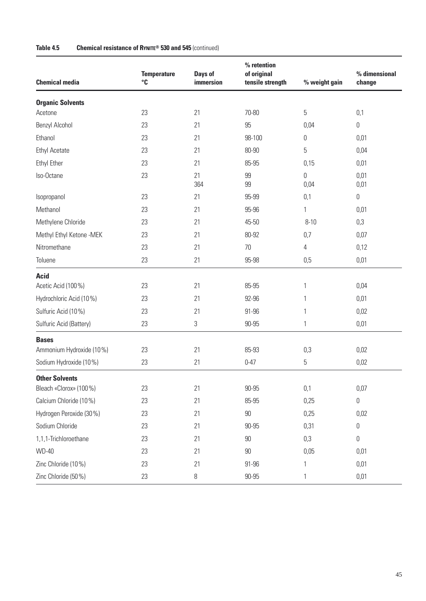| <b>Chemical media</b>              | <b>Temperature</b><br>$^{\circ}{\mathbb C}$ | Days of<br>immersion | % retention<br>of original<br>tensile strength | % weight gain | % dimensional<br>change |
|------------------------------------|---------------------------------------------|----------------------|------------------------------------------------|---------------|-------------------------|
|                                    |                                             |                      |                                                |               |                         |
| <b>Organic Solvents</b><br>Acetone | 23                                          | 21                   | 70-80                                          | 5             | 0,1                     |
| Benzyl Alcohol                     | 23                                          | 21                   | 95                                             | 0,04          | $\boldsymbol{0}$        |
| Ethanol                            | 23                                          | 21                   | 98-100                                         | 0             | 0,01                    |
|                                    | 23                                          | 21                   | 80-90                                          |               |                         |
| <b>Ethyl Acetate</b>               |                                             |                      |                                                | 5             | 0,04                    |
| Ethyl Ether                        | 23                                          | 21                   | 85-95                                          | 0,15          | 0,01                    |
| Iso-Octane                         | 23                                          | 21<br>364            | 99<br>99                                       | 0<br>0,04     | 0,01<br>0,01            |
| Isopropanol                        | 23                                          | 21                   | 95-99                                          | 0,1           | $\boldsymbol{0}$        |
| Methanol                           | 23                                          | 21                   | 95-96                                          | 1             | 0,01                    |
| Methylene Chloride                 | 23                                          | 21                   | 45-50                                          | $8 - 10$      | 0,3                     |
| Methyl Ethyl Ketone -MEK           | 23                                          | 21                   | 80-92                                          | 0,7           | 0,07                    |
| Nitromethane                       | 23                                          | 21                   | 70                                             | 4             | 0,12                    |
| Toluene                            | 23                                          | 21                   | 95-98                                          | 0,5           | 0,01                    |
| <b>Acid</b>                        |                                             |                      |                                                |               |                         |
| Acetic Acid (100%)                 | 23                                          | 21                   | 85-95                                          | 1             | 0,04                    |
| Hydrochloric Acid (10%)            | 23                                          | 21                   | 92-96                                          | 1             | 0,01                    |
| Sulfuric Acid (10%)                | 23                                          | 21                   | 91-96                                          | 1             | 0,02                    |
| Sulfuric Acid (Battery)            | 23                                          | $\,3$                | 90-95                                          | 1             | 0,01                    |
| <b>Bases</b>                       |                                             |                      |                                                |               |                         |
| Ammonium Hydroxide (10%)           | 23                                          | 21                   | 85-93                                          | 0,3           | 0,02                    |
| Sodium Hydroxide (10%)             | 23                                          | 21                   | $0 - 47$                                       | 5             | 0,02                    |
| <b>Other Solvents</b>              |                                             |                      |                                                |               |                         |
| Bleach «Clorox» (100%)             | 23                                          | 21                   | $90 - 95$                                      | 0,1           | 0,07                    |
| Calcium Chloride (10%)             | 23                                          | 21                   | 85-95                                          | 0,25          | $\boldsymbol{0}$        |
| Hydrogen Peroxide (30%)            | 23                                          | 21                   | $90\,$                                         | 0,25          | 0,02                    |
| Sodium Chloride                    | 23                                          | 21                   | 90-95                                          | 0,31          | 0                       |
| 1,1,1-Trichloroethane              | 23                                          | 21                   | 90                                             | 0,3           | $\boldsymbol{0}$        |
| <b>WD-40</b>                       | 23                                          | 21                   | $90\,$                                         | 0,05          | 0,01                    |
| Zinc Chloride (10%)                | 23                                          | 21                   | 91-96                                          | 1             | 0,01                    |
| Zinc Chloride (50%)                | 23                                          | 8                    | $90 - 95$                                      | 1             | 0,01                    |

### **Table 4.5 Chemical resistance of RYNITE® 530 and 545** (continued)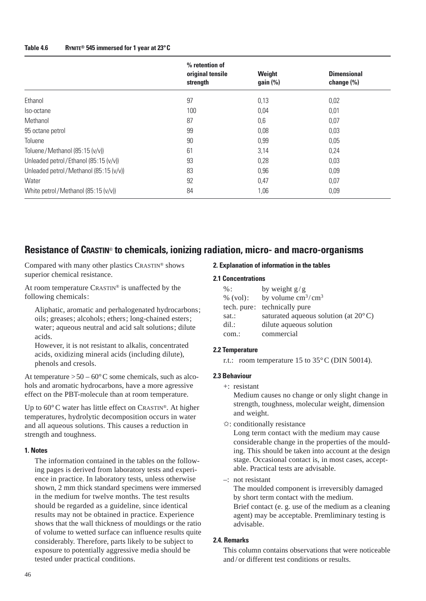#### **Table 4.6 RYNITE® 545 immersed for 1 year at 23°C**

|                                        | % retention of<br>original tensile<br>strength | Weight<br>gain (%) | <b>Dimensional</b><br>change $(\% )$ |
|----------------------------------------|------------------------------------------------|--------------------|--------------------------------------|
| Ethanol                                | 97                                             | 0,13               | 0,02                                 |
| Iso-octane                             | 100                                            | 0,04               | 0,01                                 |
| Methanol                               | 87                                             | 0,6                | 0,07                                 |
| 95 octane petrol                       | 99                                             | 0,08               | 0,03                                 |
| Toluene                                | 90                                             | 0,99               | 0,05                                 |
| Toluene/Methanol (85:15 (v/v))         | 61                                             | 3,14               | 0,24                                 |
| Unleaded petrol/Ethanol (85:15 (v/v))  | 93                                             | 0,28               | 0,03                                 |
| Unleaded petrol/Methanol (85:15 (v/v)) | 83                                             | 0,96               | 0,09                                 |
| Water                                  | 92                                             | 0,47               | 0,07                                 |
| White petrol/Methanol (85:15 (v/v))    | 84                                             | 1,06               | 0,09                                 |

### **Resistance of CRASTIN**® **to chemicals, ionizing radiation, micro- and macro-organisms**

Compared with many other plastics CRASTIN® shows superior chemical resistance.

At room temperature CRASTIN® is unaffected by the following chemicals:

Aliphatic, aromatic and perhalogenated hydrocarbons; oils; greases; alcohols; ethers; long-chained esters; water; aqueous neutral and acid salt solutions; dilute acids.

However, it is not resistant to alkalis, concentrated acids, oxidizing mineral acids (including dilute), phenols and cresols.

At temperature  $> 50 - 60^{\circ}$ C some chemicals, such as alcohols and aromatic hydrocarbons, have a more agressive effect on the PBT-molecule than at room temperature.

Up to 60°C water has little effect on CRASTIN®. At higher temperatures, hydrolytic decomposition occurs in water and all aqueous solutions. This causes a reduction in strength and toughness.

### **1. Notes**

The information contained in the tables on the following pages is derived from laboratory tests and experience in practice. In laboratory tests, unless otherwise shown, 2 mm thick standard specimens were immersed in the medium for twelve months. The test results should be regarded as a guideline, since identical results may not be obtained in practice. Experience shows that the wall thickness of mouldings or the ratio of volume to wetted surface can influence results quite considerably. Therefore, parts likely to be subject to exposure to potentially aggressive media should be tested under practical conditions.

#### **2. Explanation of information in the tables**

#### **2.1 Concentrations**

| $\%$ :            | by weight $g/g$                                |
|-------------------|------------------------------------------------|
| % (vol):          | by volume $\text{cm}^3/\text{cm}^3$            |
|                   | tech. pure: technically pure                   |
| sat.:             | saturated aqueous solution (at $20^{\circ}$ C) |
| $\mathrm{dil}$ .: | dilute aqueous solution                        |
| com.:             | commercial                                     |

#### **2.2 Temperature**

r.t.: room temperature 15 to 35°C (DIN 50014).

### **2.3 Behaviour**

+: resistant

Medium causes no change or only slight change in strength, toughness, molecular weight, dimension and weight.

✩: conditionally resistance

Long term contact with the medium may cause considerable change in the properties of the moulding. This should be taken into account at the design stage. Occasional contact is, in most cases, acceptable. Practical tests are advisable.

–: not resistant

The moulded component is irreversibly damaged by short term contact with the medium. Brief contact (e. g. use of the medium as a cleaning agent) may be acceptable. Premliminary testing is advisable.

#### **2.4. Remarks**

This column contains observations that were noticeable and / or different test conditions or results.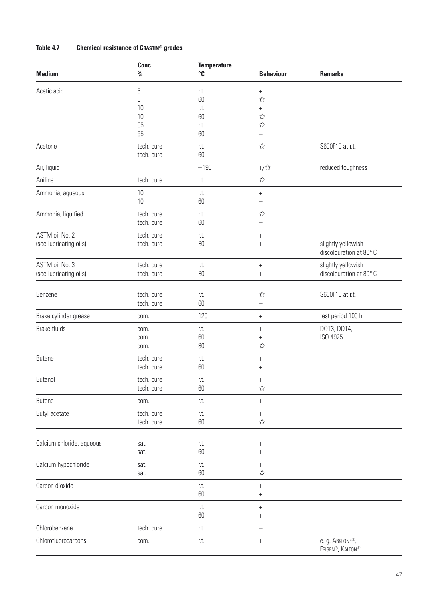### **Table 4.7 Chemical resistance of CRASTIN® grades**

| <b>Medium</b>             | Conc<br>$\frac{0}{0}$    | <b>Temperature</b><br>°C | <b>Behaviour</b>                 | <b>Remarks</b>                               |
|---------------------------|--------------------------|--------------------------|----------------------------------|----------------------------------------------|
| Acetic acid               | 5                        | r.t.                     | $^{+}$                           |                                              |
|                           | 5                        | 60                       | ☆                                |                                              |
|                           | 10                       | r.t.                     | $^{+}$                           |                                              |
|                           | 10                       | 60                       | $\stackrel{\wedge}{\bowtie}$     |                                              |
|                           | 95                       | r.t.                     | $\stackrel{\wedge}{\bowtie}$     |                                              |
|                           | 95                       | 60                       | —                                |                                              |
| Acetone                   | tech. pure<br>tech. pure | r.t.<br>60               | ☆<br>$\overline{\phantom{0}}$    | S600F10 at r.t. +                            |
| Air, liquid               |                          | $-190$                   | $+/\sqrt{\lambda}$               | reduced toughness                            |
| Aniline                   | tech. pure               | r.t.                     | ☆                                |                                              |
| Ammonia, aqueous          | 10                       | r.t.                     | $^{+}$                           |                                              |
|                           | 10                       | 60                       | $\overline{\phantom{0}}$         |                                              |
| Ammonia, liquified        | tech. pure               | r.t.                     | ☆                                |                                              |
|                           | tech. pure               | 60                       | —                                |                                              |
| ASTM oil No. 2            | tech. pure               | r.t.                     | $^{+}$                           |                                              |
| (see lubricating oils)    | tech. pure               | $80\,$                   | $^{+}$                           | slightly yellowish<br>discolouration at 80°C |
| ASTM oil No. 3            | tech. pure               | r.t.                     | $^{+}$                           | slightly yellowish                           |
| (see lubricating oils)    | tech. pure               | $80\,$                   | $^{+}$                           | discolouration at 80°C                       |
|                           |                          |                          |                                  |                                              |
| Benzene                   | tech. pure               | r.t.                     | $\stackrel{\wedge}{\bowtie}$     | S600F10 at r.t. +                            |
|                           | tech. pure               | 60                       | $\overline{\phantom{0}}$         |                                              |
| Brake cylinder grease     | com.                     | 120                      | $\boldsymbol{+}$                 | test period 100 h                            |
| <b>Brake fluids</b>       | com.                     | r.t.                     | $^{+}$                           | DOT3, DOT4,                                  |
|                           | com.                     | 60                       | $^{+}$                           | ISO 4925                                     |
|                           | com.                     | 80                       | $\stackrel{\wedge}{\bowtie}$     |                                              |
| <b>Butane</b>             | tech. pure               | r.t.                     | $\begin{array}{c} + \end{array}$ |                                              |
|                           | tech. pure               | 60                       | $^{+}$                           |                                              |
| Butanol                   | tech. pure               | r.t.                     | $^{+}$                           |                                              |
|                           | tech. pure               | 60                       | $\stackrel{\sim}{\bowtie}$       |                                              |
| <b>Butene</b>             | com.                     | r.t.                     | $^{\mathrm{+}}$                  |                                              |
| <b>Butyl acetate</b>      | tech. pure               | r.t.                     | $\begin{array}{c} + \end{array}$ |                                              |
|                           | tech. pure               | 60                       | $\stackrel{\wedge}{\bowtie}$     |                                              |
|                           |                          |                          |                                  |                                              |
| Calcium chloride, aqueous | sat.                     | r.t.                     | $\begin{array}{c} + \end{array}$ |                                              |
|                           | sat.                     | 60                       | $^+$                             |                                              |
| Calcium hypochloride      | sat.                     | r.t.                     | $\boldsymbol{+}$                 |                                              |
|                           | sat.                     | 60                       | $\stackrel{\wedge}{\bowtie}$     |                                              |
| Carbon dioxide            |                          | r.t.                     | $^{+}$                           |                                              |
|                           |                          | 60                       | $^{+}$                           |                                              |
| Carbon monoxide           |                          | r.t.                     | $^{+}$                           |                                              |
|                           |                          | 60                       | $\, +$                           |                                              |
| Chlorobenzene             | tech. pure               | r.t.                     | $\qquad \qquad -$                |                                              |
| Chlorofluorocarbons       | com.                     | r.t.                     | $\boldsymbol{+}$                 | e.g. ARKLONE®,<br>FRIGEN®, KALTON®           |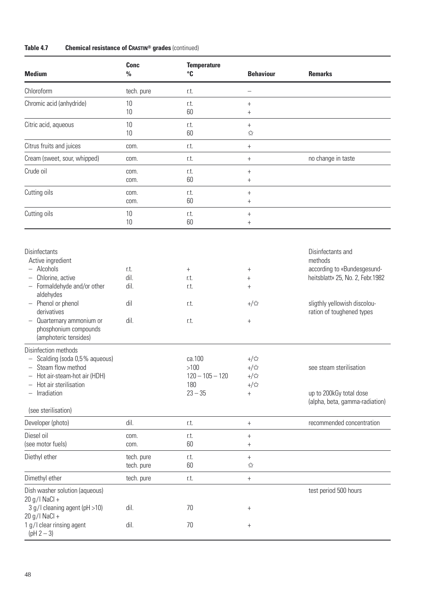| <b>Conc</b><br>$\%$                 | <b>Temperature</b><br>°C                                                                            | <b>Behaviour</b>                                                                                                                                   | <b>Remarks</b>                                                                                                                                                                                                                                       |
|-------------------------------------|-----------------------------------------------------------------------------------------------------|----------------------------------------------------------------------------------------------------------------------------------------------------|------------------------------------------------------------------------------------------------------------------------------------------------------------------------------------------------------------------------------------------------------|
| tech. pure                          | r.t.                                                                                                | $\overline{\phantom{0}}$                                                                                                                           |                                                                                                                                                                                                                                                      |
| 10                                  | r.t.                                                                                                | $^{+}$                                                                                                                                             |                                                                                                                                                                                                                                                      |
| 10                                  | 60                                                                                                  | $^{+}$                                                                                                                                             |                                                                                                                                                                                                                                                      |
| 10                                  | r.t.                                                                                                | $^{+}$                                                                                                                                             |                                                                                                                                                                                                                                                      |
| 10                                  | 60                                                                                                  | ☆                                                                                                                                                  |                                                                                                                                                                                                                                                      |
| com.                                | r.t.                                                                                                | $^{+}$                                                                                                                                             |                                                                                                                                                                                                                                                      |
| com.                                | r.t.                                                                                                | $^{+}$                                                                                                                                             | no change in taste                                                                                                                                                                                                                                   |
| com.                                | r.t.                                                                                                | $^{+}$                                                                                                                                             |                                                                                                                                                                                                                                                      |
| com.                                | 60                                                                                                  | $^{+}$                                                                                                                                             |                                                                                                                                                                                                                                                      |
| com.                                | r.t.                                                                                                | $^{+}$                                                                                                                                             |                                                                                                                                                                                                                                                      |
| com.                                | 60                                                                                                  | $^{+}$                                                                                                                                             |                                                                                                                                                                                                                                                      |
| 10                                  | r.t.                                                                                                | $^{+}$                                                                                                                                             |                                                                                                                                                                                                                                                      |
| 10                                  | 60                                                                                                  | $^{+}$                                                                                                                                             |                                                                                                                                                                                                                                                      |
| r.t.<br>dil.<br>dil.<br>dil<br>dil. | $^{+}$<br>r.t.<br>r.t.<br>r.t.<br>r.t.<br>ca.100<br>$>100$<br>$120 - 105 - 120$<br>180<br>$23 - 35$ | $^{+}$<br>$^{+}$<br>$^{+}$<br>$+\frac{1}{2}$<br>$^{+}$<br>$+/\sqrt{2}$<br>$+\sqrt{x}$<br>$+/\overline{\mathbb{X}}$<br>$+/\sqrt{\lambda}$<br>$^{+}$ | Disinfectants and<br>methods<br>according to «Bundesgesund-<br>heitsblatt» 25, No. 2, Febr.1982<br>sligthly yellowish discolou-<br>ration of toughened types<br>see steam sterilisation<br>up to 200kGy total dose<br>(alpha, beta, gamma-radiation) |
| dil.                                | r.t.                                                                                                | $\boldsymbol{+}$                                                                                                                                   | recommended concentration                                                                                                                                                                                                                            |
| com.                                | r.t.                                                                                                | $^{+}$                                                                                                                                             |                                                                                                                                                                                                                                                      |
| com.                                | 60                                                                                                  | $^{+}$                                                                                                                                             |                                                                                                                                                                                                                                                      |
| tech. pure                          | r.t.                                                                                                | $^{+}$                                                                                                                                             |                                                                                                                                                                                                                                                      |
| tech. pure                          | 60                                                                                                  | $\stackrel{\sim}{\bowtie}$                                                                                                                         |                                                                                                                                                                                                                                                      |
| tech. pure                          | r.t.                                                                                                | $\boldsymbol{+}$                                                                                                                                   |                                                                                                                                                                                                                                                      |
| dil.                                | 70                                                                                                  | $^{+}$                                                                                                                                             | test period 500 hours                                                                                                                                                                                                                                |
| dil.                                | 70                                                                                                  | $^{+}$                                                                                                                                             |                                                                                                                                                                                                                                                      |
|                                     |                                                                                                     |                                                                                                                                                    |                                                                                                                                                                                                                                                      |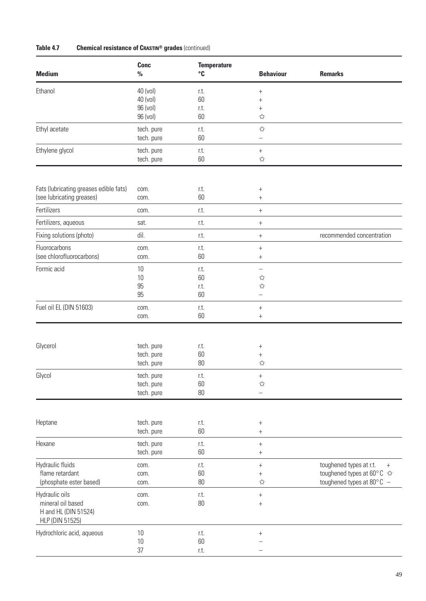| Table 4.7 |  | <b>Chemical resistance of CRASTIN® grades (continued)</b> |  |  |  |
|-----------|--|-----------------------------------------------------------|--|--|--|
|-----------|--|-----------------------------------------------------------|--|--|--|

| <b>Medium</b>                                                                  | Conc<br>$\frac{0}{0}$                        | <b>Temperature</b><br>$^{\circ}$ C | <b>Behaviour</b>                                                                          | <b>Remarks</b>                                                                                      |
|--------------------------------------------------------------------------------|----------------------------------------------|------------------------------------|-------------------------------------------------------------------------------------------|-----------------------------------------------------------------------------------------------------|
| Ethanol                                                                        | 40 (vol)<br>40 (vol)<br>96 (vol)<br>96 (vol) | r.t.<br>60<br>r.t.<br>60           | $^{+}$<br>$^{+}$<br>$^{+}$<br>$\stackrel{\wedge}{\bowtie}$                                |                                                                                                     |
| Ethyl acetate                                                                  | tech. pure<br>tech. pure                     | r.t.<br>60                         | $\stackrel{\wedge}{\bowtie}$<br>$\overline{\phantom{0}}$                                  |                                                                                                     |
| Ethylene glycol                                                                | tech. pure<br>tech. pure                     | r.t.<br>60                         | $^{+}$<br>☆                                                                               |                                                                                                     |
|                                                                                |                                              |                                    |                                                                                           |                                                                                                     |
| Fats (lubricating greases edible fats)<br>(see lubricating greases)            | com.<br>com.                                 | r.t.<br>60                         | $^{+}$<br>$^{+}$                                                                          |                                                                                                     |
| Fertilizers                                                                    | com.                                         | r.t.                               | $\begin{array}{c} + \end{array}$                                                          |                                                                                                     |
| Fertilizers, aqueous                                                           | sat.                                         | r.t.                               | $^+$                                                                                      |                                                                                                     |
| Fixing solutions (photo)                                                       | dil.                                         | r.t.                               | $\begin{array}{c} + \end{array}$                                                          | recommended concentration                                                                           |
| Fluorocarbons<br>(see chlorofluorocarbons)                                     | com.<br>com.                                 | r.t.<br>60                         | $\begin{array}{c} + \end{array}$<br>$^{+}$                                                |                                                                                                     |
| Formic acid                                                                    | 10<br>10<br>95<br>95                         | r.t.<br>60<br>r.t.<br>60           | $\overline{\phantom{0}}$<br>☆<br>$\stackrel{\wedge}{\bowtie}$<br>$\overline{\phantom{0}}$ |                                                                                                     |
| Fuel oil EL (DIN 51603)                                                        | com.<br>com.                                 | r.t.<br>60                         | $^{+}$<br>$^{+}$                                                                          |                                                                                                     |
| Glycerol                                                                       | tech. pure<br>tech. pure<br>tech. pure       | r.t.<br>60<br>$80\,$               | $^{+}$<br>$^{+}$<br>$\stackrel{\wedge}{\bowtie}$                                          |                                                                                                     |
| Glycol                                                                         | tech. pure<br>tech. pure<br>tech. pure       | r.t.<br>60<br>$80\,$               | $^{+}$<br>$\stackrel{\wedge}{\bowtie}$                                                    |                                                                                                     |
| Heptane                                                                        | tech. pure<br>tech. pure                     | r.t.<br>60                         | $^{+}$<br>$\boldsymbol{+}$                                                                |                                                                                                     |
| Hexane                                                                         | tech. pure<br>tech. pure                     | r.t.<br>60                         | $^{+}$<br>$^{+}$                                                                          |                                                                                                     |
| Hydraulic fluids<br>flame retardant<br>(phosphate ester based)                 | com.<br>com.<br>com.                         | r.t.<br>60<br>$80\,$               | $\, +$<br>$^{+}$<br>$\stackrel{\wedge}{\bowtie}$                                          | toughened types at r.t.<br>$+$<br>toughened types at 60°C ☆<br>toughened types at 80 $^{\circ}$ C - |
| Hydraulic oils<br>mineral oil based<br>H and HL (DIN 51524)<br>HLP (DIN 51525) | com.<br>com.                                 | r.t.<br>80                         | $^+$<br>$^{+}$                                                                            |                                                                                                     |
| Hydrochloric acid, aqueous                                                     | 10<br>10<br>37                               | r.t.<br>60<br>r.t.                 | $^{+}$                                                                                    |                                                                                                     |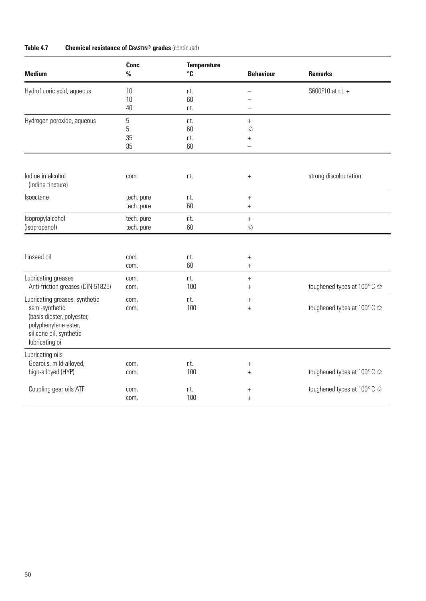| <b>Medium</b>                                                                                                                                        | Conc<br>$\frac{0}{0}$    | <b>Temperature</b><br>$^{\circ}$ C | <b>Behaviour</b>                                   | <b>Remarks</b>             |
|------------------------------------------------------------------------------------------------------------------------------------------------------|--------------------------|------------------------------------|----------------------------------------------------|----------------------------|
| Hydrofluoric acid, aqueous                                                                                                                           | 10<br>10<br>40           | r.t.<br>60<br>r.t.                 |                                                    | S600F10 at r.t. +          |
| Hydrogen peroxide, aqueous                                                                                                                           | 5<br>5<br>35<br>35       | r.t.<br>60<br>r.t.<br>60           | $^{+}$<br>☆<br>$^{+}$                              |                            |
| lodine in alcohol<br>(iodine tincture)                                                                                                               | com.                     | r.t.                               | $\! +$                                             | strong discolouration      |
| <b>Isooctane</b>                                                                                                                                     | tech. pure<br>tech. pure | r.t.<br>60                         | $\boldsymbol{+}$<br>$^{+}$                         |                            |
| Isopropylalcohol<br>(isopropanol)                                                                                                                    | tech. pure<br>tech. pure | r.t.<br>60                         | $\ddot{}$<br>☆                                     |                            |
| Linseed oil                                                                                                                                          | com.<br>com.             | r.t.<br>60                         | $^{+}$<br>$^{+}$                                   |                            |
| Lubricating greases<br>Anti-friction greases (DIN 51825)                                                                                             | com.<br>com.             | r.t.<br>100                        | $^{+}$<br>$^{+}$                                   | toughened types at 100°C ☆ |
| Lubricating greases, synthetic<br>semi-synthetic<br>(basis diester, polyester,<br>polyphenylene ester,<br>silicone oil, synthetic<br>lubricating oil | com.<br>com.             | r.t.<br>100                        | $^{+}$<br>$^{+}$                                   | toughened types at 100°C ☆ |
| Lubricating oils<br>Gearoils, mild-alloyed,<br>high-alloyed (HYP)                                                                                    | com.<br>com.             | r.t.<br>100                        | $\begin{array}{c} + \end{array}$<br>$\overline{+}$ | toughened types at 100°C ☆ |
| Coupling gear oils ATF                                                                                                                               | com.<br>com.             | r.t.<br>100                        | $^{+}$<br>$^{+}$                                   | toughened types at 100°C ☆ |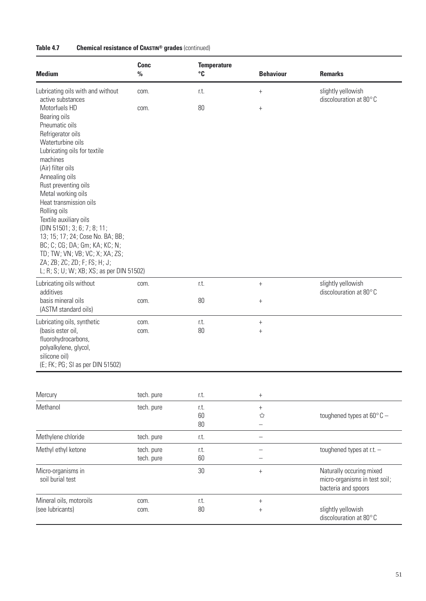| <b>Medium</b>                                                                                                                                                                                                                                                                                                                                                                                                                                                                                                    | <b>Conc</b><br>$\frac{0}{0}$ | <b>Temperature</b><br>$^{\circ}$ C | <b>Behaviour</b>                        | <b>Remarks</b>                                                                   |
|------------------------------------------------------------------------------------------------------------------------------------------------------------------------------------------------------------------------------------------------------------------------------------------------------------------------------------------------------------------------------------------------------------------------------------------------------------------------------------------------------------------|------------------------------|------------------------------------|-----------------------------------------|----------------------------------------------------------------------------------|
| Lubricating oils with and without<br>active substances                                                                                                                                                                                                                                                                                                                                                                                                                                                           | com.                         | r.t.                               | $^{+}$                                  | slightly yellowish<br>discolouration at 80°C                                     |
| Motorfuels HD<br>Bearing oils<br>Pneumatic oils<br>Refrigerator oils<br>Waterturbine oils<br>Lubricating oils for textile<br>machines<br>(Air) filter oils<br>Annealing oils<br>Rust preventing oils<br>Metal working oils<br>Heat transmission oils<br>Rolling oils<br>Textile auxiliary oils<br>(DIN 51501; 3; 6; 7; 8; 11;<br>13; 15; 17; 24; Cose No. BA; BB;<br>BC; C; CG; DA; Gm; KA; KC; N;<br>TD; TW; VN; VB; VC; X; XA; ZS;<br>ZA; ZB; ZC; ZD; F; FS; H; J;<br>L; R; S; U; W; XB; XS; as per DIN 51502) | com.                         | 80                                 | $^{+}$                                  |                                                                                  |
| Lubricating oils without<br>additives                                                                                                                                                                                                                                                                                                                                                                                                                                                                            | com.                         | r.t.                               | $\boldsymbol{+}$                        | slightly yellowish<br>discolouration at 80°C                                     |
| basis mineral oils<br>(ASTM standard oils)                                                                                                                                                                                                                                                                                                                                                                                                                                                                       | com.                         | 80                                 | $^{+}$                                  |                                                                                  |
| Lubricating oils, synthetic<br>(basis ester oil,<br>fluorohydrocarbons,<br>polyalkylene, glycol,<br>silicone oil)<br>(E; FK; PG; SI as per DIN 51502)                                                                                                                                                                                                                                                                                                                                                            | com.<br>com.                 | r.t.<br>80                         | $\boldsymbol{+}$<br>$^{+}$              |                                                                                  |
|                                                                                                                                                                                                                                                                                                                                                                                                                                                                                                                  |                              |                                    |                                         |                                                                                  |
| Mercury                                                                                                                                                                                                                                                                                                                                                                                                                                                                                                          | tech. pure                   | r.t.                               | $^{+}$                                  |                                                                                  |
| Methanol                                                                                                                                                                                                                                                                                                                                                                                                                                                                                                         | tech. pure                   | r.t.<br>60<br>80                   | $^{+}$<br>☆<br>$\overline{\phantom{0}}$ | toughened types at $60^{\circ}$ C -                                              |
| Methylene chloride                                                                                                                                                                                                                                                                                                                                                                                                                                                                                               | tech. pure                   | r.t.                               |                                         |                                                                                  |
| Methyl ethyl ketone                                                                                                                                                                                                                                                                                                                                                                                                                                                                                              | tech. pure<br>tech. pure     | r.t.<br>60                         | $\overline{\phantom{0}}$                | toughened types at r.t. -                                                        |
| Micro-organisms in<br>soil burial test                                                                                                                                                                                                                                                                                                                                                                                                                                                                           |                              | 30                                 | $^{+}$                                  | Naturally occuring mixed<br>micro-organisms in test soil;<br>bacteria and spoors |
| Mineral oils, motoroils<br>(see lubricants)                                                                                                                                                                                                                                                                                                                                                                                                                                                                      | com.<br>com.                 | r.t.<br>80                         | $\! + \!$<br>$^{+}$                     | slightly yellowish<br>discolouration at 80°C                                     |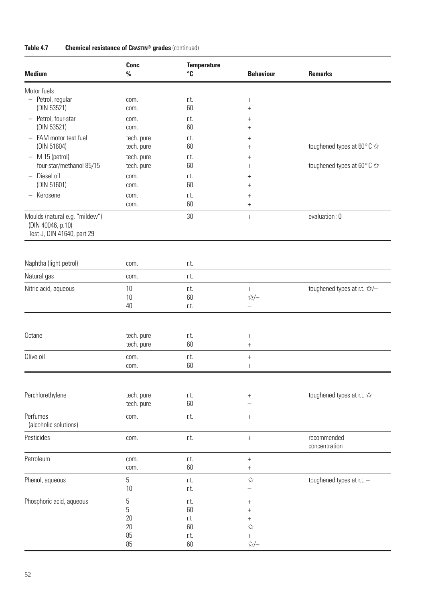| <b>Medium</b>                                   | <b>Conc</b><br>$\%$      | <b>Temperature</b><br>$^{\circ}$ C | <b>Behaviour</b>           | <b>Remarks</b>                               |
|-------------------------------------------------|--------------------------|------------------------------------|----------------------------|----------------------------------------------|
|                                                 |                          |                                    |                            |                                              |
| Motor fuels<br>- Petrol, regular                | com.                     | r.t.                               | $^{+}$                     |                                              |
| (DIN 53521)                                     | com.                     | 60                                 | $^{+}$                     |                                              |
| - Petrol, four-star                             | com.                     | r.t.                               | $^{+}$                     |                                              |
| (DIN 53521)                                     | com.                     | 60                                 | $^{+}$                     |                                              |
| - FAM motor test fuel<br>(DIN 51604)            | tech. pure               | r.t.                               | $^{+}$                     |                                              |
| $-$ M 15 (petrol)                               | tech. pure<br>tech. pure | 60<br>r.t.                         | $^{+}$                     | toughened types at 60 $^{\circ}$ C $\approx$ |
| four-star/methanol 85/15                        | tech. pure               | 60                                 | $^{+}$<br>$\,+\,$          | toughened types at 60°C ☆                    |
| - Diesel oil                                    | com.                     | r.t.                               | $\ddag$                    |                                              |
| (DIN 51601)                                     | com.                     | 60                                 | $^{+}$                     |                                              |
| - Kerosene                                      | com.                     | r.t.                               | $^{+}$                     |                                              |
|                                                 | com.                     | 60                                 | $^{+}$                     |                                              |
| Moulds (natural e.g. "mildew")                  |                          | 30                                 | $^{+}$                     | evaluation: 0                                |
| (DIN 40046, p.10)<br>Test J, DIN 41640, part 29 |                          |                                    |                            |                                              |
|                                                 |                          |                                    |                            |                                              |
|                                                 |                          |                                    |                            |                                              |
| Naphtha (light petrol)                          | com.                     | r.t.                               |                            |                                              |
| Natural gas                                     | com.                     | r.t.                               |                            |                                              |
| Nitric acid, aqueous                            | 10                       | r.t.                               | $\boldsymbol{+}$           | toughened types at r.t. ☆/-                  |
|                                                 | 10                       | 60                                 | ☆/-                        |                                              |
|                                                 | 40                       | r.t.                               | $\overline{\phantom{0}}$   |                                              |
|                                                 |                          |                                    |                            |                                              |
| Octane                                          | tech. pure               | r.t.                               | $^{+}$                     |                                              |
|                                                 | tech. pure               | 60                                 | $^{+}$                     |                                              |
| Olive oil                                       | com.                     | r.t.                               | $^{+}$                     |                                              |
|                                                 | com.                     | 60                                 | $^{+}$                     |                                              |
|                                                 |                          |                                    |                            |                                              |
|                                                 |                          |                                    |                            |                                              |
| Perchlorethylene                                | tech. pure<br>tech. pure | r.t.<br>60                         | $^{+}$                     | toughened types at r.t. $\approx$            |
|                                                 |                          |                                    |                            |                                              |
| Perfumes<br>(alcoholic solutions)               | com.                     | r.t.                               | $^{+}$                     |                                              |
| Pesticides                                      | com.                     | r.t.                               |                            | recommended                                  |
|                                                 |                          |                                    | $\boldsymbol{+}$           | concentration                                |
| Petroleum                                       | com.                     | r.t.                               | $\! + \!$                  |                                              |
|                                                 | com.                     | 60                                 | $^{+}$                     |                                              |
| Phenol, aqueous                                 | 5                        | r.t.                               | $\stackrel{\sim}{\bowtie}$ | toughened types at r.t. -                    |
|                                                 | 10                       | r.t.                               | -                          |                                              |
| Phosphoric acid, aqueous                        | 5                        | r.t.                               | $^{+}$                     |                                              |
|                                                 | 5                        | 60                                 | $^{+}$                     |                                              |
|                                                 | 20                       | r.t                                | $^{+}$                     |                                              |
|                                                 | 20<br>85                 | 60<br>r.t.                         | ☆<br>$\! + \!$             |                                              |
|                                                 | 85                       | 60                                 | ☆/-                        |                                              |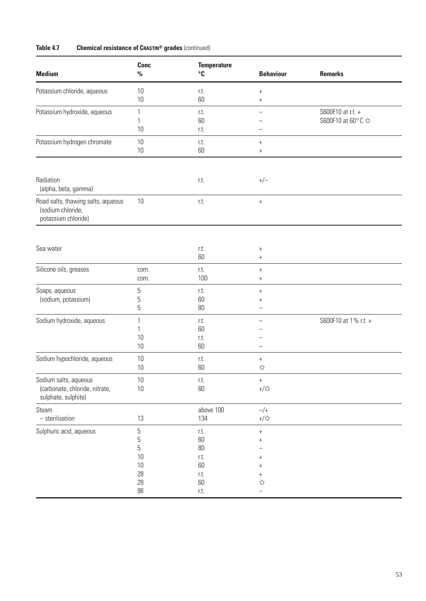| <b>Medium</b>                                                                  | <b>Conc</b><br>$\%$                         | <b>Temperature</b><br>$\mathbf{C}$                   | <b>Behaviour</b>                                                     | <b>Remarks</b>                         |
|--------------------------------------------------------------------------------|---------------------------------------------|------------------------------------------------------|----------------------------------------------------------------------|----------------------------------------|
| Potassium chloride, aqueous                                                    | 10<br>10                                    | r.t.<br>60                                           | $^{+}$<br>$^{+}$                                                     |                                        |
| Potassium hydroxide, aqueous                                                   | 1<br>1<br>10                                | r.t.<br>60<br>r.t.                                   |                                                                      | S600F10 at r.t. +<br>S600F10 at 60°C ☆ |
| Potassium hydrogen chromate                                                    | 10<br>10                                    | r.t.<br>60                                           | $^{+}$<br>$^{+}$                                                     |                                        |
| Radiation<br>(alpha, beta, gamma)                                              |                                             | r.t.                                                 | $+/-$                                                                |                                        |
| Road salts, thawing salts, aqueous<br>(sodium chloride,<br>potassium chloride) | $10\,$                                      | r.t.                                                 | $\boldsymbol{+}$                                                     |                                        |
| Sea water                                                                      |                                             | r.t.<br>60                                           | $^{+}$<br>$^{+}$                                                     |                                        |
| Silicone oils, greases                                                         | com.<br>com.                                | r.t.<br>100                                          | $^{+}$<br>$^{+}$                                                     |                                        |
| Soaps, aqueous<br>(sodium, potassium)                                          | 5<br>5<br>5                                 | r.t.<br>60<br>$80\,$                                 | $^{+}$<br>$\hbox{ }$                                                 |                                        |
| Sodium hydroxide, aqueous                                                      | 1<br>1<br>10<br>$10$                        | r.t.<br>60<br>r.t.<br>60                             |                                                                      | S600F10 at 1% r.t. +                   |
| Sodium hypochloride, aqueous                                                   | 10<br>10                                    | r.t.<br>60                                           | $^{+}$<br>☆                                                          |                                        |
| Sodium salts, aqueous<br>(carbonate, chloride, nitrate,<br>sulphate, sulphite) | $10\,$<br>$10\,$                            | r.t.<br>60                                           | $^{+}$<br>$+/\rm{K}$                                                 |                                        |
| Steam<br>$-$ sterilisation                                                     | 13                                          | above 100<br>134                                     | $-/+$<br>$+/\rm{K}$                                                  |                                        |
| Sulphuric acid, aqueous                                                        | 5<br>5<br>5<br>10<br>$10$<br>28<br>28<br>98 | r.t.<br>60<br>80<br>r.t.<br>60<br>r.t.<br>60<br>r.t. | $\boldsymbol{+}$<br>$^{+}$<br>$^{+}$<br>$^+$<br>$^{+}$<br>$x^2$<br>÷ |                                        |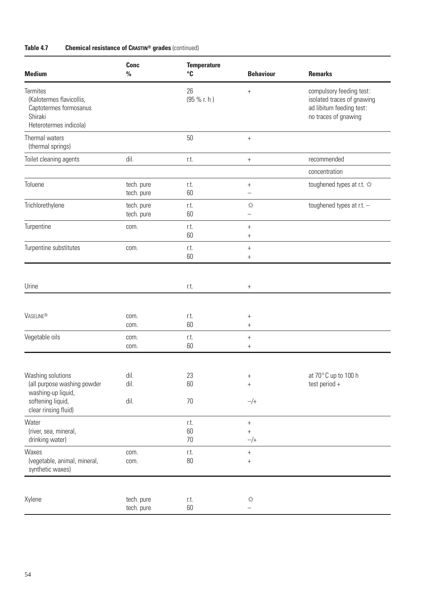| <b>Medium</b>                                                                                                       | <b>Conc</b><br>$\frac{0}{0}$ | <b>Temperature</b><br>°C | <b>Behaviour</b>                           | <b>Remarks</b>                                                                                             |
|---------------------------------------------------------------------------------------------------------------------|------------------------------|--------------------------|--------------------------------------------|------------------------------------------------------------------------------------------------------------|
| Termites<br>(Kalotermes flavicollis,<br>Captotermes formosanus<br>Shiraki<br>Heterotermes indicola)                 |                              | 26<br>(95 % r. h)        | $^{+}$                                     | compulsory feeding test:<br>isolated traces of gnawing<br>ad libitum feeding test:<br>no traces of gnawing |
| Thermal waters<br>(thermal springs)                                                                                 |                              | 50                       | $\boldsymbol{+}$                           |                                                                                                            |
| Toilet cleaning agents                                                                                              | dil.                         | r.t.                     | $^+$                                       | recommended                                                                                                |
|                                                                                                                     |                              |                          |                                            | concentration                                                                                              |
| Toluene                                                                                                             | tech. pure<br>tech. pure     | r.t.<br>60               | $^{+}$<br>—                                | toughened types at r.t. $\approx$                                                                          |
| Trichlorethylene                                                                                                    | tech. pure<br>tech. pure     | r.t.<br>60               | ☆<br>-                                     | toughened types at r.t. -                                                                                  |
| Turpentine                                                                                                          | com.                         | r.t.<br>60               | $^{+}$<br>$^{+}$                           |                                                                                                            |
| Turpentine substitutes                                                                                              | com.                         | r.t.<br>60               | $^{+}$<br>$^{+}$                           |                                                                                                            |
| Urine                                                                                                               |                              | r.t.                     | $^{+}$                                     |                                                                                                            |
| <b>VASELINE®</b>                                                                                                    | com.<br>com.                 | r.t.<br>60               | $^{+}$<br>$\begin{array}{c} + \end{array}$ |                                                                                                            |
| Vegetable oils                                                                                                      | com.<br>com.                 | r.t.<br>60               | $^{+}$<br>$^{+}$                           |                                                                                                            |
| Washing solutions<br>(all purpose washing powder<br>washing-up liquid,<br>softening liquid,<br>clear rinsing fluid) | dil.<br>dil.<br>dil.         | 23<br>60<br>70           | $^{+}$<br>$\boldsymbol{+}$<br>$-/+$        | at 70°C up to 100 h<br>test period +                                                                       |
| Water<br>(river, sea, mineral,<br>drinking water)                                                                   |                              | r.t.<br>60<br>$70$       | $^+$<br>$^{+}$<br>$-/+$                    |                                                                                                            |
| Waxes<br>(vegetable, animal, mineral,<br>synthetic waxes)                                                           | com.<br>com.                 | r.t.<br>$80\,$           | $\boldsymbol{+}$<br>$^{+}$                 |                                                                                                            |
| Xylene                                                                                                              | tech. pure<br>tech. pure     | r.t.<br>60               | $\stackrel{\wedge}{\bowtie}$               |                                                                                                            |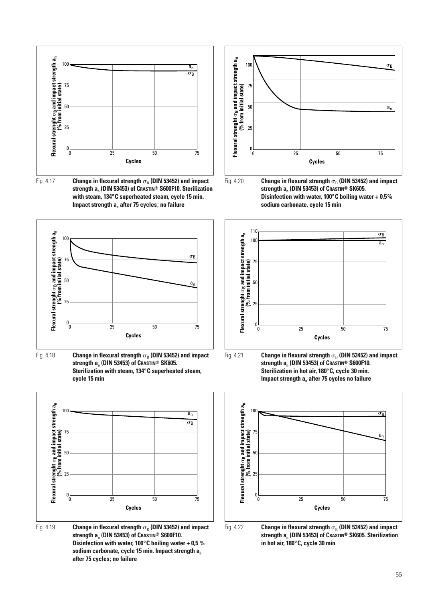

Fig. 4.17  $\qquad$  **Change in flexural strength**  $\sigma_{\scriptscriptstyle{\text{B}}}$  **(DIN 53452) and impact strength an (DIN 53453) of CRASTIN® S600F10. Sterilization with steam, 134°C superheated steam, cycle 15 min. Impact strength a<sub>n</sub> after 75 cycles; no failure** 



Fig. 4.18  $\qquad$  **Change in flexural strength**  $\sigma_{\rm B}$  **(DIN 53452) and impact strength an (DIN 53453) of CRASTIN® SK605. Sterilization with steam, 134°C superheated steam, cycle 15 min**



Fig. 4.19 **Change in flexural strength**  $\sigma_{\rm B}$  **(DIN 53452) and impact strength an (DIN 53453) of CRASTIN® S600F10. Disinfection with water, 100°C boiling water + 0,5 %** sodium carbonate, cycle 15 min. Impact strength a<sub>n</sub> **after 75 cycles; no failure**



Fig. 4.20 **Change in flexural strength** - **(DIN 53452) and impact strength an (DIN 53453) of CRASTIN® SK605. Disinfection with water, 100°C boiling water + 0,5% sodium carbonate, cycle 15 min**









Fig. 4.22 **Change in flexural strength**  $\sigma_{\rm B}$  **(DIN 53452) and impact strength an (DIN 53453) of CRASTIN® SK605. Sterilization in hot air, 180°C, cycle 30 min**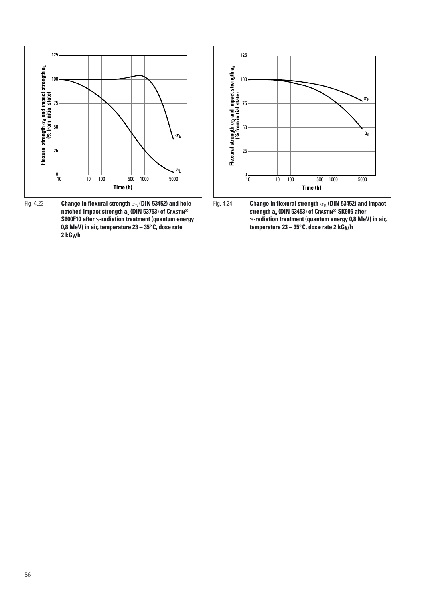

Fig. 4.23 **Change in flexural strength**  $\sigma_{\rm B}$  **(DIN 53452) and hole notched impact strength a<sub>L</sub> (DIN 53753) of CRASTIN® S600F10 after -radiation treatment (quantum energy 0,8 MeV) in air, temperature 23 – 35°C, dose rate 2 kGy/h**



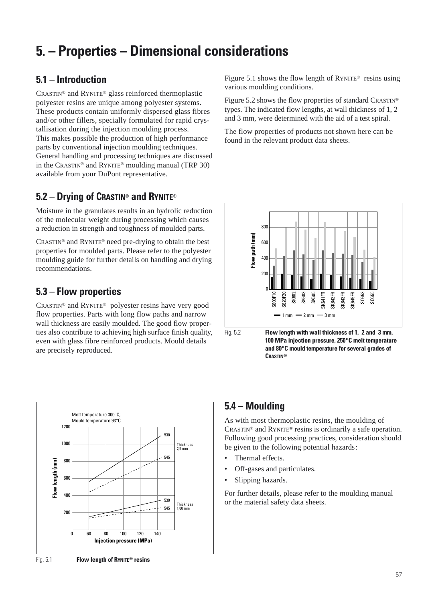# **5. – Properties – Dimensional considerations**

# **5.1 – Introduction**

CRASTIN® and RYNITE® glass reinforced thermoplastic polyester resins are unique among polyester systems. These products contain uniformly dispersed glass fibres and/or other fillers, specially formulated for rapid crystallisation during the injection moulding process. This makes possible the production of high performance parts by conventional injection moulding techniques. General handling and processing techniques are discussed in the CRASTIN® and RYNITE® moulding manual (TRP 30) available from your DuPont representative.

# **5.2 – Drying of CRASTIN**® **and RYNITE**®

Moisture in the granulates results in an hydrolic reduction of the molecular weight during processing which causes a reduction in strength and toughness of moulded parts.

CRASTIN® and RYNITE® need pre-drying to obtain the best properties for moulded parts. Please refer to the polyester moulding guide for further details on handling and drying recommendations.

# **5.3 – Flow properties**

CRASTIN® and RYNITE® polyester resins have very good flow properties. Parts with long flow paths and narrow wall thickness are easily moulded. The good flow properties also contribute to achieving high surface finish quality, even with glass fibre reinforced products. Mould details are precisely reproduced.



Figure 5.1 shows the flow length of  $RYNITE^{\circledast}$  resins using various moulding conditions.

Figure 5.2 shows the flow properties of standard CRASTIN® types. The indicated flow lengths, at wall thickness of 1, 2 and 3 mm, were determined with the aid of a test spiral.

The flow properties of products not shown here can be found in the relevant product data sheets.



Fig. 5.2 **Flow length with wall thickness of 1, 2 and 3 mm, 100 MPa injection pressure, 250°C melt temperature and 80°C mould temperature for several grades of CRASTIN®**

# **5.4 – Moulding**

As with most thermoplastic resins, the moulding of CRASTIN® and RYNITE® resins is ordinarily a safe operation. Following good processing practices, consideration should be given to the following potential hazards:

- Thermal effects.
- Off-gases and particulates.
- Slipping hazards.

For further details, please refer to the moulding manual or the material safety data sheets.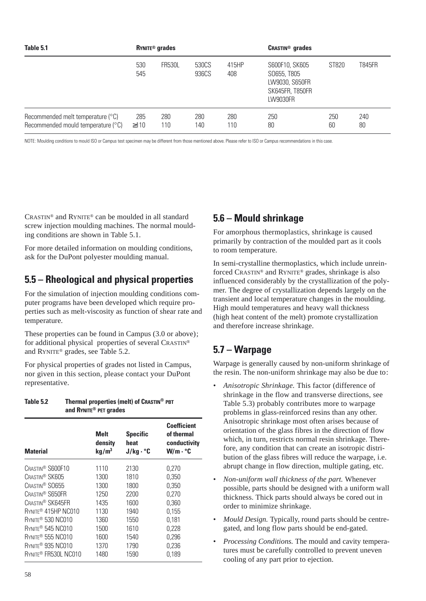| Table 5.1                                                               | <b>RYNITE<sup>®</sup></b> grades |               |                | <b>CRASTIN<sup>®</sup></b> grades |                                                                                       |           |           |
|-------------------------------------------------------------------------|----------------------------------|---------------|----------------|-----------------------------------|---------------------------------------------------------------------------------------|-----------|-----------|
|                                                                         | 530<br>545                       | <b>FR530L</b> | 530CS<br>936CS | 415HP<br>408                      | S600F10, SK605<br>S0655, T805<br>LW9030, S650FR<br><b>SK645FR, T850FR</b><br>LW9030FR | ST820     | T845FR    |
| Recommended melt temperature (°C)<br>Recommended mould temperature (°C) | 285<br>$\geq$ 110                | 280<br>110    | 280<br>140     | 280<br>110                        | 250<br>80                                                                             | 250<br>60 | 240<br>80 |

NOTE: Moulding conditions to mould ISO or Campus test specimen may be different from those mentioned above. Please refer to ISO or Campus recommendations in this case.

CRASTIN® and RYNITE® can be moulded in all standard screw injection moulding machines. The normal moulding conditions are shown in Table 5.1.

For more detailed information on moulding conditions, ask for the DuPont polyester moulding manual.

### **5.5 – Rheological and physical properties**

For the simulation of injection moulding conditions computer programs have been developed which require properties such as melt-viscosity as function of shear rate and temperature.

These properties can be found in Campus (3.0 or above); for additional physical properties of several CRASTIN® and RYNITE® grades, see Table 5.2.

For physical properties of grades not listed in Campus, nor given in this section, please contact your DuPont representative.

| Table 5.2                     | Thermal properties (melt) of CRASTIN® PBT<br>and RYNITE <sup>®</sup> PET grades |                                                     |                                                                             |  |  |  |
|-------------------------------|---------------------------------------------------------------------------------|-----------------------------------------------------|-----------------------------------------------------------------------------|--|--|--|
| <b>Material</b>               | <b>Melt</b><br>density<br>kg/m <sup>3</sup>                                     | <b>Specific</b><br>heat<br>$J/kg \cdot {}^{\circ}C$ | <b>Coefficient</b><br>of thermal<br>conductivity<br>$W/m \cdot {}^{\circ}C$ |  |  |  |
| CRASTIN <sup>®</sup> S600F10  | 1110                                                                            | 2130                                                | 0,270                                                                       |  |  |  |
| CRASTIN <sup>®</sup> SK605    | 1300                                                                            | 1810                                                | 0,350                                                                       |  |  |  |
| CRASTIN <sup>®</sup> SO655    | 1300                                                                            | 1800                                                | 0,350                                                                       |  |  |  |
| CRASTIN <sup>®</sup> S650FR   | 1250                                                                            | 2200                                                | 0,270                                                                       |  |  |  |
| CRASTIN <sup>®</sup> SK645FR  | 1435                                                                            | 1600                                                | 0.360                                                                       |  |  |  |
| RYNITE® 415HP NC010           | 1130                                                                            | 1940                                                | 0,155                                                                       |  |  |  |
| RYNITE <sup>®</sup> 530 NC010 | 1360                                                                            | 1550                                                | 0,181                                                                       |  |  |  |
| RYNITE <sup>®</sup> 545 NC010 | 1500                                                                            | 1610                                                | 0,228                                                                       |  |  |  |
| RYNITE <sup>®</sup> 555 NC010 | 1600                                                                            | 1540                                                | 0,296                                                                       |  |  |  |

**RYNITE® 935 NC010** 1370 1790 0.236 **RYNITE® FR530L NC010 1480 1590 0.189** 

### **5.6 – Mould shrinkage**

For amorphous thermoplastics, shrinkage is caused primarily by contraction of the moulded part as it cools to room temperature.

In semi-crystalline thermoplastics, which include unreinforced CRASTIN® and RYNITE® grades, shrinkage is also influenced considerably by the crystallization of the polymer. The degree of crystallization depends largely on the transient and local temperature changes in the moulding. High mould temperatures and heavy wall thickness (high heat content of the melt) promote crystallization and therefore increase shrinkage.

### **5.7 – Warpage**

Warpage is generally caused by non-uniform shrinkage of the resin. The non-uniform shrinkage may also be due to:

- *Anisotropic Shrinkage.* This factor (difference of shrinkage in the flow and transverse directions, see Table 5.3) probably contributes more to warpage problems in glass-reinforced resins than any other. Anisotropic shrinkage most often arises because of orientation of the glass fibres in the direction of flow which, in turn, restricts normal resin shrinkage. Therefore, any condition that can create an isotropic distribution of the glass fibres will reduce the warpage, i.e. abrupt change in flow direction, multiple gating, etc.
- *Non-uniform wall thickness of the part.* Whenever possible, parts should be designed with a uniform wall thickness. Thick parts should always be cored out in order to minimize shrinkage.
- *Mould Design.* Typically, round parts should be centregated, and long flow parts should be end-gated.
- *Processing Conditions.* The mould and cavity temperatures must be carefully controlled to prevent uneven cooling of any part prior to ejection.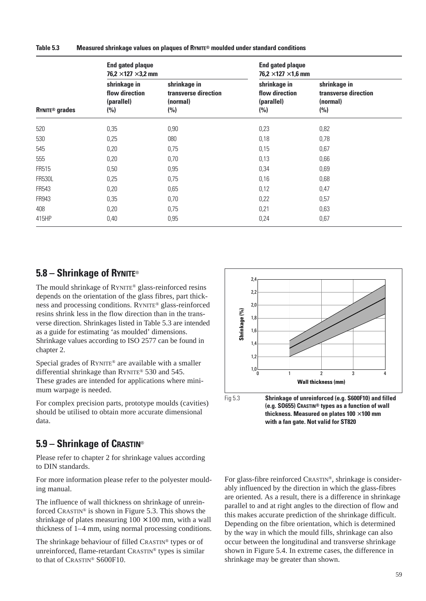**Table 5.3 Measured shrinkage values on plaques of RYNITE® moulded under standard conditions**

|                                  | <b>End gated plaque</b><br>76,2 $\times$ 127 $\times$ 3,2 mm |                                                         | <b>End gated plaque</b><br>76,2 $\times$ 127 $\times$ 1,6 mm |                                                         |  |  |
|----------------------------------|--------------------------------------------------------------|---------------------------------------------------------|--------------------------------------------------------------|---------------------------------------------------------|--|--|
| <b>RYNITE<sup>®</sup></b> grades | shrinkage in<br>flow direction<br>(parallel)<br>(%)          | shrinkage in<br>transverse direction<br>(normal)<br>(%) | shrinkage in<br>flow direction<br>(parallel)<br>(%)          | shrinkage in<br>transverse direction<br>(normal)<br>(%) |  |  |
| 520                              | 0,35                                                         | 0,90                                                    | 0,23                                                         | 0,82                                                    |  |  |
| 530                              | 0,25                                                         | 080                                                     | 0,18                                                         | 0,78                                                    |  |  |
| 545                              | 0,20                                                         | 0,75                                                    | 0,15                                                         | 0,67                                                    |  |  |
| 555                              | 0,20                                                         | 0,70                                                    | 0,13                                                         | 0,66                                                    |  |  |
| <b>FR515</b>                     | 0,50                                                         | 0,95                                                    | 0,34                                                         | 0,69                                                    |  |  |
| <b>FR530L</b>                    | 0,25                                                         | 0,75                                                    | 0,16                                                         | 0,68                                                    |  |  |
| FR543                            | 0,20                                                         | 0,65                                                    | 0,12                                                         | 0,47                                                    |  |  |
| FR943                            | 0,35                                                         | 0,70                                                    | 0,22                                                         | 0,57                                                    |  |  |
| 408                              | 0,20                                                         | 0,75                                                    | 0,21                                                         | 0,63                                                    |  |  |
| 415HP                            | 0,40                                                         | 0,95                                                    | 0,24                                                         | 0,67                                                    |  |  |

### **5.8 – Shrinkage of RYNITE**®

The mould shrinkage of RYNITE® glass-reinforced resins depends on the orientation of the glass fibres, part thickness and processing conditions. RYNITE® glass-reinforced resins shrink less in the flow direction than in the transverse direction. Shrinkages listed in Table 5.3 are intended as a guide for estimating 'as moulded' dimensions. Shrinkage values according to ISO 2577 can be found in chapter 2.

Special grades of RYNITE® are available with a smaller differential shrinkage than RYNITE® 530 and 545. These grades are intended for applications where minimum warpage is needed.

For complex precision parts, prototype moulds (cavities) should be utilised to obtain more accurate dimensional data.

### **5.9 – Shrinkage of CRASTIN**®

Please refer to chapter 2 for shrinkage values according to DIN standards.

For more information please refer to the polyester moulding manual.

The influence of wall thickness on shrinkage of unreinforced CRASTIN® is shown in Figure 5.3. This shows the shrinkage of plates measuring  $100 \times 100$  mm, with a wall thickness of 1–4 mm, using normal processing conditions.

The shrinkage behaviour of filled CRASTIN® types or of unreinforced, flame-retardant CRASTIN® types is similar to that of CRASTIN® S600F10.



**thickness. Measured on plates 100** × **100 mm with a fan gate. Not valid for ST820**

For glass-fibre reinforced CRASTIN®, shrinkage is considerably influenced by the direction in which the glass-fibres are oriented. As a result, there is a difference in shrinkage parallel to and at right angles to the direction of flow and this makes accurate prediction of the shrinkage difficult. Depending on the fibre orientation, which is determined by the way in which the mould fills, shrinkage can also occur between the longitudinal and transverse shrinkage shown in Figure 5.4. In extreme cases, the difference in shrinkage may be greater than shown.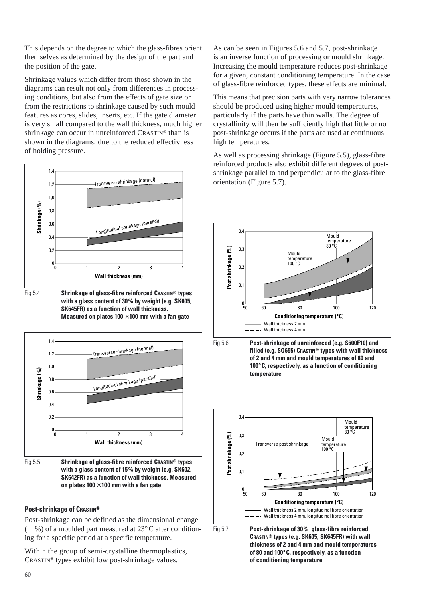This depends on the degree to which the glass-fibres orient themselves as determined by the design of the part and the position of the gate.

Shrinkage values which differ from those shown in the diagrams can result not only from differences in processing conditions, but also from the effects of gate size or from the restrictions to shrinkage caused by such mould features as cores, slides, inserts, etc. If the gate diameter is very small compared to the wall thickness, much higher shrinkage can occur in unreinforced CRASTIN® than is shown in the diagrams, due to the reduced effectivness of holding pressure.



Fig 5.4 **Shrinkage of glass-fibre reinforced CRASTIN® types with a glass content of 30% by weight (e.g. SK605, SK645FR) as a function of wall thickness. Measured on plates 100** × **100 mm with a fan gate**



Fig 5.5 **Shrinkage of glass-fibre reinforced CRASTIN® types with a glass content of 15% by weight (e.g. SK602, SK642FR) as a function of wall thickness. Measured on plates 100** × **100 mm with a fan gate**

### **Post-shrinkage of CRASTIN®**

Post-shrinkage can be defined as the dimensional change (in %) of a moulded part measured at  $23^{\circ}$ C after conditioning for a specific period at a specific temperature.

Within the group of semi-crystalline thermoplastics, CRASTIN® types exhibit low post-shrinkage values.

As can be seen in Figures 5.6 and 5.7, post-shrinkage is an inverse function of processing or mould shrinkage. Increasing the mould temperature reduces post-shrinkage for a given, constant conditioning temperature. In the case of glass-fibre reinforced types, these effects are minimal.

This means that precision parts with very narrow tolerances should be produced using higher mould temperatures, particularly if the parts have thin walls. The degree of crystallinity will then be sufficiently high that little or no post-shrinkage occurs if the parts are used at continuous high temperatures.

As well as processing shrinkage (Figure 5.5), glass-fibre reinforced products also exhibit different degrees of postshrinkage parallel to and perpendicular to the glass-fibre orientation (Figure 5.7).







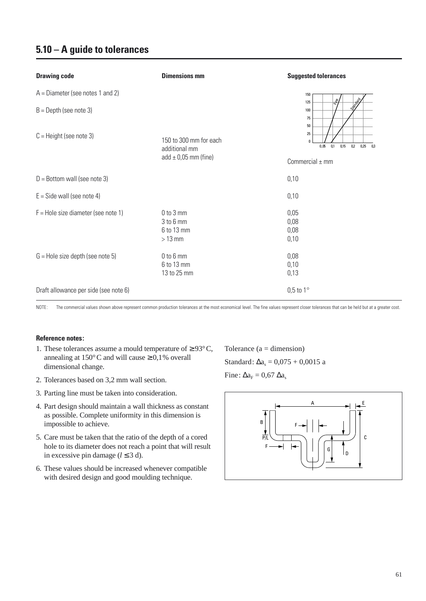| <b>Drawing code</b>                   | <b>Dimensions mm</b>                                 | <b>Suggested tolerances</b>                                     |
|---------------------------------------|------------------------------------------------------|-----------------------------------------------------------------|
| $A =$ Diameter (see notes 1 and 2)    |                                                      | 150<br>the                                                      |
| $B =$ Depth (see note 3)              |                                                      | 125<br><b>Simon</b><br>100<br>75<br>50                          |
| $C =$ Height (see note 3)             | 150 to 300 mm for each<br>additional mm              | 25<br>$\mathbf{0}$<br>0,05<br>0,1<br>0,15<br>0.2<br>0,25<br>0.3 |
|                                       | add $\pm$ 0,05 mm (fine)                             | Commercial $\pm$ mm                                             |
| $D =$ Bottom wall (see note 3)        |                                                      | 0,10                                                            |
| $E =$ Side wall (see note 4)          |                                                      | 0,10                                                            |
| $F =$ Hole size diameter (see note 1) | $0$ to $3$ mm<br>3 to 6 mm<br>6 to 13 mm<br>$>13$ mm | 0,05<br>0,08<br>0,08<br>0,10                                    |
| $G =$ Hole size depth (see note 5)    | $0$ to $6$ mm<br>6 to 13 mm<br>13 to 25 mm           | 0,08<br>0,10<br>0,13                                            |
| Draft allowance per side (see note 6) |                                                      | $0,5$ to $1^\circ$                                              |

NOTE: The commercial values shown above represent common production tolerances at the most economical level. The fine values represent closer tolerances that can be held but at a greater cost.

### **Reference notes:**

- 1. These tolerances assume a mould temperature of  $\geq$  93°C, annealing at  $150^{\circ}$ C and will cause  $\geq 0.1$ % overall dimensional change.
- 2. Tolerances based on 3,2 mm wall section.
- 3. Parting line must be taken into consideration.
- 4. Part design should maintain a wall thickness as constant as possible. Complete uniformity in this dimension is impossible to achieve.
- 5. Care must be taken that the ratio of the depth of a cored hole to its diameter does not reach a point that will result in excessive pin damage ( $l \leq 3$  d).
- 6. These values should be increased whenever compatible with desired design and good moulding technique.

Tolerance  $(a = dimension)$ Standard:  $\Delta a_s = 0.075 + 0.0015$  a Fine:  $\Delta a_F = 0.67 \Delta a_s$ 

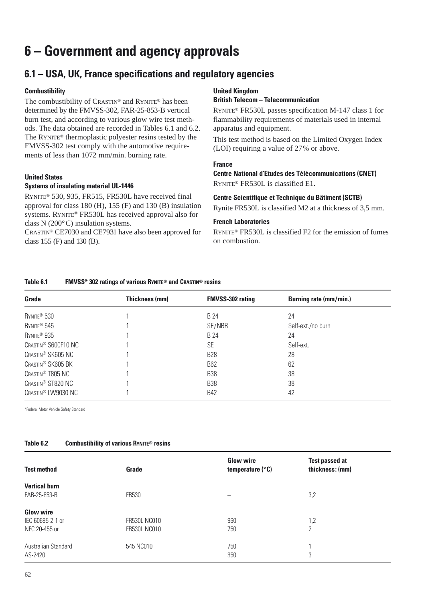# **6 – Government and agency approvals**

# **6.1 – USA, UK, France specifications and regulatory agencies**

### **Combustibility**

The combustibility of CRASTIN® and RYNITE® has been determined by the FMVSS-302, FAR-25-853-B vertical burn test, and according to various glow wire test methods. The data obtained are recorded in Tables 6.1 and 6.2. The RYNITE® thermoplastic polyester resins tested by the FMVSS-302 test comply with the automotive requirements of less than 1072 mm/min. burning rate.

### **United States**

### **Systems of insulating material UL-1446**

RYNITE® 530, 935, FR515, FR530L have received final approval for class 180 (H), 155 (F) and 130 (B) insulation systems. RYNITE® FR530L has received approval also for class N (200°C) insulation systems.

CRASTIN® CE7030 and CE7931 have also been approved for class 155 (F) and 130 (B).

### **United Kingdom**

### **British Telecom – Telecommunication**

RYNITE® FR530L passes specification M-147 class 1 for flammability requirements of materials used in internal apparatus and equipment.

This test method is based on the Limited Oxygen Index (LOI) requiring a value of 27% or above.

### **France**

**Centre National d'Etudes des Télécommunications (CNET)** RYNITE® FR530L is classified E1.

### **Centre Scientifique et Technique du Bâtiment (SCTB)**

Rynite FR530L is classified M2 at a thickness of 3,5 mm.

### **French Laboratories**

RYNITE® FR530L is classified F2 for the emission of fumes on combustion.

### **Table 6.1 FMVSS\* 302 ratings of various RYNITE® and CRASTIN® resins**

| Grade                           | Thickness (mm) | <b>FMVSS-302 rating</b> | <b>Burning rate (mm/min.)</b> |
|---------------------------------|----------------|-------------------------|-------------------------------|
| RYNITE <sup>®</sup> 530         |                | B 24                    | 24                            |
| RYNITE <sup>®</sup> 545         |                | SE/NBR                  | Self-ext./no burn             |
| RYNITE <sup>®</sup> 935         |                | B 24                    | 24                            |
| CRASTIN <sup>®</sup> S600F10 NC |                | <b>SE</b>               | Self-ext.                     |
| CRASTIN <sup>®</sup> SK605 NC   |                | <b>B28</b>              | 28                            |
| CRASTIN <sup>®</sup> SK605 BK   |                | <b>B62</b>              | 62                            |
| CRASTIN <sup>®</sup> T805 NC    |                | <b>B38</b>              | 38                            |
| CRASTIN <sup>®</sup> ST820 NC   |                | <b>B38</b>              | 38                            |
| CRASTIN <sup>®</sup> LW9030 NC  |                | <b>B42</b>              | 42                            |

\*Federal Motor Vehicle Safety Standard

### **Table 6.2 Combustibility of various RYNITE® resins**

| <b>Test method</b>   | Grade               | <b>Glow wire</b><br>temperature $(^\circ \mathsf{C})$ | <b>Test passed at</b><br>thickness: (mm) |
|----------------------|---------------------|-------------------------------------------------------|------------------------------------------|
| <b>Vertical burn</b> |                     |                                                       |                                          |
| FAR-25-853-B         | <b>FR530</b>        |                                                       | 3,2                                      |
| <b>Glow wire</b>     |                     |                                                       |                                          |
| IEC 60695-2-1 or     | <b>FR530L NC010</b> | 960                                                   | 1,2                                      |
| NFC 20-455 or        | <b>FR530L NC010</b> | 750                                                   | $\overline{2}$                           |
| Australian Standard  | 545 NC010           | 750                                                   |                                          |
| AS-2420              |                     | 850                                                   | 3                                        |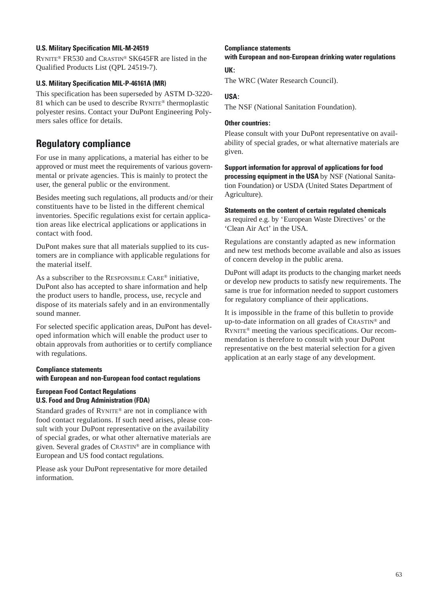### **U.S. Military Specification MIL-M-24519**

RYNITE® FR530 and CRASTIN® SK645FR are listed in the Qualified Products List (QPL 24519-7).

### **U.S. Military Specification MIL-P-46161A (MR)**

This specification has been superseded by ASTM D-3220- 81 which can be used to describe RYNITE® thermoplastic polyester resins. Contact your DuPont Engineering Polymers sales office for details.

# **Regulatory compliance**

For use in many applications, a material has either to be approved or must meet the requirements of various governmental or private agencies. This is mainly to protect the user, the general public or the environment.

Besides meeting such regulations, all products and/or their constituents have to be listed in the different chemical inventories. Specific regulations exist for certain application areas like electrical applications or applications in contact with food.

DuPont makes sure that all materials supplied to its customers are in compliance with applicable regulations for the material itself.

As a subscriber to the RESPONSIBLE CARE® initiative, DuPont also has accepted to share information and help the product users to handle, process, use, recycle and dispose of its materials safely and in an environmentally sound manner.

For selected specific application areas, DuPont has developed information which will enable the product user to obtain approvals from authorities or to certify compliance with regulations.

### **Compliance statements with European and non-European food contact regulations**

### **European Food Contact Regulations U.S. Food and Drug Administration (FDA)**

Standard grades of RYNITE® are not in compliance with food contact regulations. If such need arises, please consult with your DuPont representative on the availability of special grades, or what other alternative materials are given. Several grades of CRASTIN® are in compliance with European and US food contact regulations.

Please ask your DuPont representative for more detailed information.

### **Compliance statements with European and non-European drinking water regulations**

**UK:**

The WRC (Water Research Council).

### **USA:**

The NSF (National Sanitation Foundation).

### **Other countries:**

Please consult with your DuPont representative on availability of special grades, or what alternative materials are given.

**Support information for approval of applications for food processing equipment in the USA** by NSF (National Sanitation Foundation) or USDA (United States Department of Agriculture).

**Statements on the content of certain regulated chemicals**  as required e.g. by 'European Waste Directives' or the 'Clean Air Act' in the USA.

Regulations are constantly adapted as new information and new test methods become available and also as issues of concern develop in the public arena.

DuPont will adapt its products to the changing market needs or develop new products to satisfy new requirements. The same is true for information needed to support customers for regulatory compliance of their applications.

It is impossible in the frame of this bulletin to provide up-to-date information on all grades of CRASTIN® and RYNITE® meeting the various specifications. Our recommendation is therefore to consult with your DuPont representative on the best material selection for a given application at an early stage of any development.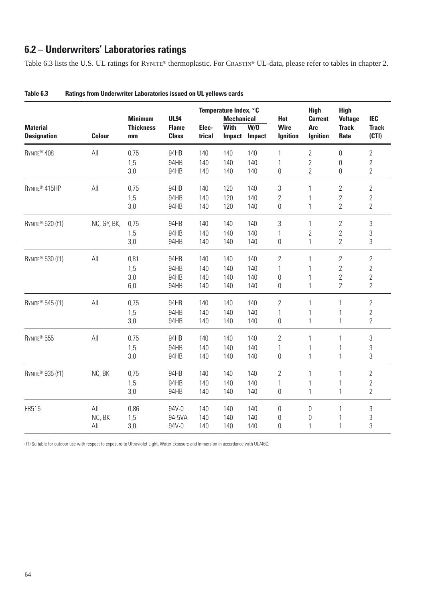# **6.2 – Underwriters' Laboratories ratings**

Table 6.3 lists the U.S. UL ratings for RYNITE® thermoplastic. For CRASTIN® UL-data, please refer to tables in chapter 2.

|                                       |                |                                          |                                             |                 | Temperature Index, °C                             |                      |                                | <b>High</b>                                     | <b>High</b>                            |                                     |
|---------------------------------------|----------------|------------------------------------------|---------------------------------------------|-----------------|---------------------------------------------------|----------------------|--------------------------------|-------------------------------------------------|----------------------------------------|-------------------------------------|
| <b>Material</b><br><b>Designation</b> | <b>Colour</b>  | <b>Minimum</b><br><b>Thickness</b><br>mm | <b>UL94</b><br><b>Flame</b><br><b>Class</b> | Elec-<br>trical | <b>Mechanical</b><br><b>With</b><br><b>Impact</b> | W/0<br><b>Impact</b> | Hot<br><b>Wire</b><br>Ignition | <b>Current</b><br><b>Arc</b><br><b>Ignition</b> | <b>Voltage</b><br><b>Track</b><br>Rate | <b>IEC</b><br><b>Track</b><br>(CTI) |
| RYNITE <sup>®</sup> 408               | All            | 0,75                                     | 94HB                                        | 140             | 140                                               | 140                  | 1                              | $\overline{2}$                                  | 0                                      | $\overline{2}$                      |
|                                       |                | 1,5                                      | 94HB                                        | 140             | 140                                               | 140                  | 1                              | $\sqrt{2}$                                      | 0                                      | $\overline{2}$                      |
|                                       |                | 3,0                                      | 94HB                                        | 140             | 140                                               | 140                  | $\boldsymbol{0}$               | $\overline{2}$                                  | $\boldsymbol{0}$                       | $\overline{2}$                      |
| RYNITE® 415HP                         | All            | 0,75                                     | 94HB                                        | 140             | 120                                               | 140                  | 3                              | $\mathbf{1}$                                    | $\overline{2}$                         | $\overline{2}$                      |
|                                       |                | 1,5                                      | 94HB                                        | 140             | 120                                               | 140                  | $\overline{2}$                 | 1                                               | 2                                      | $\overline{2}$                      |
|                                       |                | 3,0                                      | 94HB                                        | 140             | 120                                               | 140                  | $\boldsymbol{0}$               | $\mathbf{1}$                                    | $\overline{2}$                         | $\overline{2}$                      |
| RYNITE® 520 (f1)                      | NC, GY, BK,    | 0,75                                     | 94HB                                        | 140             | 140                                               | 140                  | 3                              | $\mathbf{1}$                                    | $\overline{2}$                         | 3                                   |
|                                       |                | 1,5                                      | 94HB                                        | 140             | 140                                               | 140                  | 1                              | $\overline{2}$                                  | $\overline{2}$                         | 3                                   |
|                                       |                | 3,0                                      | 94HB                                        | 140             | 140                                               | 140                  | 0                              | $\mathbf{1}$                                    | $\overline{2}$                         | 3                                   |
| RYNITE® 530 (f1)                      | All            | 0,81                                     | 94HB                                        | 140             | 140                                               | 140                  | $\overline{2}$                 | 1                                               | $\overline{2}$                         | $\overline{2}$                      |
|                                       |                | 1,5                                      | 94HB                                        | 140             | 140                                               | 140                  | 1                              | 1                                               | $\overline{2}$                         | $\overline{2}$                      |
|                                       |                | 3,0                                      | 94HB                                        | 140             | 140                                               | 140                  | 0                              | 1                                               | $\overline{2}$                         | $\overline{2}$                      |
|                                       |                | 6,0                                      | 94HB                                        | 140             | 140                                               | 140                  | $\boldsymbol{0}$               | $\mathbf{1}$                                    | $\overline{2}$                         | $\overline{2}$                      |
| RYNITE® 545 (f1)                      | $\mathsf{All}$ | 0,75                                     | 94HB                                        | 140             | 140                                               | 140                  | $\overline{2}$                 | $\mathbf{1}$                                    | $\mathbf{1}$                           | $\overline{2}$                      |
|                                       |                | 1,5                                      | 94HB                                        | 140             | 140                                               | 140                  | 1                              | 1                                               | 1                                      | $\overline{2}$                      |
|                                       |                | 3,0                                      | 94HB                                        | 140             | 140                                               | 140                  | 0                              | $\mathbf{1}$                                    | $\mathbf{1}$                           | $\overline{2}$                      |
| RYNITE® 555                           | $\mathsf{All}$ | 0,75                                     | 94HB                                        | 140             | 140                                               | 140                  | 2                              | $\mathbf{1}$                                    | $\mathbf{1}$                           | 3                                   |
|                                       |                | 1,5                                      | 94HB                                        | 140             | 140                                               | 140                  | 1                              | 1                                               | 1                                      | 3                                   |
|                                       |                | 3,0                                      | 94HB                                        | 140             | 140                                               | 140                  | 0                              | $\mathbf{1}$                                    | $\mathbf{1}$                           | 3                                   |
| RYNITE® 935 (f1)                      | NC, BK         | 0,75                                     | 94HB                                        | 140             | 140                                               | 140                  | $\overline{2}$                 | 1                                               | $\mathbf{1}$                           | $\overline{2}$                      |
|                                       |                | 1,5                                      | 94HB                                        | 140             | 140                                               | 140                  | 1                              | 1                                               | 1                                      | $\overline{2}$                      |
|                                       |                | 3,0                                      | 94HB                                        | 140             | 140                                               | 140                  | $\boldsymbol{0}$               | $\mathbf{1}$                                    | $\mathbf{1}$                           | $\overline{2}$                      |
| FR515                                 | All            | 0,86                                     | 94V-0                                       | 140             | 140                                               | 140                  | 0                              | $\boldsymbol{0}$                                | 1                                      | 3                                   |
|                                       | NC, BK         | 1,5                                      | 94-5VA                                      | 140             | 140                                               | 140                  | $\boldsymbol{0}$               | $\boldsymbol{0}$                                |                                        | 3                                   |
|                                       | All            | 3,0                                      | 94V-0                                       | 140             | 140                                               | 140                  | $\boldsymbol{0}$               | 1                                               | $\mathbf{1}$                           | 3                                   |

| Table 6.3 | <b>Ratings from Underwriter Laboratories issued on UL yellows cards</b> |
|-----------|-------------------------------------------------------------------------|
|-----------|-------------------------------------------------------------------------|

(f1) Suitable for outdoor use with respect to exposure to Ultraviolet Light, Water Exposure and Immersion in accordance with UL746C.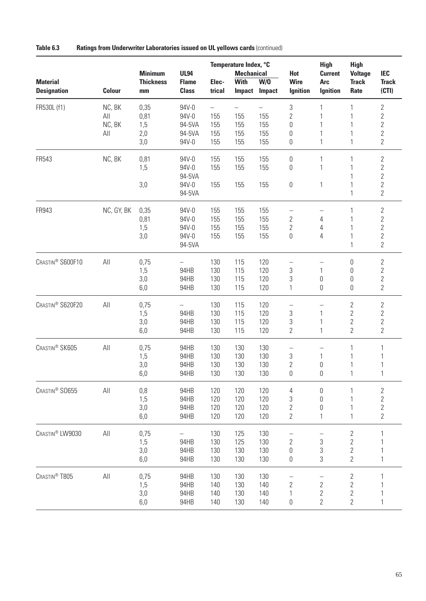| <b>Material</b><br><b>Designation</b> | <b>Colour</b>                  | <b>Minimum</b><br><b>Thickness</b><br>mm | <b>UL94</b><br><b>Flame</b><br><b>Class</b>      | Elec-<br>trical                                      | Temperature Index, °C<br><b>Mechanical</b><br><b>With</b><br><b>Impact</b> | W/0<br>Impact            | Hot<br><b>Wire</b><br><b>Ignition</b>                | <b>High</b><br><b>Current</b><br><b>Arc</b><br><b>Ignition</b>           | <b>High</b><br><b>Voltage</b><br><b>Track</b><br>Rate                        | <b>IEC</b><br><b>Track</b><br>(CTI)                                                    |
|---------------------------------------|--------------------------------|------------------------------------------|--------------------------------------------------|------------------------------------------------------|----------------------------------------------------------------------------|--------------------------|------------------------------------------------------|--------------------------------------------------------------------------|------------------------------------------------------------------------------|----------------------------------------------------------------------------------------|
| FR530L (f1)                           | NC, BK<br>All<br>NC, BK<br>All | 0,35<br>0,81<br>1,5<br>2,0<br>3,0        | 94V-0<br>94V-0<br>94-5VA<br>94-5VA<br>94V-0      | $\overline{\phantom{0}}$<br>155<br>155<br>155<br>155 | 155<br>155<br>155<br>155                                                   | 155<br>155<br>155<br>155 | 3<br>$\overline{2}$<br>0<br>$\boldsymbol{0}$<br>0    | 1<br>1<br>1<br>1<br>$\mathbf{1}$                                         | 1<br>1<br>1<br>1<br>$\mathbf{1}$                                             | $\overline{2}$<br>$\overline{2}$<br>$\overline{2}$<br>$\overline{2}$<br>$\overline{2}$ |
| FR543                                 | NC, BK                         | 0,81<br>1,5<br>3,0                       | 94V-0<br>94V-0<br>94-5VA<br>94V-0<br>94-5VA      | 155<br>155<br>155                                    | 155<br>155<br>155                                                          | 155<br>155<br>155        | 0<br>0<br>0                                          | 1<br>$\mathbf{1}$<br>$\mathbf{1}$                                        | 1<br>1<br>1<br>$\mathbf{1}$<br>1                                             | $2\,$<br>$\overline{2}$<br>$\overline{2}$<br>$\overline{2}$<br>$\overline{2}$          |
| FR943                                 | NC, GY, BK                     | 0,35<br>0,81<br>1,5<br>3,0               | 94V-0<br>94V-0<br>94V-0<br>94V-0<br>94-5VA       | 155<br>155<br>155<br>155                             | 155<br>155<br>155<br>155                                                   | 155<br>155<br>155<br>155 | —<br>$\overline{2}$<br>$\overline{2}$<br>0           | —<br>4<br>4<br>$\overline{4}$                                            | 1<br>1<br>1<br>$\mathbf{1}$<br>$\mathbf{1}$                                  | $\sqrt{2}$<br>$\overline{2}$<br>$\overline{2}$<br>$\overline{2}$<br>$\overline{2}$     |
| CRASTIN <sup>®</sup> S600F10          | All                            | 0,75<br>1,5<br>3,0<br>6,0                | $\equiv$<br>94HB<br>94HB<br>94HB                 | 130<br>130<br>130<br>130                             | 115<br>115<br>115<br>115                                                   | 120<br>120<br>120<br>120 | 3<br>3<br>1                                          | 1<br>$\boldsymbol{0}$<br>$\boldsymbol{0}$                                | $\boldsymbol{0}$<br>$\boldsymbol{0}$<br>$\boldsymbol{0}$<br>$\boldsymbol{0}$ | $2\,$<br>$\overline{2}$<br>$\overline{2}$<br>$\overline{2}$                            |
| CRASTIN <sup>®</sup> S620F20          | All                            | 0,75<br>1,5<br>3,0<br>6,0                | $\overline{\phantom{0}}$<br>94HB<br>94HB<br>94HB | 130<br>130<br>130<br>130                             | 115<br>115<br>115<br>115                                                   | 120<br>120<br>120<br>120 | $\overline{\phantom{0}}$<br>3<br>3<br>$\overline{2}$ | $\overline{\phantom{0}}$<br>1<br>1<br>1                                  | $\mathbf{2}$<br>$\mathbf{2}$<br>$\mathbf{2}$<br>$\overline{2}$               | $2\,$<br>$\overline{2}$<br>$\overline{2}$<br>$\overline{2}$                            |
| CRASTIN® SK605                        | All                            | 0,75<br>1,5<br>3,0<br>6,0                | 94HB<br>94HB<br>94HB<br>94HB                     | 130<br>130<br>130<br>130                             | 130<br>130<br>130<br>130                                                   | 130<br>130<br>130<br>130 | 3<br>$\overline{2}$<br>0                             | $\mathbf{1}$<br>$\boldsymbol{0}$<br>0                                    | 1<br>1<br>1<br>1                                                             | 1                                                                                      |
| CRASTIN® SO655                        | All                            | 0,8<br>1,5<br>3,0<br>6,0                 | 94HB<br>94HB<br>94HB<br>94HB                     | 120<br>120<br>120<br>120                             | 120<br>120<br>120<br>120                                                   | 120<br>120<br>120<br>120 | 4<br>3<br>$\overline{2}$<br>$\overline{2}$           | $\boldsymbol{0}$<br>$\boldsymbol{0}$<br>$\boldsymbol{0}$<br>$\mathbf{1}$ | 1<br>1<br>$\mathbf{1}$                                                       | $\mathbf{2}$<br>$\overline{c}$<br>$\overline{c}$<br>$\overline{2}$                     |
| CRASTIN® LW9030                       | All                            | 0,75<br>1,5<br>3,0<br>6,0                | 94HB<br>94HB<br>94HB                             | 130<br>130<br>130<br>130                             | 125<br>125<br>130<br>130                                                   | 130<br>130<br>130<br>130 | $\overline{2}$<br>$\boldsymbol{0}$<br>0              | 3<br>3<br>$\sqrt{3}$                                                     | $\sqrt{2}$<br>$\overline{2}$<br>$\overline{2}$<br>$\overline{2}$             | $\mathbf{1}$                                                                           |
| CRASTIN <sup>®</sup> T805             | All                            | 0,75<br>1,5<br>3,0<br>6,0                | 94HB<br>94HB<br>94HB<br>94HB                     | 130<br>140<br>140<br>140                             | 130<br>130<br>130<br>130                                                   | 130<br>140<br>140<br>140 | $\overline{2}$<br>1<br>0                             | $\mathbf{2}$<br>$\sqrt{2}$<br>$\mathbf{2}$                               | $\mathbf{2}$<br>$\overline{2}$<br>$\mathbf{2}$<br>$\mathbf{2}$               |                                                                                        |

**Table 6.3 Ratings from Underwriter Laboratories issued on UL yellows cards** (continued)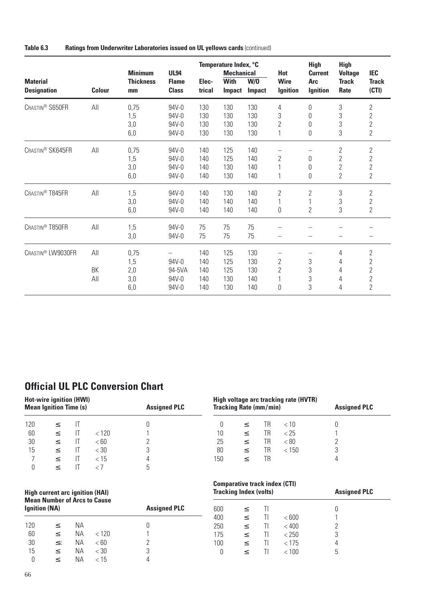| Table 6.3 | Ratings from Underwriter Laboratories issued on UL yellows cards (continued) |  |  |  |
|-----------|------------------------------------------------------------------------------|--|--|--|
|-----------|------------------------------------------------------------------------------|--|--|--|

|                                       |               | <b>Minimum</b>         | <b>UL94</b>                  |                 | Temperature Index, °C<br><b>Mechanical</b> |                      | Hot                            | <b>High</b><br><b>Current</b> | <b>High</b><br><b>Voltage</b> | <b>IEC</b>            |
|---------------------------------------|---------------|------------------------|------------------------------|-----------------|--------------------------------------------|----------------------|--------------------------------|-------------------------------|-------------------------------|-----------------------|
| <b>Material</b><br><b>Designation</b> | <b>Colour</b> | <b>Thickness</b><br>mm | <b>Flame</b><br><b>Class</b> | Elec-<br>trical | <b>With</b><br><b>Impact</b>               | W/0<br><b>Impact</b> | <b>Wire</b><br><b>Ignition</b> | <b>Arc</b><br><b>Ignition</b> | <b>Track</b><br>Rate          | <b>Track</b><br>(CTI) |
| CRASTIN <sup>®</sup> S650FR           | All           | 0,75                   | 94V-0                        | 130             | 130                                        | 130                  | 4                              | 0                             | 3                             | $\overline{2}$        |
|                                       |               | 1,5                    | 94V-0                        | 130             | 130                                        | 130                  | 3                              | 0                             | 3                             | $\overline{2}$        |
|                                       |               | 3,0                    | 94V-0                        | 130             | 130                                        | 130                  | $\overline{2}$                 | 0                             | 3                             | $\overline{2}$        |
|                                       |               | 6,0                    | 94V-0                        | 130             | 130                                        | 130                  | 1                              | 0                             | 3                             | $\overline{2}$        |
| CRASTIN® SK645FR                      | All           | 0,75                   | 94V-0                        | 140             | 125                                        | 140                  |                                |                               | $\overline{2}$                | $\overline{2}$        |
|                                       |               | 1,5                    | 94V-0                        | 140             | 125                                        | 140                  | $\overline{2}$                 | 0                             | $\overline{2}$                | $\overline{2}$        |
|                                       |               | 3,0                    | 94V-0                        | 140             | 130                                        | 140                  |                                | 0                             | $\overline{2}$                | $\overline{2}$        |
|                                       |               | 6,0                    | 94V-0                        | 140             | 130                                        | 140                  | 1                              | 0                             | $\overline{2}$                | $\mathbf{2}$          |
| CRASTIN <sup>®</sup> T845FR           | All           | 1,5                    | 94V-0                        | 140             | 130                                        | 140                  | $\overline{2}$                 | $\overline{2}$                | 3                             | $\overline{2}$        |
|                                       |               | 3,0                    | 94V-0                        | 140             | 140                                        | 140                  | 1                              | 1                             | 3                             | $\overline{2}$        |
|                                       |               | 6,0                    | 94V-0                        | 140             | 140                                        | 140                  | 0                              | $\overline{2}$                | 3                             | 2                     |
| CRASTIN® T850FR                       | All           | 1,5                    | 94V-0                        | 75              | 75                                         | 75                   |                                |                               |                               |                       |
|                                       |               | 3,0                    | 94V-0                        | 75              | 75                                         | 75                   |                                |                               |                               |                       |
| CRASTIN® LW9030FR                     | All           | 0,75                   |                              | 140             | 125                                        | 130                  |                                |                               | 4                             | $\mathbf{2}$          |
|                                       |               | 1,5                    | 94V-0                        | 140             | 125                                        | 130                  | $\overline{2}$                 | 3                             | 4                             | 2                     |
|                                       | BK            | 2,0                    | 94-5VA                       | 140             | 125                                        | 130                  | $\overline{2}$                 | 3                             | 4                             | $\overline{2}$        |
|                                       | All           | 3,0                    | 94V-0                        | 140             | 130                                        | 140                  | 1                              | 3                             | 4                             | $\overline{2}$        |
|                                       |               | 6,0                    | 94V-0                        | 140             | 130                                        | 140                  | 0                              | 3                             | 4                             | $\overline{2}$        |

# **Official UL PLC Conversion Chart**

|     | <b>Hot-wire ignition (HWI)</b><br><b>Mean Ignition Time (s)</b> |    |        | <b>Assigned PLC</b> |
|-----|-----------------------------------------------------------------|----|--------|---------------------|
| 120 | $\,<$                                                           | П  |        |                     |
| 60  | $\,<\,$                                                         | IT | < 120  |                     |
| 30  | $\,<$                                                           | IT | < 60   |                     |
| 15  | $\,<\,$                                                         | IT | $<$ 30 | 3                   |
|     | $\,<$                                                           | П  | < 15   |                     |
|     |                                                                 |    |        | 5                   |

|     | <b>Tracking Rate (mm/min)</b> |     | High voltage arc tracking rate (HVTR) | <b>Assigned PLC</b> |  |
|-----|-------------------------------|-----|---------------------------------------|---------------------|--|
| 0   |                               | TR. | < 10                                  |                     |  |
| 10  | $\,<\,$                       | TR  | < 25                                  |                     |  |
| 25  | $\,<\,$                       | TR  | < 80                                  |                     |  |
| 80  | $\,<\,$                       | TR  | < 150                                 | 3                   |  |
| 150 |                               | TR  |                                       |                     |  |

#### **High current arc ignition (HAI) Mean Number of Arcs to Cause Ignition (NA) Assigned PLC**

| . . |        |           |            | . . |  |
|-----|--------|-----------|------------|-----|--|
| 120 | $\leq$ | NA.       |            |     |  |
| 60  | $\lt$  |           | NA <120    |     |  |
| 30  | $\leq$ | <b>NA</b> | < 60       | 2   |  |
| 15  | $\lt$  |           | NA <30     | 3   |  |
|     | $\lt$  |           | $NA \t 15$ |     |  |

| <b>Comparative track index (CTI)</b><br><b>Tracking Index (volts)</b> |         |    |       | <b>Assigned PLC</b> |
|-----------------------------------------------------------------------|---------|----|-------|---------------------|
| 600                                                                   |         | TI |       |                     |
| 400                                                                   | $\,<\,$ | TI | < 600 |                     |
| 250                                                                   | $\leq$  | TI | < 400 | 2                   |
| 175                                                                   | $\,<\,$ | TI | < 250 | 3                   |
| 100                                                                   | $\leq$  | TI | < 175 | 4                   |
|                                                                       |         | Τl | 100   | 5                   |